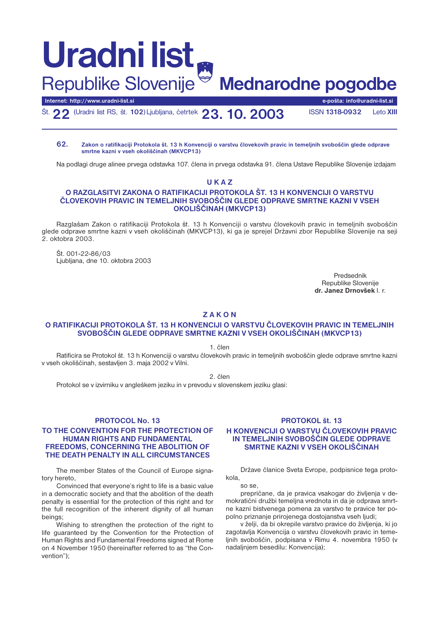# **Uradni list** Republike Slovenije<sup>(w)</sup> Mednarodne pogodbe

# **Internet: http://www.uradni-list.si e-pošta: info@uradni-list.si**

Št.**22** (Uradni list RS, št. **102**) Ljubljana, četrtek **23. 10. 2003** ISSN **1318-0932** Leto **XIII**

**62. Zakon o ratifikaciji Protokola št. 13 h Konvenciji o varstvu človekovih pravic in temeljnih svoboščin glede odprave smrtne kazni v vseh okoliščinah (MKVCP13)**

Na podlagi druge alinee prvega odstavka 107. člena in prvega odstavka 91. člena Ustave Republike Slovenije izdajam

# **U K A Z**

# **O RAZGLASITVI ZAKONA O RATIFIKACIJI PROTOKOLA ŠT. 13 H KONVENCIJI O VARSTVU ČLOVEKOVIH PRAVIC IN TEMELJNIH SVOBOŠČIN GLEDE ODPRAVE SMRTNE KAZNI V VSEH OKOLIŠČINAH (MKVCP13)**

Razglašam Zakon o ratifikaciji Protokola št. 13 h Konvenciji o varstvu človekovih pravic in temeljnih svoboščin glede odprave smrtne kazni v vseh okoliščinah (MKVCP13), ki ga je sprejel Državni zbor Republike Slovenije na seji 2. oktobra 2003.

Št. 001-22-86/03 Ljubljana, dne 10. oktobra 2003

> Predsednik Republike Slovenije **dr. Janez Drnovšek** l. r.

# **Z A K O N**

# **O RATIFIKACIJI PROTOKOLA ŠT. 13 H KONVENCIJI O VARSTVU ČLOVEKOVIH PRAVIC IN TEMELJNIH SVOBOŠČIN GLEDE ODPRAVE SMRTNE KAZNI V VSEH OKOLIŠČINAH (MKVCP13)**

1. člen

Ratificira se Protokol št. 13 h Konvenciji o varstvu človekovih pravic in temeljnih svoboščin glede odprave smrtne kazni v vseh okoliščinah, sestavljen 3. maja 2002 v Vilni.

2. člen

Protokol se v izvirniku v angleškem jeziku in v prevodu v slovenskem jeziku glasi:

# **PROTOCOL No. 13**

# **TO THE CONVENTION FOR THE PROTECTION OF HUMAN RIGHTS AND FUNDAMENTAL FREEDOMS, CONCERNING THE ABOLITION OF THE DEATH PENALTY IN ALL CIRCUMSTANCES**

The member States of the Council of Europe signatory hereto,

Convinced that everyone's right to life is a basic value in a democratic society and that the abolition of the death penalty is essential for the protection of this right and for the full recognition of the inherent dignity of all human beings;

Wishing to strengthen the protection of the right to life guaranteed by the Convention for the Protection of Human Rights and Fundamental Freedoms signed at Rome on 4 November 1950 (hereinafter referred to as "the Convention");

# **PROTOKOL št. 13**

# **H KONVENCIJI O VARSTVU ČLOVEKOVIH PRAVIC IN TEMELJNIH SVOBOŠČIN GLEDE ODPRAVE SMRTNE KAZNI V VSEH OKOLIŠČINAH**

Države članice Sveta Evrope, podpisnice tega protokola,

so se,

prepričane, da je pravica vsakogar do življenja v demokratični družbi temeljna vrednota in da je odprava smrtne kazni bistvenega pomena za varstvo te pravice ter popolno priznanje prirojenega dostojanstva vseh ljudi;

v želji, da bi okrepile varstvo pravice do življenja, ki jo zagotavlja Konvencija o varstvu človekovih pravic in temeljnih svoboščin, podpisana v Rimu 4. novembra 1950 (v nadaljnjem besedilu: Konvencija);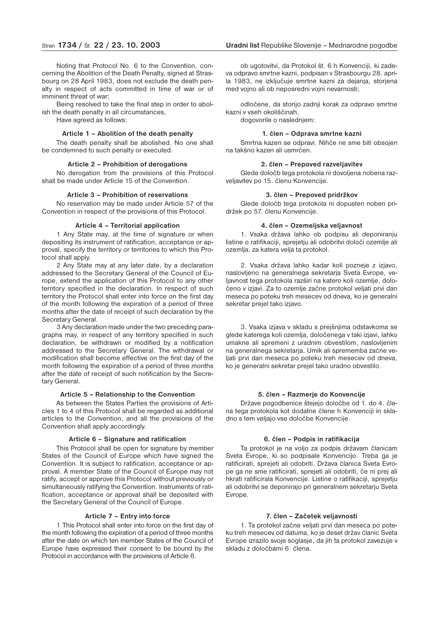Noting that Protocol No. 6 to the Convention, concerning the Abolition of the Death Penalty, signed at Strasbourg on 28 April 1983, does not exclude the death penalty in respect of acts committed in time of war or of imminent threat of war;

Being resolved to take the final step in order to abolish the death penalty in all circumstances,

Have agreed as follows:

# **Article 1 – Abolition of the death penalty**

The death penalty shall be abolished. No one shall be condemned to such penalty or executed.

# **Article 2 – Prohibition of derogations**

No derogation from the provisions of this Protocol shall be made under Article 15 of the Convention.

# **Article 3 – Prohibition of reservations**

No reservation may be made under Article 57 of the Convention in respect of the provisions of this Protocol.

# **Article 4 – Territorial application**

1 Any State may, at the time of signature or when depositing its instrument of ratification, acceptance or approval, specify the territory or territories to which this Protocol shall apply.

2 Any State may at any later date, by a declaration addressed to the Secretary General of the Council of Europe, extend the application of this Protocol to any other territory specified in the declaration. In respect of such territory the Protocol shall enter into force on the first day of the month following the expiration of a period of three months after the date of receipt of such declaration by the Secretary General.

3 Any declaration made under the two preceding paragraphs may, in respect of any territory specified in such declaration, be withdrawn or modified by a notification addressed to the Secretary General. The withdrawal or modification shall become effective on the first day of the month following the expiration of a period of three months after the date of receipt of such notification by the Secretary General.

#### **Article 5 – Relationship to the Convention**

As between the States Parties the provisions of Articles 1 to 4 of this Protocol shall be regarded as additional articles to the Convention, and all the provisions of the Convention shall apply accordingly.

# **Article 6 – Signature and ratification**

This Protocol shall be open for signature by member States of the Council of Europe which have signed the Convention. It is subject to ratification, acceptance or approval. A member State of the Council of Europe may not ratify, accept or approve this Protocol without previously or simultaneously ratifying the Convention. Instruments of ratification, acceptance or approval shall be deposited with the Secretary General of the Council of Europe.

#### **Article 7 – Entry into force**

1 This Protocol shall enter into force on the first day of the month following the expiration of a period of three months after the date on which ten member States of the Council of Europe have expressed their consent to be bound by the Protocol in accordance with the provisions of Article 6.

ob ugotovitvi, da Protokol št. 6 h Konvenciji, ki zadeva odpravo smrtne kazni, podpisan v Strasbourgu 28. aprila 1983, ne izključuje smrtne kazni za dejanja, storjena med vojno ali ob neposredni vojni nevarnosti;

odločene, da storijo zadnji korak za odpravo smrtne kazni v vseh okoliščinah,

dogovorile o naslednjem:

# **1. člen – Odprava smrtne kazni**

Smrtna kazen se odpravi. Nihče ne sme biti obsojen na takšno kazen ali usmrčen.

# **2. člen – Prepoved razveljavitev**

Glede določb tega protokola ni dovoljena nobena razveljavitev po 15. členu Konvencije.

#### **3. člen – Prepoved pridržkov**

Glede določb tega protokola ni dopusten noben pridržek po 57. členu Konvencije.

# **4. člen – Ozemeljska veljavnost**

1. Vsaka država lahko ob podpisu ali deponiranju listine o ratifikaciji, sprejetju ali odobritvi določi ozemlje ali ozemlja, za katera velja ta protokol.

2. Vsaka država lahko kadar koli pozneje z izjavo, naslovljeno na generalnega sekretarja Sveta Evrope, veljavnost tega protokola razširi na katero koli ozemlje, določeno v izjavi. Za to ozemlje začne protokol veljati prvi dan meseca po poteku treh mesecev od dneva, ko je generalni sekretar prejel tako izjavo.

3. Vsaka izjava v skladu s prejšnjima odstavkoma se glede katerega koli ozemlja, določenega v taki izjavi, lahko umakne ali spremeni z uradnim obvestilom, naslovljenim na generalnega sekretarja. Umik ali sprememba začne veljati prvi dan meseca po poteku treh mesecev od dneva, ko je generalni sekretar prejel tako uradno obvestilo.

#### **5. člen – Razmerje do Konvencije**

Države pogodbenice štejejo določbe od 1. do 4. člena tega protokola kot dodatne člene h Konvenciji in skladno s tem veljajo vse določbe Konvencije.

# **6. člen – Podpis in ratifikacija**

Ta protokol je na voljo za podpis državam članicam Sveta Evrope, ki so podpisale Konvencijo. Treba ga je ratificirati, sprejeti ali odobriti. Država članica Sveta Evrope ga ne sme ratificirati, sprejeti ali odobriti, če ni prej ali hkrati ratificirala Konvencije. Listine o ratifikaciji, sprejetju ali odobritvi se deponirajo pri generalnem sekretarju Sveta Evrope.

# **7. člen – Začetek veljavnosti**

1. Ta protokol začne veljati prvi dan meseca po poteku treh mesecev od datuma, ko je deset držav članic Sveta Evrope izrazilo svoje soglasje, da jih ta protokol zavezuje v skladu z določbami 6. člena.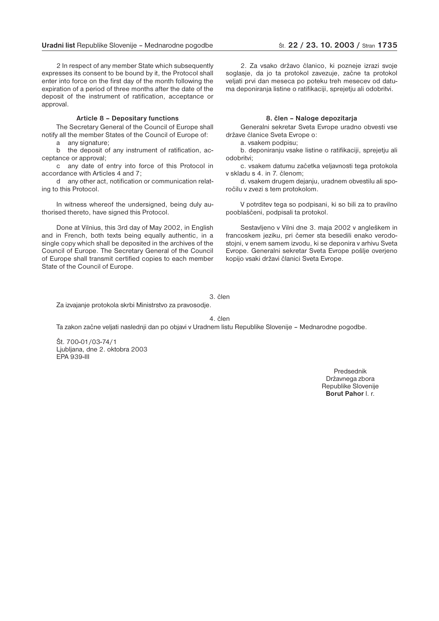2 In respect of any member State which subsequently expresses its consent to be bound by it, the Protocol shall enter into force on the first day of the month following the expiration of a period of three months after the date of the deposit of the instrument of ratification, acceptance or approval.

# **Article 8 – Depositary functions**

The Secretary General of the Council of Europe shall notify all the member States of the Council of Europe of:

a any signature;

b the deposit of any instrument of ratification, acceptance or approval;

c any date of entry into force of this Protocol in accordance with Articles 4 and 7;

d any other act, notification or communication relating to this Protocol.

In witness whereof the undersigned, being duly authorised thereto, have signed this Protocol.

Done at Vilnius, this 3rd day of May 2002, in English and in French, both texts being equally authentic, in a single copy which shall be deposited in the archives of the Council of Europe. The Secretary General of the Council of Europe shall transmit certified copies to each member State of the Council of Europe.

2. Za vsako državo članico, ki pozneje izrazi svoje soglasje, da jo ta protokol zavezuje, začne ta protokol veljati prvi dan meseca po poteku treh mesecev od datuma deponiranja listine o ratifikaciji, sprejetju ali odobritvi.

# **8. člen – Naloge depozitarja**

Generalni sekretar Sveta Evrope uradno obvesti vse države članice Sveta Evrope o:

a. vsakem podpisu;

b. deponiranju vsake listine o ratifikaciji, sprejetju ali odobritvi;

c. vsakem datumu začetka veljavnosti tega protokola v skladu s 4. in 7. členom;

d. vsakem drugem dejanju, uradnem obvestilu ali sporočilu v zvezi s tem protokolom.

V potrditev tega so podpisani, ki so bili za to pravilno pooblaščeni, podpisali ta protokol.

Sestavljeno v Vilni dne 3. maja 2002 v angleškem in francoskem jeziku, pri čemer sta besedili enako verodostojni, v enem samem izvodu, ki se deponira v arhivu Sveta Evrope. Generalni sekretar Sveta Evrope pošlje overjeno kopijo vsaki državi članici Sveta Evrope.

3. člen

Za izvajanje protokola skrbi Ministrstvo za pravosodje.

4. člen

Ta zakon začne veljati naslednji dan po objavi v Uradnem listu Republike Slovenije – Mednarodne pogodbe.

Št. 700-01/03-74/1 Ljubljana, dne 2. oktobra 2003 EPA 939-III

> Predsednik Državnega zbora Republike Slovenije **Borut Pahor** l. r.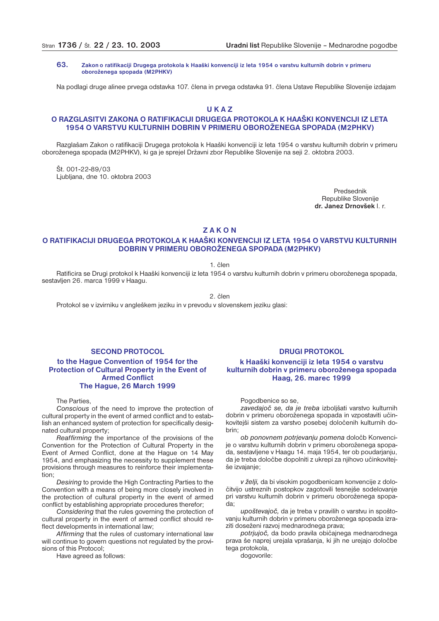**63. Zakon o ratifikaciji Drugega protokola k Haaški konvenciji iz leta 1954 o varstvu kulturnih dobrin v primeru oboroženega spopada (M2PHKV)**

Na podlagi druge alinee prvega odstavka 107. člena in prvega odstavka 91. člena Ustave Republike Slovenije izdajam

# **U K A Z**

# **O RAZGLASITVI ZAKONA O RATIFIKACIJI DRUGEGA PROTOKOLA K HAAŠKI KONVENCIJI IZ LETA 1954 O VARSTVU KULTURNIH DOBRIN V PRIMERU OBOROŽENEGA SPOPADA (M2PHKV)**

Razglašam Zakon o ratifikaciji Drugega protokola k Haaški konvenciji iz leta 1954 o varstvu kulturnih dobrin v primeru oboroženega spopada (M2PHKV), ki ga je sprejel Državni zbor Republike Slovenije na seji 2. oktobra 2003.

Št. 001-22-89/03 Ljubljana, dne 10. oktobra 2003

> Predsednik Republike Slovenije **dr. Janez Drnovšek** l. r.

# **Z A K O N**

# **O RATIFIKACIJI DRUGEGA PROTOKOLA K HAAŠKI KONVENCIJI IZ LETA 1954 O VARSTVU KULTURNIH DOBRIN V PRIMERU OBOROŽENEGA SPOPADA (M2PHKV)**

1. člen

Ratificira se Drugi protokol k Haaški konvenciji iz leta 1954 o varstvu kulturnih dobrin v primeru oboroženega spopada, sestavljen 26. marca 1999 v Haagu.

2. člen

Protokol se v izvirniku v angleškem jeziku in v prevodu v slovenskem jeziku glasi:

# **SECOND PROTOCOL**

# **to the Hague Convention of 1954 for the Protection of Cultural Property in the Event of Armed Conflict The Hague, 26 March 1999**

The Parties,

*Conscious* of the need to improve the protection of cultural property in the event of armed conflict and to establish an enhanced system of protection for specifically designated cultural property;

*Reaffirming* the importance of the provisions of the Convention for the Protection of Cultural Property in the Event of Armed Conflict, done at the Hague on 14 May 1954, and emphasizing the necessity to supplement these provisions through measures to reinforce their implementation;

*Desiring* to provide the High Contracting Parties to the Convention with a means of being more closely involved in the protection of cultural property in the event of armed conflict by establishing appropriate procedures therefor;

*Considering* that the rules governing the protection of cultural property in the event of armed conflict should reflect developments in international law;

*Affirming* that the rules of customary international law will continue to govern questions not regulated by the provisions of this Protocol;

Have agreed as follows:

# **DRUGI PROTOKOL**

# **k Haaški konvenciji iz leta 1954 o varstvu kulturnih dobrin v primeru oboroženega spopada Haag, 26. marec 1999**

# Pogodbenice so se,

*zavedajoč se, da je treba* izboljšati varstvo kulturnih dobrin v primeru oboroženega spopada in vzpostaviti učinkovitejši sistem za varstvo posebej določenih kulturnih dobrin;

*ob ponovnem potrjevanju pomena* določb Konvencije o varstvu kulturnih dobrin v primeru oboroženega spopada, sestavljene v Haagu 14. maja 1954, ter ob poudarjanju, da je treba določbe dopolniti z ukrepi za njihovo učinkovitejše izvajanje;

*v želji,* da bi visokim pogodbenicam konvencije z določitvijo ustreznih postopkov zagotovili tesnejše sodelovanje pri varstvu kulturnih dobrin v primeru oboroženega spopada;

*upoštevajoč,* da je treba v pravilih o varstvu in spoštovanju kulturnih dobrin v primeru oboroženega spopada izraziti doseženi razvoj mednarodnega prava;

*potrjujoč,* da bodo pravila običajnega mednarodnega prava še naprej urejala vprašanja, ki jih ne urejajo določbe tega protokola,

dogovorile: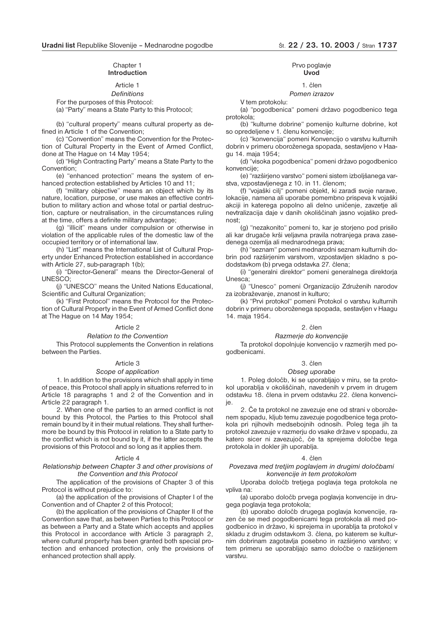# Chapter 1 **Introduction**

# Article 1

*Definitions* For the purposes of this Protocol: (a) "Party" means a State Party to this Protocol;

(b) "cultural property" means cultural property as defined in Article 1 of the Convention;

(c) "Convention" means the Convention for the Protection of Cultural Property in the Event of Armed Conflict, done at The Hague on 14 May 1954;

(d) "High Contracting Party" means a State Party to the Convention;

(e) "enhanced protection" means the system of enhanced protection established by Articles 10 and 11;

(f) "military objective" means an object which by its nature, location, purpose, or use makes an effective contribution to military action and whose total or partial destruction, capture or neutralisation, in the circumstances ruling at the time, offers a definite military advantage;

(g) "illicit" means under compulsion or otherwise in violation of the applicable rules of the domestic law of the occupied territory or of international law.

(h) "List" means the International List of Cultural Property under Enhanced Protection established in accordance with Article 27, sub-paragraph 1(b);

(i) "Director-General" means the Director-General of UNESCO;

(j) "UNESCO" means the United Nations Educational, Scientific and Cultural Organization;

(k) "First Protocol" means the Protocol for the Protection of Cultural Property in the Event of Armed Conflict done at The Hague on 14 May 1954;

# Article 2

# *Relation to the Convention*

This Protocol supplements the Convention in relations between the Parties.

#### Article 3

# *Scope of application*

1. In addition to the provisions which shall apply in time of peace, this Protocol shall apply in situations referred to in Article 18 paragraphs 1 and 2 of the Convention and in Article 22 paragraph 1.

2. When one of the parties to an armed conflict is not bound by this Protocol, the Parties to this Protocol shall remain bound by it in their mutual relations. They shall furthermore be bound by this Protocol in relation to a State party to the conflict which is not bound by it, if the latter accepts the provisions of this Protocol and so long as it applies them.

#### Article 4

# *Relationship between Chapter 3 and other provisions of the Convention and this Protocol*

The application of the provisions of Chapter 3 of this Protocol is without prejudice to:

(a) the application of the provisions of Chapter I of the Convention and of Chapter 2 of this Protocol;

(b) the application of the provisions of Chapter II of the Convention save that, as between Parties to this Protocol or as between a Party and a State which accepts and applies this Protocol in accordance with Article 3 paragraph 2, where cultural property has been granted both special protection and enhanced protection, only the provisions of enhanced protection shall apply.

# Prvo poglavje **Uvod**

# 1. člen

# *Pomen izrazov*

V tem protokolu:

(a) "pogodbenica" pomeni državo pogodbenico tega protokola;

(b) "kulturne dobrine" pomenijo kulturne dobrine, kot so opredeljene v 1. členu konvencije;

(c) "konvencija" pomeni Konvencijo o varstvu kulturnih dobrin v primeru oboroženega spopada, sestavljeno v Haagu 14. maja 1954;

(d) "visoka pogodbenica" pomeni državo pogodbenico konvencije;

(e) "razširjeno varstvo" pomeni sistem izboljšanega varstva, vzpostavljenega z 10. in 11. členom;

(f) "vojaški cilj" pomeni objekt, ki zaradi svoje narave, lokacije, namena ali uporabe pomembno prispeva k vojaški akciji in katerega popolno ali delno uničenje, zavzetje ali nevtralizacija daje v danih okoliščinah jasno vojaško prednost;

(g) "nezakonito" pomeni to, kar je storjeno pod prisilo ali kar drugače krši veljavna pravila notranjega prava zasedenega ozemlja ali mednarodnega prava;

(h) "seznam" pomeni mednarodni seznam kulturnih dobrin pod razširjenim varstvom, vzpostavljen skladno s pododstavkom (b) prvega odstavka 27. člena;

(i) "generalni direktor" pomeni generalnega direktorja Unesca;

(j) "Unesco" pomeni Organizacijo Združenih narodov za izobraževanje, znanost in kulturo;

(k) "Prvi protokol" pomeni Protokol o varstvu kulturnih dobrin v primeru oboroženega spopada, sestavljen v Haagu 14. maja 1954.

# 2. člen

# *Razmerje do konvencije*

Ta protokol dopolnjuje konvencijo v razmerjih med pogodbenicami.

#### 3. člen

# *Obseg uporabe*

1. Poleg določb, ki se uporabljajo v miru, se ta protokol uporablja v okoliščinah, navedenih v prvem in drugem odstavku 18. člena in prvem odstavku 22. člena konvencije.

2. Če ta protokol ne zavezuje ene od strani v oboroženem spopadu, kljub temu zavezuje pogodbenice tega protokola pri njihovih medsebojnih odnosih. Poleg tega jih ta protokol zavezuje v razmerju do vsake države v spopadu, za katero sicer ni zavezujoč, če ta sprejema določbe tega protokola in dokler jih uporablja.

# 4. člen

# *Povezava med tretjim poglavjem in drugimi določbami konvencije in tem protokolom*

Uporaba določb tretjega poglavja tega protokola ne vpliva na:

(a) uporabo določb prvega poglavja konvencije in drugega poglavja tega protokola;

(b) uporabo določb drugega poglavja konvencije, razen če se med pogodbenicami tega protokola ali med pogodbenico in državo, ki sprejema in uporablja ta protokol v skladu z drugim odstavkom 3. člena, po katerem se kulturnim dobrinam zagotavlja posebno in razširjeno varstvo; v tem primeru se uporabljajo samo določbe o razširjenem varstvu.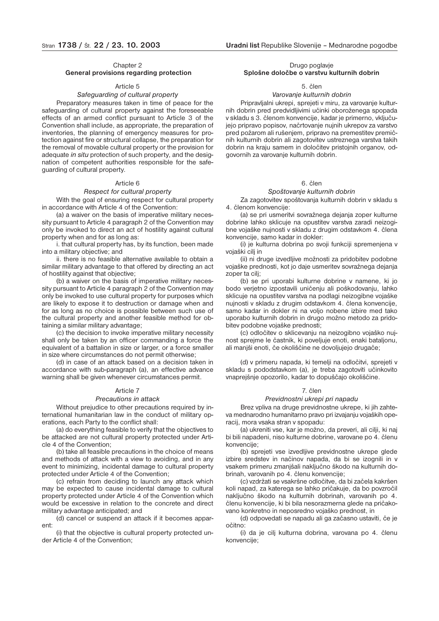# Chapter 2  **General provisions regarding protection**

#### Article 5

# *Safeguarding of cultural property*

Preparatory measures taken in time of peace for the safeguarding of cultural property against the foreseeable effects of an armed conflict pursuant to Article 3 of the Convention shall include, as appropriate, the preparation of inventories, the planning of emergency measures for protection against fire or structural collapse, the preparation for the removal of movable cultural property or the provision for adequate *in situ* protection of such property, and the designation of competent authorities responsible for the safeguarding of cultural property.

# Article 6

#### *Respect for cultural property*

With the goal of ensuring respect for cultural property in accordance with Article 4 of the Convention:

(a) a waiver on the basis of imperative military necessity pursuant to Article 4 paragraph 2 of the Convention may only be invoked to direct an act of hostility against cultural property when and for as long as:

i. that cultural property has, by its function, been made into a military objective; and

ii. there is no feasible alternative available to obtain a similar military advantage to that offered by directing an act of hostility against that objective;

(b) a waiver on the basis of imperative military necessity pursuant to Article 4 paragraph 2 of the Convention may only be invoked to use cultural property for purposes which are likely to expose it to destruction or damage when and for as long as no choice is possible between such use of the cultural property and another feasible method for obtaining a similar military advantage;

(c) the decision to invoke imperative military necessity shall only be taken by an officer commanding a force the equivalent of a battalion in size or larger, or a force smaller in size where circumstances do not permit otherwise;

(d) in case of an attack based on a decision taken in accordance with sub-paragraph (a), an effective advance warning shall be given whenever circumstances permit.

# Article 7

#### *Precautions in attack*

Without prejudice to other precautions required by international humanitarian law in the conduct of military operations, each Party to the conflict shall:

(a) do everything feasible to verify that the objectives to be attacked are not cultural property protected under Article 4 of the Convention;

(b) take all feasible precautions in the choice of means and methods of attack with a view to avoiding, and in any event to minimizing, incidental damage to cultural property protected under Article 4 of the Convention;

(c) refrain from deciding to launch any attack which may be expected to cause incidental damage to cultural property protected under Article 4 of the Convention which would be excessive in relation to the concrete and direct military advantage anticipated; and

(d) cancel or suspend an attack if it becomes apparent:

(i) that the objective is cultural property protected under Article 4 of the Convention;

# Drugo poglavje **Splošne določbe o varstvu kulturnih dobrin**

# 5. člen

# *Varovanje kulturnih dobrin*

Pripravljalni ukrepi, sprejeti v miru, za varovanje kulturnih dobrin pred predvidljivimi učinki oboroženega spopada v skladu s 3. členom konvencije, kadar je primerno, vključujejo pripravo popisov, načrtovanje nujnih ukrepov za varstvo pred požarom ali rušenjem, pripravo na premestitev premičnih kulturnih dobrin ali zagotovitev ustreznega varstva takih dobrin na kraju samem in določitev pristojnih organov, odgovornih za varovanje kulturnih dobrin.

# 6. člen

# *Spoštovanje kulturnih dobrin*

Za zagotovitev spoštovanja kulturnih dobrin v skladu s 4. členom konvencije:

(a) se pri usmeritvi sovražnega dejanja zoper kulturne dobrine lahko sklicuje na opustitev varstva zaradi neizogibne vojaške nujnosti v skladu z drugim odstavkom 4. člena konvencije, samo kadar in dokler:

(i) je kulturna dobrina po svoji funkciji spremenjena v vojaški cilj in

(ii) ni druge izvedljive možnosti za pridobitev podobne vojaške prednosti, kot jo daje usmeritev sovražnega dejanja zoper ta cili:

(b) se pri uporabi kulturne dobrine v namene, ki jo bodo verjetno izpostavili uničenju ali poškodovanju, lahko sklicuje na opustitev varstva na podlagi neizogibne vojaške nujnosti v skladu z drugim odstavkom 4. člena konvencije, samo kadar in dokler ni na voljo nobene izbire med tako uporabo kulturnih dobrin in drugo možno metodo za pridobitev podobne vojaške prednosti;

(c) odločitev o sklicevanju na neizogibno vojaško nujnost sprejme le častnik, ki poveljuje enoti, enaki bataljonu, ali manjši enoti, če okoliščine ne dovoljujejo drugače;

(d) v primeru napada, ki temelji na odločitvi, sprejeti v skladu s pododstavkom (a), je treba zagotoviti učinkovito vnaprejšnje opozorilo, kadar to dopuščajo okoliščine.

# 7. člen

# *Previdnostni ukrepi pri napadu*

Brez vpliva na druge previdnostne ukrepe, ki jih zahteva mednarodno humanitarno pravo pri izvajanju vojaških operacij, mora vsaka stran v spopadu:

(a) ukreniti vse, kar je možno, da preveri, ali cilji, ki naj bi bili napadeni, niso kulturne dobrine, varovane po 4. členu konvencije;

(b) sprejeti vse izvedljive previdnostne ukrepe glede izbire sredstev in načinov napada, da bi se izognili in v vsakem primeru zmanjšali naključno škodo na kulturnih dobrinah, varovanih po 4. členu konvencije;

(c) vzdržati se vsakršne odločitve, da bi začela kakršen koli napad, za katerega se lahko pričakuje, da bo povzročil naključno škodo na kulturnih dobrinah, varovanih po 4. členu konvencije, ki bi bila nesorazmerna glede na pričakovano konkretno in neposredno vojaško prednost, in

(d) odpovedati se napadu ali ga začasno ustaviti, če je očitno:

(i) da je cilj kulturna dobrina, varovana po 4. členu konvencije;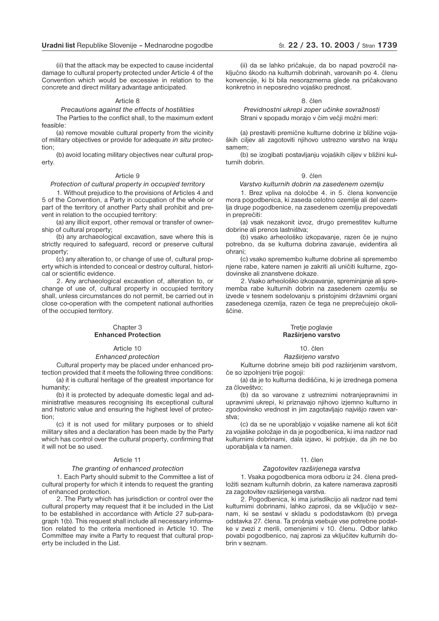(ii) that the attack may be expected to cause incidental damage to cultural property protected under Article 4 of the Convention which would be excessive in relation to the concrete and direct military advantage anticipated.

# Article 8

# *Precautions against the effects of hostilities*

The Parties to the conflict shall, to the maximum extent feasible:

(a) remove movable cultural property from the vicinity of military objectives or provide for adequate *in situ* protection;

(b) avoid locating military objectives near cultural property.

#### Article 9

# *Protection of cultural property in occupied territory*

1. Without prejudice to the provisions of Articles 4 and 5 of the Convention, a Party in occupation of the whole or part of the territory of another Party shall prohibit and prevent in relation to the occupied territory:

(a) any illicit export, other removal or transfer of ownership of cultural property;

(b) any archaeological excavation, save where this is strictly required to safeguard, record or preserve cultural property;

(c) any alteration to, or change of use of, cultural property which is intended to conceal or destroy cultural, historical or scientific evidence.

2. Any archaeological excavation of, alteration to, or change of use of, cultural property in occupied territory shall, unless circumstances do not permit, be carried out in close co-operation with the competent national authorities of the occupied territory.

# Chapter 3 **Enhanced Protection**

#### Article 10

# *Enhanced protection*

Cultural property may be placed under enhanced protection provided that it meets the following three conditions:

(a) it is cultural heritage of the greatest importance for humanity;

(b) it is protected by adequate domestic legal and administrative measures recognising its exceptional cultural and historic value and ensuring the highest level of protection;

(c) it is not used for military purposes or to shield military sites and a declaration has been made by the Party which has control over the cultural property, confirming that it will not be so used.

#### Article 11

# *The granting of enhanced protection*

1. Each Party should submit to the Committee a list of cultural property for which it intends to request the granting of enhanced protection.

2. The Party which has jurisdiction or control over the cultural property may request that it be included in the List to be established in accordance with Article 27 sub-paragraph 1(b). This request shall include all necessary information related to the criteria mentioned in Article 10. The Committee may invite a Party to request that cultural property be included in the List.

(ii) da se lahko pričakuje, da bo napad povzročil naključno škodo na kulturnih dobrinah, varovanih po 4. členu konvencije, ki bi bila nesorazmerna glede na pričakovano konkretno in neposredno vojaško prednost.

# 8. člen

# *Previdnostni ukrepi zoper učinke sovražnosti* Strani v spopadu morajo v čim večji možni meri:

(a) prestaviti premične kulturne dobrine iz bližine vojaških ciljev ali zagotoviti njihovo ustrezno varstvo na kraju samem;

(b) se izogibati postavljanju vojaških ciljev v bližini kulturnih dobrin.

# 9. člen

# *Varstvo kulturnih dobrin na zasedenem ozemlju*

1. Brez vpliva na določbe 4. in 5. člena konvencije mora pogodbenica, ki zaseda celotno ozemlje ali del ozemlja druge pogodbenice, na zasedenem ozemlju prepovedati in preprečiti:

(a) vsak nezakonit izvoz, drugo premestitev kulturne dobrine ali prenos lastništva;

(b) vsako arheološko izkopavanje, razen če je nujno potrebno, da se kulturna dobrina zavaruje, evidentira ali ohrani;

(c) vsako spremembo kulturne dobrine ali spremembo njene rabe, katere namen je zakriti ali uničiti kulturne, zgodovinske ali znanstvene dokaze.

2. Vsako arheološko izkopavanje, spreminjanje ali sprememba rabe kulturnih dobrin na zasedenem ozemlju se izvede v tesnem sodelovanju s pristojnimi državnimi organi zasedenega ozemlja, razen če tega ne preprečujejo okoliščine.

# Tretje poglavje **Razširjeno varstvo**

#### 10. člen

#### *Razširjeno varstvo*

Kulturne dobrine smejo biti pod razširjenim varstvom, če so izpolnjeni trije pogoji:

(a) da je to kulturna dediščina, ki je izrednega pomena za človeštvo;

(b) da so varovane z ustreznimi notranjepravnimi in upravnimi ukrepi, ki priznavajo njihovo izjemno kulturno in zgodovinsko vrednost in jim zagotavljajo najvišjo raven varstva;

(c) da se ne uporabljajo v vojaške namene ali kot ščit za vojaške položaje in da je pogodbenica, ki ima nadzor nad kulturnimi dobrinami, dala izjavo, ki potrjuje, da jih ne bo uporabljala v ta namen.

#### 11. člen

# *Zagotovitev razširjenega varstva*

1. Vsaka pogodbenica mora odboru iz 24. člena predložiti seznam kulturnih dobrin, za katere namerava zaprositi za zagotovitev razširjenega varstva.

2. Pogodbenica, ki ima jurisdikcijo ali nadzor nad temi kulturnimi dobrinami, lahko zaprosi, da se vključijo v seznam, ki se sestavi v skladu s pododstavkom (b) prvega odstavka 27. člena. Ta prošnja vsebuje vse potrebne podatke v zvezi z merili, omenjenimi v 10. členu. Odbor lahko povabi pogodbenico, naj zaprosi za vključitev kulturnih dobrin v seznam.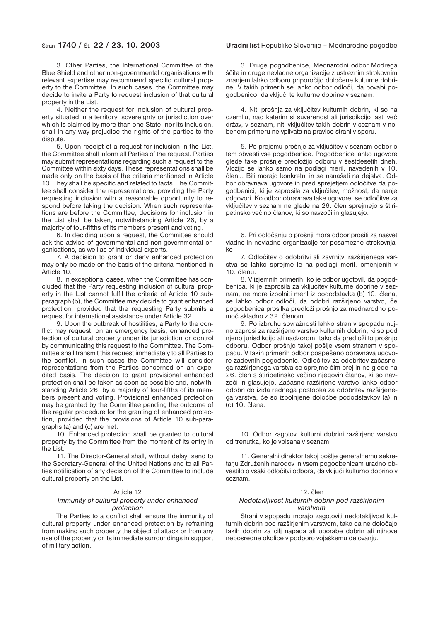3. Other Parties, the International Committee of the Blue Shield and other non-governmental organisations with relevant expertise may recommend specific cultural property to the Committee. In such cases, the Committee may decide to invite a Party to request inclusion of that cultural property in the List.

4. Neither the request for inclusion of cultural property situated in a territory, sovereignty or jurisdiction over which is claimed by more than one State, nor its inclusion, shall in any way prejudice the rights of the parties to the dispute.

5. Upon receipt of a request for inclusion in the List, the Committee shall inform all Parties of the request. Parties may submit representations regarding such a request to the Committee within sixty days. These representations shall be made only on the basis of the criteria mentioned in Article 10. They shall be specific and related to facts. The Committee shall consider the representations, providing the Party requesting inclusion with a reasonable opportunity to respond before taking the decision. When such representations are before the Committee, decisions for inclusion in the List shall be taken, notwithstanding Article 26, by a majority of four-fifths of its members present and voting.

6. In deciding upon a request, the Committee should ask the advice of governmental and non-governmental organisations, as well as of individual experts.

7. A decision to grant or deny enhanced protection may only be made on the basis of the criteria mentioned in Article 10.

8. In exceptional cases, when the Committee has concluded that the Party requesting inclusion of cultural property in the List cannot fulfil the criteria of Article 10 subparagraph (b), the Committee may decide to grant enhanced protection, provided that the requesting Party submits a request for international assistance under Article 32.

9. Upon the outbreak of hostilities, a Party to the conflict may request, on an emergency basis, enhanced protection of cultural property under its jurisdiction or control by communicating this request to the Committee. The Committee shall transmit this request immediately to all Parties to the conflict. In such cases the Committee will consider representations from the Parties concerned on an expedited basis. The decision to grant provisional enhanced protection shall be taken as soon as possible and, notwithstanding Article 26, by a majority of four-fifths of its members present and voting. Provisional enhanced protection may be granted by the Committee pending the outcome of the regular procedure for the granting of enhanced protection, provided that the provisions of Article 10 sub-paragraphs (a) and (c) are met.

10. Enhanced protection shall be granted to cultural property by the Committee from the moment of its entry in the List.

11. The Director-General shall, without delay, send to the Secretary-General of the United Nations and to all Parties notification of any decision of the Committee to include cultural property on the List.

#### Article 12

# *Immunity of cultural property under enhanced protection*

The Parties to a conflict shall ensure the immunity of cultural property under enhanced protection by refraining from making such property the object of attack or from any use of the property or its immediate surroundings in support of military action.

3. Druge pogodbenice, Mednarodni odbor Modrega ščita in druge nevladne organizacije z ustreznim strokovnim znanjem lahko odboru priporočijo določene kulturne dobrine. V takih primerih se lahko odbor odloči, da povabi pogodbenico, da vključi te kulturne dobrine v seznam.

4. Niti prošnja za vključitev kulturnih dobrin, ki so na ozemlju, nad katerim si suverenost ali jurisdikcijo lasti več držav, v seznam, niti vključitev takih dobrin v seznam v nobenem primeru ne vplivata na pravice strani v sporu.

5. Po prejemu prošnje za vključitev v seznam odbor o tem obvesti vse pogodbenice. Pogodbenice lahko ugovore glede take prošnje predložijo odboru v šestdesetih dneh. Vložijo se lahko samo na podlagi meril, navedenih v 10. členu. Biti morajo konkretni in se nanašati na dejstva. Odbor obravnava ugovore in pred sprejetjem odločitve da pogodbenici, ki je zaprosila za vključitev, možnost, da nanje odgovori. Ko odbor obravnava take ugovore, se odločitve za vključitev v seznam ne glede na 26. člen sprejmejo s štiripetinsko večino članov, ki so navzoči in glasujejo.

6. Pri odločanju o prošnji mora odbor prositi za nasvet vladne in nevladne organizacije ter posamezne strokovnjake.

7. Odločitev o odobritvi ali zavrnitvi razširjenega varstva se lahko sprejme le na podlagi meril, omenjenih v 10. členu.

8. V izjemnih primerih, ko je odbor ugotovil, da pogodbenica, ki je zaprosila za vključitev kulturne dobrine v seznam, ne more izpolniti meril iz pododstavka (b) 10. člena, se lahko odbor odloči, da odobri razširjeno varstvo, če pogodbenica prosilka predloži prošnjo za mednarodno pomoč skladno z 32. členom.

9. Po izbruhu sovražnosti lahko stran v spopadu nujno zaprosi za razširjeno varstvo kulturnih dobrin, ki so pod njeno jurisdikcijo ali nadzorom, tako da predloži to prošnjo odboru. Odbor prošnjo takoj pošlje vsem stranem v spopadu. V takih primerih odbor pospešeno obravnava ugovore zadevnih pogodbenic. Odločitev za odobritev začasnega razširjenega varstva se sprejme čim prej in ne glede na 26. člen s štiripetinsko večino njegovih članov, ki so navzoči in glasujejo. Začasno razširjeno varstvo lahko odbor odobri do izida rednega postopka za odobritev razširjenega varstva, če so izpolnjene določbe pododstavkov (a) in (c) 10. člena.

10. Odbor zagotovi kulturni dobrini razširjeno varstvo od trenutka, ko je vpisana v seznam.

11. Generalni direktor takoj pošlje generalnemu sekretarju Združenih narodov in vsem pogodbenicam uradno obvestilo o vsaki odločitvi odbora, da vključi kulturno dobrino v seznam.

#### 12. člen

# *Nedotakljivost kulturnih dobrin pod razširjenim varstvom*

Strani v spopadu morajo zagotoviti nedotakljivost kulturnih dobrin pod razširjenim varstvom, tako da ne določajo takih dobrin za cilj napada ali uporabe dobrin ali njihove neposredne okolice v podporo vojaškemu delovanju.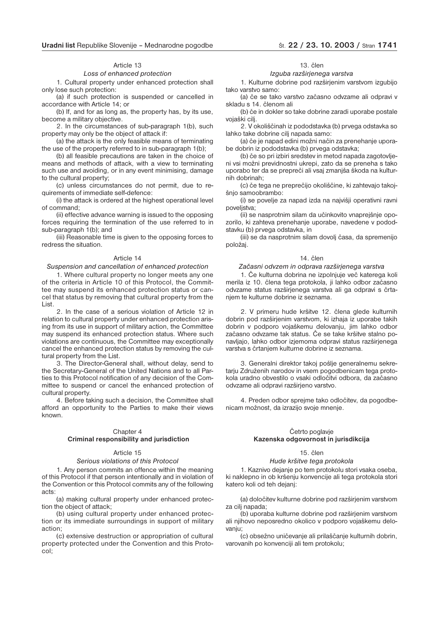#### *Loss of enhanced protection*

1. Cultural property under enhanced protection shall only lose such protection:

(a) if such protection is suspended or cancelled in accordance with Article 14; or

(b) If, and for as long as, the property has, by its use, become a military objective.

2. In the circumstances of sub-paragraph 1(b), such property may only be the object of attack if:

(a) the attack is the only feasible means of terminating the use of the property referred to in sub-paragraph 1(b);

(b) all feasible precautions are taken in the choice of means and methods of attack, with a view to terminating such use and avoiding, or in any event minimising, damage to the cultural property;

(c) unless circumstances do not permit, due to requirements of immediate self-defence:

(i) the attack is ordered at the highest operational level of command;

(ii) effective advance warning is issued to the opposing forces requiring the termination of the use referred to in sub-paragraph 1(b); and

(iii) Reasonable time is given to the opposing forces to redress the situation.

### Article 14

#### *Suspension and cancellation of enhanced protection*

1. Where cultural property no longer meets any one of the criteria in Article 10 of this Protocol, the Committee may suspend its enhanced protection status or cancel that status by removing that cultural property from the List.

2. In the case of a serious violation of Article 12 in relation to cultural property under enhanced protection arising from its use in support of military action, the Committee may suspend its enhanced protection status. Where such violations are continuous, the Committee may exceptionally cancel the enhanced protection status by removing the cultural property from the List.

3. The Director-General shall, without delay, send to the Secretary-General of the United Nations and to all Parties to this Protocol notification of any decision of the Committee to suspend or cancel the enhanced protection of cultural property.

4. Before taking such a decision, the Committee shall afford an opportunity to the Parties to make their views known.

# Chapter 4  **Criminal responsibility and jurisdiction**

#### Article 15

#### *Serious violations of this Protocol*

1. Any person commits an offence within the meaning of this Protocol if that person intentionally and in violation of the Convention or this Protocol commits any of the following acts:

(a) making cultural property under enhanced protection the object of attack;

(b) using cultural property under enhanced protection or its immediate surroundings in support of military action;

(c) extensive destruction or appropriation of cultural property protected under the Convention and this Protocol;

#### 13. člen

#### *Izguba razširjenega varstva*

1. Kulturne dobrine pod razširjenim varstvom izgubijo tako varstvo samo:

(a) če se tako varstvo začasno odvzame ali odpravi v skladu s 14. členom ali

(b) če in dokler so take dobrine zaradi uporabe postale vojaški cilj.

2. V okoliščinah iz pododstavka (b) prvega odstavka so lahko take dobrine cilj napada samo:

(a) če je napad edini možni način za prenehanje uporabe dobrin iz pododstavka (b) prvega odstavka;

(b) če so pri izbiri sredstev in metod napada zagotovljeni vsi možni previdnostni ukrepi, zato da se preneha s tako uporabo ter da se prepreči ali vsaj zmanjša škoda na kulturnih dobrinah;

(c) če tega ne preprečijo okoliščine, ki zahtevajo takojšnjo samoobrambo:

(i) se povelje za napad izda na najvišji operativni ravni poveljstva;

(ii) se nasprotnim silam da učinkovito vnaprejšnje opozorilo, ki zahteva prenehanje uporabe, navedene v pododstavku (b) prvega odstavka, in

(iii) se da nasprotnim silam dovolj časa, da spremenijo položaj.

### 14. člen

#### *Začasni odvzem in odprava razširjenega varstva*

1. Če kulturna dobrina ne izpolnjuje več katerega koli merila iz 10. člena tega protokola, ji lahko odbor začasno odvzame status razširjenega varstva ali ga odpravi s črtanjem te kulturne dobrine iz seznama.

2. V primeru hude kršitve 12. člena glede kulturnih dobrin pod razširjenim varstvom, ki izhaja iz uporabe takih dobrin v podporo vojaškemu delovanju, jim lahko odbor začasno odvzame tak status. Če se take kršitve stalno ponavljajo, lahko odbor izjemoma odpravi status razširjenega varstva s črtanjem kulturne dobrine iz seznama.

3. Generalni direktor takoj pošlje generalnemu sekretarju Združenih narodov in vsem pogodbenicam tega protokola uradno obvestilo o vsaki odločitvi odbora, da začasno odvzame ali odpravi razširjeno varstvo.

4. Preden odbor sprejme tako odločitev, da pogodbenicam možnost, da izrazijo svoje mnenje.

# Četrto poglavje **Kazenska odgovornost in jurisdikcija**

## 15. člen

#### *Hude kršitve tega protokola*

1. Kaznivo dejanje po tem protokolu stori vsaka oseba, ki naklepno in ob kršenju konvencije ali tega protokola stori katero koli od teh dejanj:

(a) določitev kulturne dobrine pod razširjenim varstvom za cilj napada;

(b) uporaba kulturne dobrine pod razširjenim varstvom ali njihovo neposredno okolico v podporo vojaškemu delovanju;

(c) obsežno uničevanje ali prilaščanje kulturnih dobrin, varovanih po konvenciji ali tem protokolu;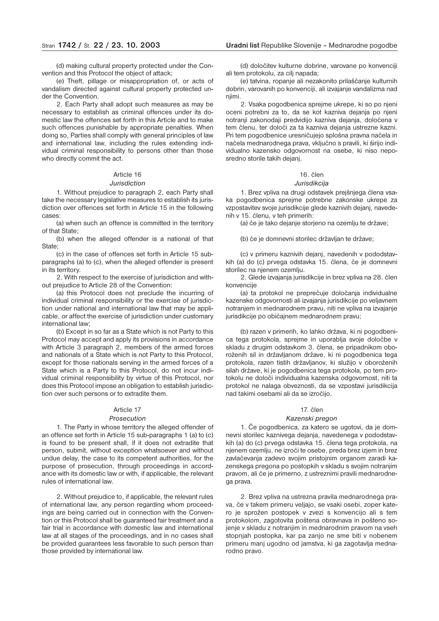(d) making cultural property protected under the Convention and this Protocol the object of attack;

(e) Theft, pillage or misappropriation of, or acts of vandalism directed against cultural property protected under the Convention.

2. Each Party shall adopt such measures as may be necessary to establish as criminal offences under its domestic law the offences set forth in this Article and to make such offences punishable by appropriate penalties. When doing so, Parties shall comply with general principles of law and international law, including the rules extending individual criminal responsibility to persons other than those who directly commit the act.

# Article 16

# *Jurisdiction*

1. Without prejudice to paragraph 2, each Party shall take the necessary legislative measures to establish its jurisdiction over offences set forth in Article 15 in the following cases:

(a) when such an offence is committed in the territory of that State;

(b) when the alleged offender is a national of that State;

(c) in the case of offences set forth in Article 15 subparagraphs (a) to (c), when the alleged offender is present in its territory.

2. With respect to the exercise of jurisdiction and without prejudice to Article 28 of the Convention:

(a) this Protocol does not preclude the incurring of individual criminal responsibility or the exercise of jurisdiction under national and international law that may be applicable, or affect the exercise of jurisdiction under customary international law;

(b) Except in so far as a State which is not Party to this Protocol may accept and apply its provisions in accordance with Article 3 paragraph 2, members of the armed forces and nationals of a State which is not Party to this Protocol, except for those nationals serving in the armed forces of a State which is a Party to this Protocol, do not incur individual criminal responsibility by virtue of this Protocol, nor does this Protocol impose an obligation to establish jurisdiction over such persons or to extradite them.

# Article 17

# *Prosecution*

1. The Party in whose territory the alleged offender of an offence set forth in Article 15 sub-paragraphs 1 (a) to (c) is found to be present shall, if it does not extradite that person, submit, without exception whatsoever and without undue delay, the case to its competent authorities, for the purpose of prosecution, through proceedings in accordance with its domestic law or with, if applicable, the relevant rules of international law.

2. Without prejudice to, if applicable, the relevant rules of international law, any person regarding whom proceedings are being carried out in connection with the Convention or this Protocol shall be guaranteed fair treatment and a fair trial in accordance with domestic law and international law at all stages of the proceedings, and in no cases shall be provided guarantees less favorable to such person than those provided by international law.

(d) določitev kulturne dobrine, varovane po konvenciji ali tem protokolu, za cilj napada;

(e) tatvina, ropanje ali nezakonito prilaščanje kulturnih dobrin, varovanih po konvenciji, ali izvajanje vandalizma nad niimi.

2. Vsaka pogodbenica sprejme ukrepe, ki so po njeni oceni potrebni za to, da se kot kazniva dejanja po njeni notranji zakonodaji predvidijo kazniva dejanja, določena v tem členu, ter določi za ta kazniva dejanja ustrezne kazni. Pri tem pogodbenice uresničujejo splošna pravna načela in načela mednarodnega prava, vključno s pravili, ki širijo individualno kazensko odgovornost na osebe, ki niso neposredno storile takih dejanj.

# 16. člen

# *Jurisdikcija*

1. Brez vpliva na drugi odstavek prejšnjega člena vsaka pogodbenica sprejme potrebne zakonske ukrepe za vzpostavitev svoje jurisdikcije glede kaznivih dejanj, navedenih v 15. členu, v teh primerih:

(a) če je tako dejanje storjeno na ozemlju te države;

(b) če je domnevni storilec državljan te države;

(c) v primeru kaznivih dejanj, navedenih v pododstavkih (a) do (c) prvega odstavka 15. člena, če je domnevni storilec na njenem ozemlju.

2. Glede izvajanja jurisdikcije in brez vpliva na 28. člen konvencije

(a) ta protokol ne preprečuje določanja individualne kazenske odgovornosti ali izvajanja jurisdikcije po veljavnem notranjem in mednarodnem pravu, niti ne vpliva na izvajanje jurisdikcije po običajnem mednarodnem pravu;

(b) razen v primerih, ko lahko država, ki ni pogodbenica tega protokola, sprejme in uporablja svoje določbe v skladu z drugim odstavkom 3. člena, se pripadnikom oboroženih sil in državljanom države, ki ni pogodbenica tega protokola, razen tistih državljanov, ki služijo v oboroženih silah države, ki je pogodbenica tega protokola, po tem protokolu ne določi individualna kazenska odgovornost, niti ta protokol ne nalaga obveznosti, da se vzpostavi jurisdikcija nad takimi osebami ali da se izročijo.

# 17. člen

# *Kazenski pregon*

1. Če pogodbenica, za katero se ugotovi, da je domnevni storilec kaznivega dejanja, navedenega v pododstavkih (a) do (c) prvega odstavka 15. člena tega protokola, na njenem ozemlju, ne izroči te osebe, preda brez izjem in brez zavlačevanja zadevo svojim pristojnim organom zaradi kazenskega pregona po postopkih v skladu s svojim notranjim pravom, ali če je primerno, z ustreznimi pravili mednarodnega prava.

2. Brez vpliva na ustrezna pravila mednarodnega prava, če v takem primeru veljajo, se vsaki osebi, zoper katero je sprožen postopek v zvezi s konvencijo ali s tem protokolom, zagotovita poštena obravnava in pošteno sojenje v skladu z notranjim in mednarodnim pravom na vseh stopnjah postopka, kar pa zanjo ne sme biti v nobenem primeru manj ugodno od jamstva, ki ga zagotavlja mednarodno pravo.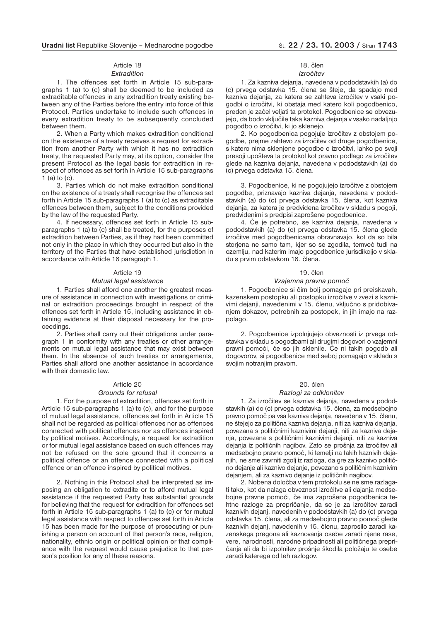# *Extradition*

1. The offences set forth in Article 15 sub-paragraphs 1 (a) to (c) shall be deemed to be included as extraditable offences in any extradition treaty existing between any of the Parties before the entry into force of this Protocol. Parties undertake to include such offences in every extradition treaty to be subsequently concluded between them.

2. When a Party which makes extradition conditional on the existence of a treaty receives a request for extradition from another Party with which it has no extradition treaty, the requested Party may, at its option, consider the present Protocol as the legal basis for extradition in respect of offences as set forth in Article 15 sub-paragraphs 1 (a) to (c).

3. Parties which do not make extradition conditional on the existence of a treaty shall recognise the offences set forth in Article 15 sub-paragraphs 1 (a) to (c) as extraditable offences between them, subject to the conditions provided by the law of the requested Party.

4. If necessary, offences set forth in Article 15 subparagraphs 1 (a) to (c) shall be treated, for the purposes of extradition between Parties, as if they had been committed not only in the place in which they occurred but also in the territory of the Parties that have established jurisdiction in accordance with Article 16 paragraph 1.

# Article 19

# *Mutual legal assistance*

1. Parties shall afford one another the greatest measure of assistance in connection with investigations or criminal or extradition proceedings brought in respect of the offences set forth in Article 15, including assistance in obtaining evidence at their disposal necessary for the proceedings.

2. Parties shall carry out their obligations under paragraph 1 in conformity with any treaties or other arrangements on mutual legal assistance that may exist between them. In the absence of such treaties or arrangements, Parties shall afford one another assistance in accordance with their domestic law.

# Article 20

#### *Grounds for refusal*

1. For the purpose of extradition, offences set forth in Article 15 sub-paragraphs 1 (a) to (c), and for the purpose of mutual legal assistance, offences set forth in Article 15 shall not be regarded as political offences nor as offences connected with political offences nor as offences inspired by political motives. Accordingly, a request for extradition or for mutual legal assistance based on such offences may not be refused on the sole ground that it concerns a political offence or an offence connected with a political offence or an offence inspired by political motives.

2. Nothing in this Protocol shall be interpreted as imposing an obligation to extradite or to afford mutual legal assistance if the requested Party has substantial grounds for believing that the request for extradition for offences set forth in Article 15 sub-paragraphs 1 (a) to (c) or for mutual legal assistance with respect to offences set forth in Article 15 has been made for the purpose of prosecuting or punishing a person on account of that person's race, religion, nationality, ethnic origin or political opinion or that compliance with the request would cause prejudice to that person's position for any of these reasons.

# 18. člen

# *Izročitev*

1. Za kazniva dejanja, navedena v pododstavkih (a) do (c) prvega odstavka 15. člena se šteje, da spadajo med kazniva dejanja, za katera se zahteva izročitev v vsaki pogodbi o izročitvi, ki obstaja med katero koli pogodbenico, preden je začel veljati ta protokol. Pogodbenice se obvezujejo, da bodo vključile taka kazniva dejanja v vsako nadaljnjo pogodbo o izročitvi, ki jo sklenejo.

2. Ko pogodbenica pogojuje izročitev z obstojem pogodbe, prejme zahtevo za izročitev od druge pogodbenice, s katero nima sklenjene pogodbe o izročitvi, lahko po svoji presoji upošteva ta protokol kot pravno podlago za izročitev glede na kazniva dejanja, navedena v pododstavkih (a) do (c) prvega odstavka 15. člena.

3. Pogodbenice, ki ne pogojujejo izročitve z obstojem pogodbe, priznavajo kazniva dejanja, navedena v pododstavkih (a) do (c) prvega odstavka 15. člena, kot kazniva dejanja, za katera je predvidena izročitev v skladu s pogoji, predvidenimi s predpisi zaprošene pogodbenice.

4. Če je potrebno, se kazniva dejanja, navedena v pododstavkih (a) do (c) prvega odstavka 15. člena glede izročitve med pogodbenicama obravnavajo, kot da so bila storjena ne samo tam, kjer so se zgodila, temveč tudi na ozemlju, nad katerim imajo pogodbenice jurisdikcijo v skladu s prvim odstavkom 16. člena.

#### 19. člen

# *Vzajemna pravna pomoč*

1. Pogodbenice si čim bolj pomagajo pri preiskavah, kazenskem postopku ali postopku izročitve v zvezi s kaznivimi dejanji, navedenimi v 15. členu, vključno s pridobivanjem dokazov, potrebnih za postopek, in jih imajo na razpolago.

2. Pogodbenice izpolnjujejo obveznosti iz prvega odstavka v skladu s pogodbami ali drugimi dogovori o vzajemni pravni pomoči, če so jih sklenile. Če ni takih pogodb ali dogovorov, si pogodbenice med seboj pomagajo v skladu s svojim notranjim pravom.

# 20. člen

# *Razlogi za odklonitev*

1. Za izročitev se kazniva dejanja, navedena v pododstavkih (a) do (c) prvega odstavka 15. člena, za medsebojno pravno pomoč pa vsa kazniva dejanja, navedena v 15. členu, ne štejejo za politična kazniva dejanja, niti za kazniva dejanja, povezana s političnimi kaznivimi dejanji, niti za kazniva dejanja, povezana s političnimi kaznivimi dejanji, niti za kazniva dejanja iz političnih nagibov. Zato se prošnja za izročitev ali medsebojno pravno pomoč, ki temelji na takih kaznivih dejanjih, ne sme zavrniti zgolj iz razloga, da gre za kaznivo politično dejanje ali kaznivo dejanje, povezano s političnim kaznivim dejanjem, ali za kaznivo dejanje iz političnih nagibov.

2. Nobena določba v tem protokolu se ne sme razlagati tako, kot da nalaga obveznost izročitve ali dajanja medsebojne pravne pomoči, če ima zaprošena pogodbenica tehtne razloge za prepričanje, da se je za izročitev zaradi kaznivih dejanj, navedenih v pododstavkih (a) do (c) prvega odstavka 15. člena, ali za medsebojno pravno pomoč glede kaznivih dejanj, navedenih v 15. členu, zaprosilo zaradi kazenskega pregona ali kaznovanja osebe zaradi njene rase, vere, narodnosti, narodne pripadnosti ali političnega prepričanja ali da bi izpolnitev prošnje škodila položaju te osebe zaradi katerega od teh razlogov.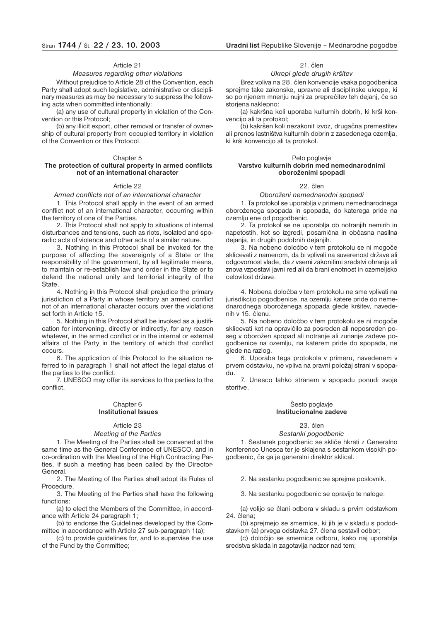## *Measures regarding other violations*

Without prejudice to Article 28 of the Convention, each Party shall adopt such legislative, administrative or disciplinary measures as may be necessary to suppress the following acts when committed intentionally:

(a) any use of cultural property in violation of the Convention or this Protocol;

(b) any illicit export, other removal or transfer of ownership of cultural property from occupied territory in violation of the Convention or this Protocol.

# Chapter 5

# **The protection of cultural property in armed conflicts not of an international character**

# Article 22

# *Armed conflicts not of an international character*

1. This Protocol shall apply in the event of an armed conflict not of an international character, occurring within the territory of one of the Parties.

2. This Protocol shall not apply to situations of internal disturbances and tensions, such as riots, isolated and sporadic acts of violence and other acts of a similar nature.

3. Nothing in this Protocol shall be invoked for the purpose of affecting the sovereignty of a State or the responsibility of the government, by all legitimate means, to maintain or re-establish law and order in the State or to defend the national unity and territorial integrity of the State.

4. Nothing in this Protocol shall prejudice the primary jurisdiction of a Party in whose territory an armed conflict not of an international character occurs over the violations set forth in Article 15.

5. Nothing in this Protocol shall be invoked as a justification for intervening, directly or indirectly, for any reason whatever, in the armed conflict or in the internal or external affairs of the Party in the territory of which that conflict occurs.

6. The application of this Protocol to the situation referred to in paragraph 1 shall not affect the legal status of the parties to the conflict.

7. UNESCO may offer its services to the parties to the conflict.

# Chapter 6  **Institutional Issues**

#### Article 23

# *Meeting of the Parties*

1. The Meeting of the Parties shall be convened at the same time as the General Conference of UNESCO, and in co-ordination with the Meeting of the High Contracting Parties, if such a meeting has been called by the Director-General.

2. The Meeting of the Parties shall adopt its Rules of Procedure.

3. The Meeting of the Parties shall have the following functions:

(a) to elect the Members of the Committee, in accordance with Article 24 paragraph 1;

(b) to endorse the Guidelines developed by the Committee in accordance with Article 27 sub-paragraph 1(a);

(c) to provide guidelines for, and to supervise the use of the Fund by the Committee;

#### 21. člen

## *Ukrepi glede drugih kršitev*

Brez vpliva na 28. člen konvencije vsaka pogodbenica sprejme take zakonske, upravne ali disciplinske ukrepe, ki so po njenem mnenju nujni za preprečitev teh dejanj, če so storjena naklepno:

(a) kakršna koli uporaba kulturnih dobrih, ki krši konvencijo ali ta protokol;

(b) kakršen koli nezakonit izvoz, drugačna premestitev ali prenos lastništva kulturnih dobrin z zasedenega ozemlja, ki krši konvencijo ali ta protokol.

# Peto poglavje **Varstvo kulturnih dobrin med nemednarodnimi oboroženimi spopadi**

# 22. člen

# *Oboroženi nemednarodni spopadi*

1. Ta protokol se uporablja v primeru nemednarodnega oboroženega spopada in spopada, do katerega pride na ozemlju ene od pogodbenic.

2. Ta protokol se ne uporablja ob notranjih nemirih in napetostih, kot so izgredi, posamična in občasna nasilna dejanja, in drugih podobnih dejanjih.

3. Na nobeno določbo v tem protokolu se ni mogoče sklicevati z namenom, da bi vplivali na suverenost države ali odgovornost vlade, da z vsemi zakonitimi sredstvi ohranja ali znova vzpostavi javni red ali da brani enotnost in ozemeljsko celovitost države.

4. Nobena določba v tem protokolu ne sme vplivati na jurisdikcijo pogodbenice, na ozemlju katere pride do nemednarodnega oboroženega spopada glede kršitev, navedenih v 15. členu.

5. Na nobeno določbo v tem protokolu se ni mogoče sklicevati kot na opravičilo za posreden ali neposreden poseg v oborožen spopad ali notranje ali zunanje zadeve pogodbenice na ozemlju, na katerem pride do spopada, ne glede na razlog.

6. Uporaba tega protokola v primeru, navedenem v prvem odstavku, ne vpliva na pravni položaj strani v spopadu.

7. Unesco lahko stranem v spopadu ponudi svoje storitve.

# Šesto poglavje **Institucionalne zadeve**

# 23. člen

#### *Sestanki pogodbenic*

1. Sestanek pogodbenic se skliče hkrati z Generalno konferenco Unesca ter je sklajena s sestankom visokih pogodbenic, če ga je generalni direktor sklical.

2. Na sestanku pogodbenic se sprejme poslovnik.

3. Na sestanku pogodbenic se opravijo te naloge:

(a) volijo se člani odbora v skladu s prvim odstavkom 24. člena;

(b) sprejmejo se smernice, ki jih je v skladu s pododstavkom (a) prvega odstavka 27. člena sestavil odbor;

(c) določijo se smernice odboru, kako naj uporablja sredstva sklada in zagotavlja nadzor nad tem;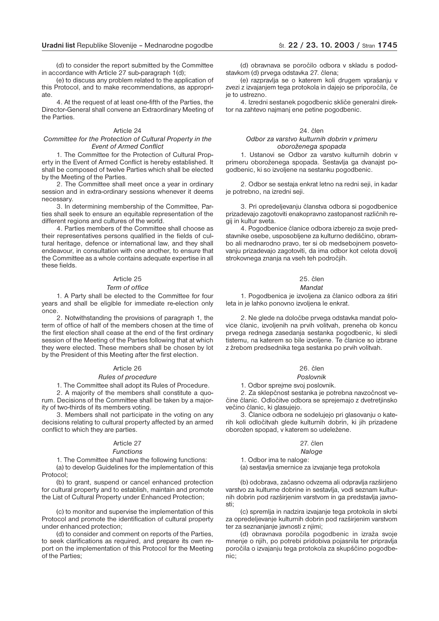(d) to consider the report submitted by the Committee in accordance with Article 27 sub-paragraph 1(d);

(e) to discuss any problem related to the application of this Protocol, and to make recommendations, as appropriate.

4. At the request of at least one-fifth of the Parties, the Director-General shall convene an Extraordinary Meeting of the Parties.

# Article 24

# *Committee for the Protection of Cultural Property in the Event of Armed Conflict*

1. The Committee for the Protection of Cultural Property in the Event of Armed Conflict is hereby established. It shall be composed of twelve Parties which shall be elected by the Meeting of the Parties.

2. The Committee shall meet once a year in ordinary session and in extra-ordinary sessions whenever it deems necessary.

3. In determining membership of the Committee, Parties shall seek to ensure an equitable representation of the different regions and cultures of the world.

4. Parties members of the Committee shall choose as their representatives persons qualified in the fields of cultural heritage, defence or international law, and they shall endeavour, in consultation with one another, to ensure that the Committee as a whole contains adequate expertise in all these fields.

# Article 25

# *Term of office*

1. A Party shall be elected to the Committee for four years and shall be eligible for immediate re-election only once.

2. Notwithstanding the provisions of paragraph 1, the term of office of half of the members chosen at the time of the first election shall cease at the end of the first ordinary session of the Meeting of the Parties following that at which they were elected. These members shall be chosen by lot by the President of this Meeting after the first election.

# Article 26

# *Rules of procedure*

1. The Committee shall adopt its Rules of Procedure.

2. A majority of the members shall constitute a quorum. Decisions of the Committee shall be taken by a majority of two-thirds of its members voting.

3. Members shall not participate in the voting on any decisions relating to cultural property affected by an armed conflict to which they are parties.

# Article 27

#### *Functions*

1. The Committee shall have the following functions: (a) to develop Guidelines for the implementation of this Protocol;

(b) to grant, suspend or cancel enhanced protection for cultural property and to establish, maintain and promote the List of Cultural Property under Enhanced Protection;

(c) to monitor and supervise the implementation of this Protocol and promote the identification of cultural property under enhanced protection;

(d) to consider and comment on reports of the Parties, to seek clarifications as required, and prepare its own report on the implementation of this Protocol for the Meeting of the Parties;

(d) obravnava se poročilo odbora v skladu s pododstavkom (d) prvega odstavka 27. člena;

(e) razpravlja se o katerem koli drugem vprašanju v zvezi z izvajanjem tega protokola in dajejo se priporočila, če je to ustrezno.

4. Izredni sestanek pogodbenic skliče generalni direktor na zahtevo najmanj ene petine pogodbenic.

# 24. člen

# *Odbor za varstvo kulturnih dobrin v primeru oboroženega spopada*

1. Ustanovi se Odbor za varstvo kulturnih dobrin v primeru oboroženega spopada. Sestavlja ga dvanajst pogodbenic, ki so izvoljene na sestanku pogodbenic.

2. Odbor se sestaja enkrat letno na redni seji, in kadar je potrebno, na izredni seji.

3. Pri opredeljevanju članstva odbora si pogodbenice prizadevajo zagotoviti enakopravno zastopanost različnih regij in kultur sveta.

4. Pogodbenice članice odbora izberejo za svoje predstavnike osebe, usposobljene za kulturno dediščino, obrambo ali mednarodno pravo, ter si ob medsebojnem posvetovanju prizadevajo zagotoviti, da ima odbor kot celota dovolj strokovnega znanja na vseh teh področjih.

# 25. člen

# *Mandat*

1. Pogodbenica je izvoljena za članico odbora za štiri leta in je lahko ponovno izvoljena le enkrat.

2. Ne glede na določbe prvega odstavka mandat polovice članic, izvoljenih na prvih volitvah, preneha ob koncu prvega rednega zasedanja sestanka pogodbenic, ki sledi tistemu, na katerem so bile izvoljene. Te članice so izbrane z žrebom predsednika tega sestanka po prvih volitvah.

# 26. člen

# *Poslovnik*

# 1. Odbor sprejme svoj poslovnik.

2. Za sklepčnost sestanka je potrebna navzočnost večine članic. Odločitve odbora se sprejemajo z dvetretjinsko večino članic, ki glasujejo.

3. Članice odbora ne sodelujejo pri glasovanju o katerih koli odločitvah glede kulturnih dobrin, ki jih prizadene oborožen spopad, v katerem so udeležene.

# 27. člen

#### *Naloge*

1. Odbor ima te naloge:

(a) sestavlja smernice za izvajanje tega protokola

(b) odobrava, začasno odvzema ali odpravlja razširjeno varstvo za kulturne dobrine in sestavlja, vodi seznam kulturnih dobrin pod razširjenim varstvom in ga predstavlja javnosti;

(c) spremlja in nadzira izvajanje tega protokola in skrbi za opredeljevanje kulturnih dobrin pod razširjenim varstvom ter za seznanjanje javnosti z njimi;

(d) obravnava poročila pogodbenic in izraža svoje mnenje o njih, po potrebi pridobiva pojasnila ter pripravlja poročila o izvajanju tega protokola za skupščino pogodbenic;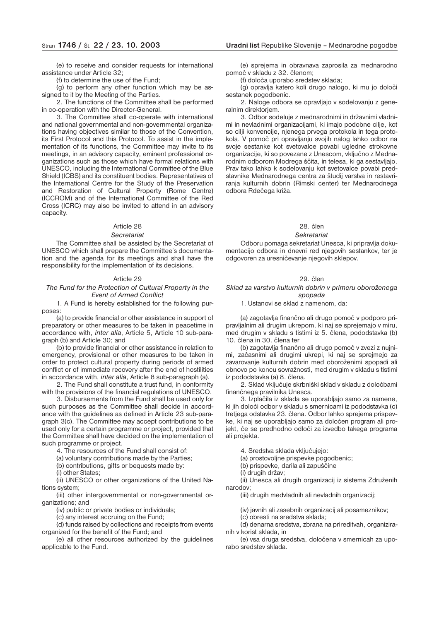(e) to receive and consider requests for international assistance under Article 32;

(f) to determine the use of the Fund;

(g) to perform any other function which may be assigned to it by the Meeting of the Parties.

2. The functions of the Committee shall be performed in co-operation with the Director-General.

3. The Committee shall co-operate with international and national governmental and non-governmental organizations having objectives similar to those of the Convention, its First Protocol and this Protocol. To assist in the implementation of its functions, the Committee may invite to its meetings, in an advisory capacity, eminent professional organizations such as those which have formal relations with UNESCO, including the International Committee of the Blue Shield (ICBS) and its constituent bodies. Representatives of the International Centre for the Study of the Preservation and Restoration of Cultural Property (Rome Centre) (ICCROM) and of the International Committee of the Red Cross (ICRC) may also be invited to attend in an advisory capacity.

#### Article 28

#### *Secretariat*

The Committee shall be assisted by the Secretariat of UNESCO which shall prepare the Committee's documentation and the agenda for its meetings and shall have the responsibility for the implementation of its decisions.

# Article 29

# *The Fund for the Protection of Cultural Property in the Event of Armed Conflict*

1. A Fund is hereby established for the following purposes:

(a) to provide financial or other assistance in support of preparatory or other measures to be taken in peacetime in accordance with, *inter alia*, Article 5, Article 10 sub-paragraph (b) and Article 30; and

(b) to provide financial or other assistance in relation to emergency, provisional or other measures to be taken in order to protect cultural property during periods of armed conflict or of immediate recovery after the end of hostilities in accordance with, *inter alia*, Article 8 sub-paragraph (a).

2. The Fund shall constitute a trust fund, in conformity with the provisions of the financial regulations of UNESCO.

3. Disbursements from the Fund shall be used only for such purposes as the Committee shall decide in accordance with the guidelines as defined in Article 23 sub-paragraph 3(c). The Committee may accept contributions to be used only for a certain programme or project, provided that the Committee shall have decided on the implementation of such programme or project.

4. The resources of the Fund shall consist of:

(a) voluntary contributions made by the Parties;

(b) contributions, gifts or bequests made by:

(i) other States;

(ii) UNESCO or other organizations of the United Nations system;

(iii) other intergovernmental or non-governmental organizations; and

(iv) public or private bodies or individuals;

(c) any interest accruing on the Fund;

(d) funds raised by collections and receipts from events organized for the benefit of the Fund; and

(e) all other resources authorized by the guidelines applicable to the Fund.

(e) sprejema in obravnava zaprosila za mednarodno pomoč v skladu z 32. členom;

(f) določa uporabo sredstev sklada;

(g) opravlja katero koli drugo nalogo, ki mu jo določi sestanek pogodbenic.

2. Naloge odbora se opravljajo v sodelovanju z generalnim direktorjem.

3. Odbor sodeluje z mednarodnimi in državnimi vladnimi in nevladnimi organizacijami, ki imajo podobne cilje, kot so cilji konvencije, njenega prvega protokola in tega protokola. V pomoč pri opravljanju svojih nalog lahko odbor na svoje sestanke kot svetovalce povabi ugledne strokovne organizacije, ki so povezane z Unescom, vključno z Mednarodnim odborom Modrega ščita, in telesa, ki ga sestavljajo. Prav tako lahko k sodelovanju kot svetovalce povabi predstavnike Mednarodnega centra za študij varstva in restavriranja kulturnih dobrin (Rimski center) ter Mednarodnega odbora Rdečega križa.

# 28. člen *Sekretariat*

Odboru pomaga sekretariat Unesca, ki pripravlja dokumentacijo odbora in dnevni red njegovih sestankov, ter je odgovoren za uresničevanje njegovih sklepov.

# 29. člen

*Sklad za varstvo kulturnih dobrin v primeru oboroženega spopada*

1. Ustanovi se sklad z namenom, da:

(a) zagotavlja finančno ali drugo pomoč v podporo pripravljalnim ali drugim ukrepom, ki naj se sprejemajo v miru, med drugim v skladu s tistimi iz 5. člena, pododstavka (b) 10. člena in 30. člena ter

(b) zagotavlja finančno ali drugo pomoč v zvezi z nujnimi, začasnimi ali drugimi ukrepi, ki naj se sprejmejo za zavarovanje kulturnih dobrin med oboroženimi spopadi ali obnovo po koncu sovražnosti, med drugim v skladu s tistimi iz pododstavka (a) 8. člena.

2. Sklad vključuje skrbniški sklad v skladu z določbami finančnega pravilnika Unesca.

3. Izplačila iz sklada se uporabljajo samo za namene, ki jih določi odbor v skladu s smernicami iz pododstavka (c) tretjega odstavka 23. člena. Odbor lahko sprejema prispevke, ki naj se uporabljajo samo za določen program ali projekt, če se predhodno odloči za izvedbo takega programa ali projekta.

4. Sredstva sklada vključujejo:

(a) prostovoljne prispevke pogodbenic;

(b) prispevke, darila ali zapuščine

(i) drugih držav;

(ii) Unesca ali drugih organizacij iz sistema Združenih narodov;

(iii) drugih medvladnih ali nevladnih organizacij;

(iv) javnih ali zasebnih organizacij ali posameznikov;

(c) obresti na sredstva sklada;

(d) denarna sredstva, zbrana na prireditvah, organiziranih v korist sklada, in

(e) vsa druga sredstva, določena v smernicah za uporabo sredstev sklada.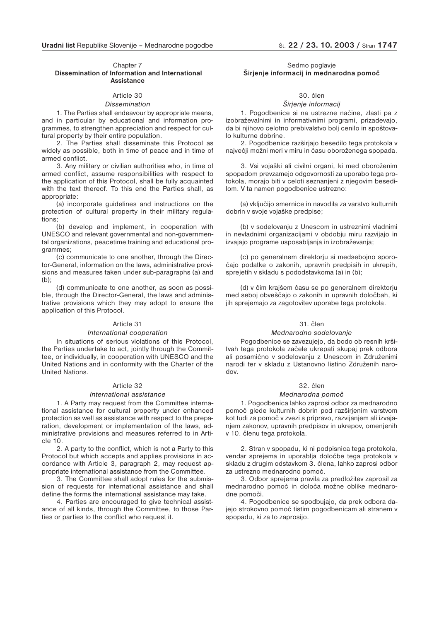# Chapter 7  **Dissemination of Information and International Assistance**

# Article 30

# *Dissemination*

1. The Parties shall endeavour by appropriate means, and in particular by educational and information programmes, to strengthen appreciation and respect for cultural property by their entire population.

2. The Parties shall disseminate this Protocol as widely as possible, both in time of peace and in time of armed conflict.

3. Any military or civilian authorities who, in time of armed conflict, assume responsibilities with respect to the application of this Protocol, shall be fully acquainted with the text thereof. To this end the Parties shall, as appropriate:

(a) incorporate guidelines and instructions on the protection of cultural property in their military regulations;

(b) develop and implement, in cooperation with UNESCO and relevant governmental and non-governmental organizations, peacetime training and educational programmes;

(c) communicate to one another, through the Director-General, information on the laws, administrative provisions and measures taken under sub-paragraphs (a) and (b);

(d) communicate to one another, as soon as possible, through the Director-General, the laws and administrative provisions which they may adopt to ensure the application of this Protocol.

# Article 31

#### *International cooperation*

In situations of serious violations of this Protocol, the Parties undertake to act, jointly through the Committee, or individually, in cooperation with UNESCO and the United Nations and in conformity with the Charter of the United Nations.

# Article 32

#### *International assistance*

1. A Party may request from the Committee international assistance for cultural property under enhanced protection as well as assistance with respect to the preparation, development or implementation of the laws, administrative provisions and measures referred to in Article 10.

2. A party to the conflict, which is not a Party to this Protocol but which accepts and applies provisions in accordance with Article 3, paragraph 2, may request appropriate international assistance from the Committee.

3. The Committee shall adopt rules for the submission of requests for international assistance and shall define the forms the international assistance may take.

4. Parties are encouraged to give technical assistance of all kinds, through the Committee, to those Parties or parties to the conflict who request it.

# Sedmo poglavje **Širjenje informacij in mednarodna pomoč**

# 30. člen

# *Širjenje informacij*

1. Pogodbenice si na ustrezne načine, zlasti pa z izobraževalnimi in informativnimi programi, prizadevajo, da bi njihovo celotno prebivalstvo bolj cenilo in spoštovalo kulturne dobrine.

2. Pogodbenice razširjajo besedilo tega protokola v največji možni meri v miru in času oboroženega spopada.

3. Vsi vojaški ali civilni organi, ki med oboroženim spopadom prevzamejo odgovornosti za uporabo tega protokola, morajo biti v celoti seznanjeni z njegovim besedilom. V ta namen pogodbenice ustrezno:

(a) vključijo smernice in navodila za varstvo kulturnih dobrin v svoje vojaške predpise;

(b) v sodelovanju z Unescom in ustreznimi vladnimi in nevladnimi organizacijami v obdobju miru razvijajo in izvajajo programe usposabljanja in izobraževanja;

(c) po generalnem direktorju si medsebojno sporočajo podatke o zakonih, upravnih predpisih in ukrepih, sprejetih v skladu s pododstavkoma (a) in (b);

(d) v čim krajšem času se po generalnem direktorju med seboj obveščajo o zakonih in upravnih določbah, ki jih sprejemajo za zagotovitev uporabe tega protokola.

#### 31. člen

#### *Mednarodno sodelovanje*

Pogodbenice se zavezujejo, da bodo ob resnih kršitvah tega protokola začele ukrepati skupaj prek odbora ali posamično v sodelovanju z Unescom in Združenimi narodi ter v skladu z Ustanovno listino Združenih narodov.

# 32. člen

# *Mednarodna pomoč*

1. Pogodbenica lahko zaprosi odbor za mednarodno pomoč glede kulturnih dobrin pod razširjenim varstvom kot tudi za pomoč v zvezi s pripravo, razvijanjem ali izvajanjem zakonov, upravnih predpisov in ukrepov, omenjenih v 10. členu tega protokola.

2. Stran v spopadu, ki ni podpisnica tega protokola, vendar sprejema in uporablja določbe tega protokola v skladu z drugim odstavkom 3. člena, lahko zaprosi odbor za ustrezno mednarodno pomoč.

3. Odbor sprejema pravila za predložitev zaprosil za mednarodno pomoč in določa možne oblike mednarodne pomoči.

4. Pogodbenice se spodbujajo, da prek odbora dajejo strokovno pomoč tistim pogodbenicam ali stranem v spopadu, ki za to zaprosijo.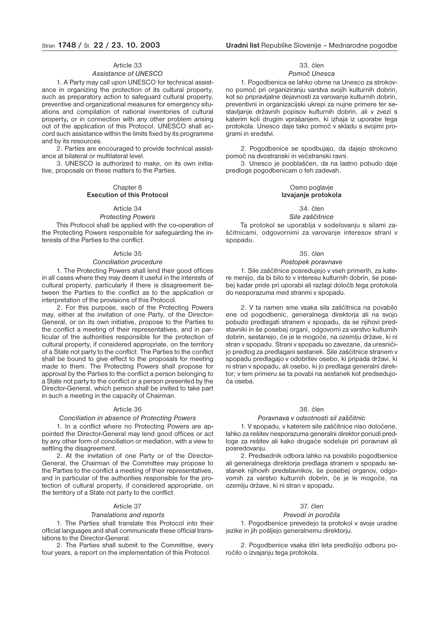# *Assistance of UNESCO*

1. A Party may call upon UNESCO for technical assistance in organizing the protection of its cultural property, such as preparatory action to safeguard cultural property, preventive and organizational measures for emergency situations and compilation of national inventories of cultural property**,** or in connection with any other problem arising out of the application of this Protocol. UNESCO shall accord such assistance within the limits fixed by its programme and by its resources.

2. Parties are encouraged to provide technical assistance at bilateral or multilateral level.

3. UNESCO is authorized to make, on its own initiative, proposals on these matters to the Parties.

# Chapter 8 **Execution of this Protocol**

# Article 34

# *Protecting Powers*

This Protocol shall be applied with the co-operation of the Protecting Powers responsible for safeguarding the interests of the Parties to the conflict.

# Article 35

# *Conciliation procedure*

1. The Protecting Powers shall lend their good offices in all cases where they may deem it useful in the interests of cultural property, particularly if there is disagreement between the Parties to the conflict as to the application or interpretation of the provisions of this Protocol.

2. For this purpose, each of the Protecting Powers may, either at the invitation of one Party, of the Director-General, or on its own initiative, propose to the Parties to the conflict a meeting of their representatives, and in particular of the authorities responsible for the protection of cultural property, if considered appropriate, on the territory of a State not party to the conflict. The Parties to the conflict shall be bound to give effect to the proposals for meeting made to them. The Protecting Powers shall propose for approval by the Parties to the conflict a person belonging to a State not party to the conflict or a person presented by the Director-General, which person shall be invited to take part in such a meeting in the capacity of Chairman.

# Article 36

# *Conciliation in absence of Protecting Powers*

1. In a conflict where no Protecting Powers are appointed the Director-General may lend good offices or act by any other form of conciliation or mediation, with a view to settling the disagreement.

2. At the invitation of one Party or of the Director-General, the Chairman of the Committee may propose to the Parties to the conflict a meeting of their representatives, and in particular of the authorities responsible for the protection of cultural property, if considered appropriate, on the territory of a State not party to the conflict.

# Article 37

#### *Translations and reports*

1. The Parties shall translate this Protocol into their official languages and shall communicate these official translations to the Director-General.

2. The Parties shall submit to the Committee, every four years, a report on the implementation of this Protocol.

# 33. člen

#### *Pomoč Unesca*

1. Pogodbenica se lahko obrne na Unesco za strokovno pomoč pri organiziranju varstva svojih kulturnih dobrin, kot so pripravljalne dejavnosti za varovanje kulturnih dobrin, preventivni in organizacijski ukrepi za nujne primere ter sestavljanje državnih popisov kulturnih dobrin, ali v zvezi s katerim koli drugim vprašanjem, ki izhaja iz uporabe tega protokola. Unesco daje tako pomoč v skladu s svojimi programi in sredstvi.

2. Pogodbenice se spodbujajo, da dajejo strokovno pomoč na dvostranski in večstranski ravni.

3. Unesco je pooblaščen, da na lastno pobudo daje predloge pogodbenicam o teh zadevah.

# Osmo poglavje **Izvajanje protokola**

# 34. člen

# *Sile zaščitnice*

Ta protokol se uporablja v sodelovanju s silami zaščitnicami, odgovornimi za varovanje interesov strani v spopadu.

# 35. člen

# *Postopek poravnave*

1. Sile zaščitnice posredujejo v vseh primerih, za katere menijo, da bi bilo to v interesu kulturnih dobrin, še posebej kadar pride pri uporabi ali razlagi določb tega protokola do nesporazuma med stranmi v spopadu.

2. V ta namen sme vsaka sila zaščitnica na povabilo ene od pogodbenic, generalnega direktorja ali na svojo pobudo predlagati stranem v spopadu, da se njihovi predstavniki in še posebej organi, odgovorni za varstvo kulturnih dobrin, sestanejo, če je le mogoče, na ozemlju države, ki ni stran v spopadu. Strani v spopadu so zavezane, da uresničijo predlog za predlagani sestanek. Sile zaščitnice stranem v spopadu predlagajo v odobritev osebo, ki pripada državi, ki ni stran v spopadu, ali osebo, ki jo predlaga generalni direktor; v tem primeru se ta povabi na sestanek kot predsedujoča oseba.

# 36. člen

# *Poravnava v odsotnosti sil zaščitnic*

1. V spopadu, v katerem sile zaščitnice niso določene, lahko za rešitev nesporazuma generalni direktor ponudi predloge za rešitev ali kako drugače sodeluje pri poravnavi ali posredovanju.

2. Predsednik odbora lahko na povabilo pogodbenice ali generalnega direktorja predlaga stranem v spopadu sestanek njihovih predstavnikov, še posebej organov, odgovornih za varstvo kulturnih dobrin, če je le mogoče, na ozemlju države, ki ni stran v spopadu.

# 37. člen

#### *Prevodi in poročila*

1. Pogodbenice prevedejo ta protokol v svoje uradne jezike in jih pošljejo generalnemu direktorju.

2. Pogodbenice vsaka štiri leta predložijo odboru poročilo o izvajanju tega protokola.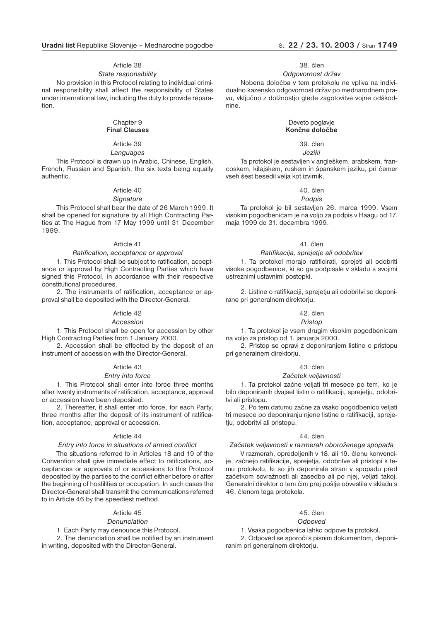# *State responsibility*

No provision in this Protocol relating to individual criminal responsibility shall affect the responsibility of States under international law, including the duty to provide reparation.

# Chapter 9 **Final Clauses**

# Article 39

# *Languages*

This Protocol is drawn up in Arabic, Chinese, English, French, Russian and Spanish, the six texts being equally authentic.

# Article 40

# *Signature*

This Protocol shall bear the date of 26 March 1999. It shall be opened for signature by all High Contracting Parties at The Hague from 17 May 1999 until 31 December 1999.

#### Article 41

# *Ratification, acceptance or approval*

1. This Protocol shall be subject to ratification, acceptance or approval by High Contracting Parties which have signed this Protocol, in accordance with their respective constitutional procedures.

2. The instruments of ratification, acceptance or approval shall be deposited with the Director-General.

# Article 42

# *Accession*

1. This Protocol shall be open for accession by other High Contracting Parties from 1 January 2000.

2. Accession shall be effected by the deposit of an instrument of accession with the Director-General.

# Article 43

#### *Entry into force*

1. This Protocol shall enter into force three months after twenty instruments of ratification, acceptance, approval or accession have been deposited.

2. Thereafter, it shall enter into force, for each Party, three months after the deposit of its instrument of ratification, acceptance, approval or accession.

#### Article 44

#### *Entry into force in situations of armed conflict*

The situations referred to in Articles 18 and 19 of the Convention shall give immediate effect to ratifications, acceptances or approvals of or accessions to this Protocol deposited by the parties to the conflict either before or after the beginning of hostilities or occupation. In such cases the Director-General shall transmit the communications referred to in Article 46 by the speediest method.

# Article 45

#### *Denunciation*

1. Each Party may denounce this Protocol.

2. The denunciation shall be notified by an instrument in writing, deposited with the Director-General.

# 38. člen

# *Odgovornost držav*

Nobena določba v tem protokolu ne vpliva na individualno kazensko odgovornost držav po mednarodnem pravu, vključno z dolžnostjo glede zagotovitve vojne odškodnine.

# Deveto poglavje **Končne določbe**

# 39. člen

#### *Jeziki*

Ta protokol je sestavljen v angleškem, arabskem, francoskem, kitajskem, ruskem in španskem jeziku, pri čemer vseh šest besedil velja kot izvirnik.

# 40. člen

# *Podpis*

Ta protokol je bil sestavljen 26. marca 1999. Vsem visokim pogodbenicam je na voljo za podpis v Haagu od 17. maja 1999 do 31. decembra 1999.

#### 41. člen

# *Ratifikacija, sprejetje ali odobritev*

1. Ta protokol morajo ratificirati, sprejeti ali odobriti visoke pogodbenice, ki so ga podpisale v skladu s svojimi ustreznimi ustavnimi postopki.

2. Listine o ratifikaciji, sprejetju ali odobritvi so deponirane pri generalnem direktorju.

# 42. člen

# *Pristop*

1. Ta protokol je vsem drugim visokim pogodbenicam na voljo za pristop od 1. januarja 2000.

2. Pristop se opravi z deponiranjem listine o pristopu pri generalnem direktoriu.

# 43. člen

# *Začetek veljavnosti*

1. Ta protokol začne veljati tri mesece po tem, ko je bilo deponiranih dvajset listin o ratifikaciji, sprejetju, odobritvi ali pristopu.

2. Po tem datumu začne za vsako pogodbenico veljati tri mesece po deponiranju njene listine o ratifikaciji, sprejetju, odobritvi ali pristopu.

#### 44. člen

#### *Začetek veljavnosti v razmerah oboroženega spopada*

V razmerah, opredeljenih v 18. ali 19. členu konvencije, začnejo ratifikacije, sprejetja, odobritve ali pristopi k temu protokolu, ki so jih deponirale strani v spopadu pred začetkom sovražnosti ali zasedbo ali po njej, veljati takoj. Generalni direktor o tem čim prej pošlje obvestila v skladu s 46. členom tega protokola.

# 45. člen

# *Odpoved*

1. Vsaka pogodbenica lahko odpove ta protokol.

2. Odpoved se sporoči s pisnim dokumentom, deponiranim pri generalnem direktorju.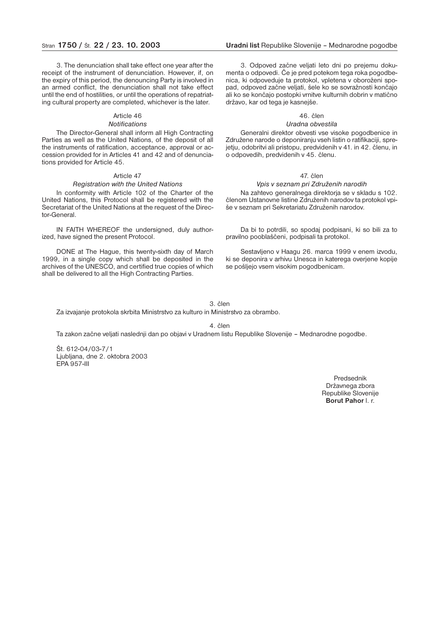3. The denunciation shall take effect one year after the receipt of the instrument of denunciation. However, if, on the expiry of this period, the denouncing Party is involved in an armed conflict, the denunciation shall not take effect until the end of hostilities, or until the operations of repatriating cultural property are completed, whichever is the later.

# Article 46

# *Notifications*

The Director-General shall inform all High Contracting Parties as well as the United Nations, of the deposit of all the instruments of ratification, acceptance, approval or accession provided for in Articles 41 and 42 and of denunciations provided for Article 45.

# Article 47

# *Registration with the United Nations*

In conformity with Article 102 of the Charter of the United Nations, this Protocol shall be registered with the Secretariat of the United Nations at the request of the Director-General.

IN FAITH WHEREOF the undersigned, duly authorized, have signed the present Protocol.

DONE at The Hague, this twenty-sixth day of March 1999, in a single copy which shall be deposited in the archives of the UNESCO, and certified true copies of which shall be delivered to all the High Contracting Parties.

3. Odpoved začne veljati leto dni po prejemu dokumenta o odpovedi. Če je pred potekom tega roka pogodbenica, ki odpoveduje ta protokol, vpletena v oboroženi spopad, odpoved začne veljati, šele ko se sovražnosti končajo ali ko se končajo postopki vrnitve kulturnih dobrin v matično državo, kar od tega je kasnejše.

# 46. člen

# *Uradna obvestila*

Generalni direktor obvesti vse visoke pogodbenice in Združene narode o deponiranju vseh listin o ratifikaciji, sprejetju, odobritvi ali pristopu, predvidenih v 41. in 42. členu, in o odpovedih, predvidenih v 45. členu.

# 47. člen

# *Vpis v seznam pri Združenih narodih*

Na zahtevo generalnega direktorja se v skladu s 102. členom Ustanovne listine Združenih narodov ta protokol vpiše v seznam pri Sekretariatu Združenih narodov.

Da bi to potrdili, so spodaj podpisani, ki so bili za to pravilno pooblaščeni, podpisali ta protokol.

Sestavljeno v Haagu 26. marca 1999 v enem izvodu, ki se deponira v arhivu Unesca in katerega overjene kopije se pošljejo vsem visokim pogodbenicam.

# 3. člen

Za izvajanje protokola skrbita Ministrstvo za kulturo in Ministrstvo za obrambo.

4. člen

Ta zakon začne veljati naslednji dan po objavi v Uradnem listu Republike Slovenije – Mednarodne pogodbe.

Št. 612-04/03-7/1 Ljubljana, dne 2. oktobra 2003 EPA 957-III

> Predsednik Državnega zbora Republike Slovenije **Borut Pahor** l. r.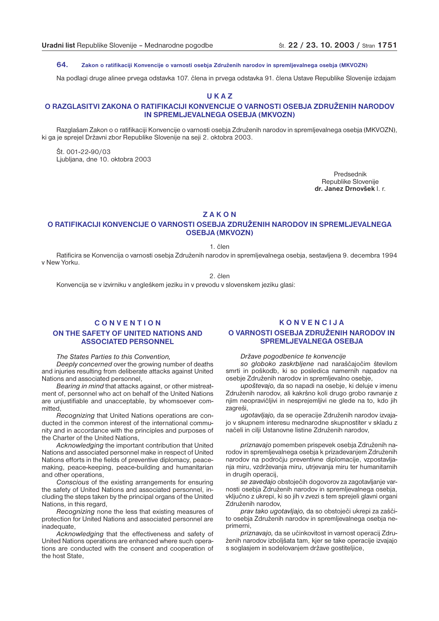# **64. Zakon o ratifikaciji Konvencije o varnosti osebja Združenih narodov in spremljevalnega osebja (MKVOZN)**

Na podlagi druge alinee prvega odstavka 107. člena in prvega odstavka 91. člena Ustave Republike Slovenije izdajam

# **U K A Z**

# **O RAZGLASITVI ZAKONA O RATIFIKACIJI KONVENCIJE O VARNOSTI OSEBJA ZDRUŽENIH NARODOV IN SPREMLJEVALNEGA OSEBJA (MKVOZN)**

Razglašam Zakon o o ratifikaciji Konvencije o varnosti osebja Združenih narodov in spremljevalnega osebja (MKVOZN), ki ga je sprejel Državni zbor Republike Slovenije na seji 2. oktobra 2003.

Št. 001-22-90/03 Liubliana, dne 10. oktobra 2003

> Predsednik Republike Slovenije **dr. Janez Drnovšek** l. r.

# **Z A K O N**

# **O RATIFIKACIJI KONVENCIJE O VARNOSTI OSEBJA ZDRUŽENIH NARODOV IN SPREMLJEVALNEGA OSEBJA (MKVOZN)**

1. člen

Ratificira se Konvencija o varnosti osebja Združenih narodov in spremljevalnega osebja, sestavljena 9. decembra 1994 v New Yorku.

2. člen

Konvencija se v izvirniku v angleškem jeziku in v prevodu v slovenskem jeziku glasi:

# **C O N V E N T I O N ON THE SAFETY OF UNITED NATIONS AND ASSOCIATED PERSONNEL**

*The States Parties to this Convention,*

*Deeply concerned* over the growing number of deaths and injuries resulting from deliberate attacks against United Nations and associated personnel,

*Bearing in mind* that attacks against, or other mistreatment of, personnel who act on behalf of the United Nations are unjustifiable and unacceptable, by whomsoever committed,

*Recognizing* that United Nations operations are conducted in the common interest of the international community and in accordance with the principles and purposes of the Charter of the United Nations,

*Acknowledging* the important contribution that United Nations and associated personnel make in respect of United Nations efforts in the fields of preventive diplomacy, peacemaking, peace-keeping, peace-building and humanitarian and other operations,

*Conscious* of the existing arrangements for ensuring the safety of United Nations and associated personnel, including the steps taken by the principal organs of the United Nations, in this regard,

*Recognizing* none the less that existing measures of protection for United Nations and associated personnel are inadequate,

*Acknowledging* that the effectiveness and safety of United Nations operations are enhanced where such operations are conducted with the consent and cooperation of the host State,

# **K O N V E N C I J A**

# **O VARNOSTI OSEBJA ZDRUŽENIH NARODOV IN SPREMLJEVALNEGA OSEBJA**

*Države pogodbenice te konvencije*

*so globoko zaskrbljene* nad naraščajočim številom smrti in poškodb, ki so posledica namernih napadov na osebje Združenih narodov in spremljevalno osebje,

*upoštevajo,* da so napadi na osebje, ki deluje v imenu Združenih narodov, ali kakršno koli drugo grobo ravnanje z njim neopravičljivi in nesprejemljivi ne glede na to, kdo jih zagreši,

*ugotavljajo,* da se operacije Združenih narodov izvajajo v skupnem interesu mednarodne skupnostiter v skladu z načeli in cilji Ustanovne listine Združenih narodov,

*priznavajo* pomemben prispevek osebja Združenih narodov in spremljevalnega osebja k prizadevanjem Združenih narodov na področju preventivne diplomacije, vzpostavljanja miru, vzdrževanja miru, utrjevanja miru ter humanitarnih in drugih operacij,

*se zavedajo* obstoječih dogovorov za zagotavljanje varnosti osebja Združenih narodov in spremljevalnega osebja, vključno z ukrepi, ki so jih v zvezi s tem sprejeli glavni organi Združenih narodov,

*prav tako ugotavljajo,* da so obstoječi ukrepi za zaščito osebja Združenih narodov in spremljevalnega osebja neprimerni,

*priznavajo,* da se učinkovitost in varnost operacij Združenih narodov izboljšata tam, kjer se take operacije izvajajo s soglasjem in sodelovanjem države gostiteljice,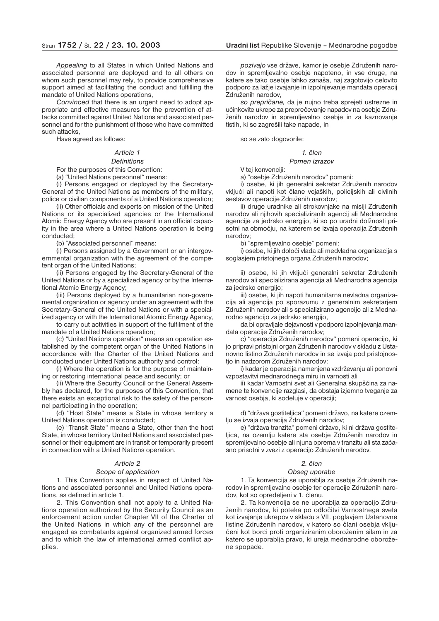*Appealing* to all States in which United Nations and associated personnel are deployed and to all others on whom such personnel may rely, to provide comprehensive support aimed at facilitating the conduct and fulfilling the mandate of United Nations operations,

*Convinced* that there is an urgent need to adopt appropriate and effective measures for the prevention of attacks committed against United Nations and associated personnel and for the punishment of those who have committed such attacks,

Have agreed as follows:

# *Article 1*

#### *Definitions*

For the purposes of this Convention:

(a) "United Nations personnel" means:

(i) Persons engaged or deployed by the Secretary-General of the United Nations as members of the military, police or civilian components of a United Nations operation;

(ii) Other officials and experts on mission of the United Nations or its specialized agencies or the International Atomic Energy Agency who are present in an official capacity in the area where a United Nations operation is being conducted;

(b) "Associated personnel" means:

(i) Persons assigned by a Government or an intergovernmental organization with the agreement of the competent organ of the United Nations;

(ii) Persons engaged by the Secretary-General of the United Nations or by a specialized agency or by the International Atomic Energy Agency;

(iii) Persons deployed by a humanitarian non-governmental organization or agency under an agreement with the Secretary-General of the United Nations or with a specialized agency or with the International Atomic Energy Agency,

to carry out activities in support of the fulfilment of the mandate of a United Nations operation;

(c) "United Nations operation" means an operation established by the competent organ of the United Nations in accordance with the Charter of the United Nations and conducted under United Nations authority and control:

(i) Where the operation is for the purpose of maintaining or restoring international peace and security; or

(ii) Where the Security Council or the General Assembly has declared, for the purposes of this Convention, that there exists an exceptional risk to the safety of the personnel participating in the operation;

(d) "Host State" means a State in whose territory a United Nations operation is conducted;

(e) "Transit State" means a State, other than the host State, in whose territory United Nations and associated personnel or their equipment are in transit or temporarily present in connection with a United Nations operation.

# *Article 2*

# *Scope of application*

1. This Convention applies in respect of United Nations and associated personnel and United Nations operations, as defined in article 1.

2. This Convention shall not apply to a United Nations operation authorized by the Security Council as an enforcement action under Chapter VII of the Charter of the United Nations in which any of the personnel are engaged as combatants against organized armed forces and to which the law of international armed conflict applies.

*pozivajo* vse države, kamor je osebje Združenih narodov in spremljevalno osebje napoteno, in vse druge, na katere se tako osebje lahko zanaša, naj zagotovijo celovito podporo za lažje izvajanje in izpolnjevanje mandata operacij Združenih narodov,

*so prepričane,* da je nujno treba sprejeti ustrezne in učinkovite ukrepe za preprečevanje napadov na osebje Združenih narodov in spremljevalno osebje in za kaznovanje tistih, ki so zagrešili take napade, in

so se zato dogovorile:

# *1. člen*

# *Pomen izrazov*

V tej konvenciji:

a) "osebje Združenih narodov" pomeni:

i) osebe, ki jih generalni sekretar Združenih narodov vključi ali napoti kot člane vojaških, policijskih ali civilnih sestavov operacije Združenih narodov;

ii) druge uradnike ali strokovnjake na misiji Združenih narodov ali njihovih specializiranih agencij ali Mednarodne agencije za jedrsko energijo, ki so po uradni dolžnosti prisotni na območju, na katerem se izvaja operacija Združenih narodov;

b) "spremljevalno osebje" pomeni:

i) osebe, ki jih določi vlada ali medvladna organizacija s soglasjem pristojnega organa Združenih narodov;

ii) osebe, ki jih vključi generalni sekretar Združenih narodov ali specializirana agencija ali Mednarodna agencija za jedrsko energijo;

iii) osebe, ki jih napoti humanitarna nevladna organizacija ali agencija po sporazumu z generalnim sekretarjem Združenih narodov ali s specializirano agencijo ali z Mednarodno agencijo za jedrsko energijo,

da bi opravljale dejavnosti v podporo izpolnjevanja mandata operacije Združenih narodov;

c) "operacija Združenih narodov" pomeni operacijo, ki jo pripravi pristojni organ Združenih narodov v skladu z Ustanovno listino Združenih narodov in se izvaja pod pristojnostjo in nadzorom Združenih narodov:

i) kadar je operacija namenjena vzdrževanju ali ponovni vzpostavitvi mednarodnega miru in varnosti ali

ii) kadar Varnostni svet ali Generalna skupščina za namene te konvencije razglasi, da obstaja izjemno tveganje za varnost osebja, ki sodeluje v operaciji;

d) "država gostiteljica" pomeni državo, na katere ozemlju se izvaja operacija Združenih narodov;

e) "država tranzita" pomeni državo, ki ni država gostiteljica, na ozemlju katere sta osebje Združenih narodov in spremljevalno osebje ali njuna oprema v tranzitu ali sta začasno prisotni v zvezi z operacijo Združenih narodov.

# *2. člen*

# *Obseg uporabe*

1. Ta konvencija se uporablja za osebje Združenih narodov in spremljevalno osebje ter operacije Združenih narodov, kot so opredeljeni v 1. členu.

2. Ta konvencija se ne uporablja za operacijo Združenih narodov, ki poteka po odločitvi Varnostnega sveta kot izvajanje ukrepov v skladu s VII. poglavjem Ustanovne listine Združenih narodov, v katero so člani osebja vključeni kot borci proti organiziranim oboroženim silam in za katero se uporablja pravo, ki ureja mednarodne oborožene spopade.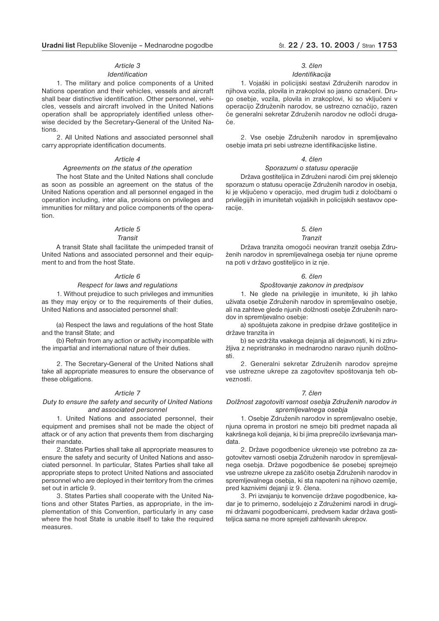# *Identification*

1. The military and police components of a United Nations operation and their vehicles, vessels and aircraft shall bear distinctive identification. Other personnel, vehicles, vessels and aircraft involved in the United Nations operation shall be appropriately identified unless otherwise decided by the Secretary-General of the United Nations.

2. All United Nations and associated personnel shall carry appropriate identification documents.

# *Article 4*

# *Agreements on the status of the operation*

The host State and the United Nations shall conclude as soon as possible an agreement on the status of the United Nations operation and all personnel engaged in the operation including, inter alia, provisions on privileges and immunities for military and police components of the operation.

# *Article 5*

# *Transit*

A transit State shall facilitate the unimpeded transit of United Nations and associated personnel and their equipment to and from the host State.

# *Article 6*

# *Respect for laws and regulations*

1. Without prejudice to such privileges and immunities as they may enjoy or to the requirements of their duties, United Nations and associated personnel shall:

(a) Respect the laws and regulations of the host State and the transit State; and

(b) Refrain from any action or activity incompatible with the impartial and international nature of their duties.

2. The Secretary-General of the United Nations shall take all appropriate measures to ensure the observance of these obligations.

# *Article 7*

# *Duty to ensure the safety and security of United Nations and associated personnel*

1. United Nations and associated personnel, their equipment and premises shall not be made the object of attack or of any action that prevents them from discharging their mandate.

2. States Parties shall take all appropriate measures to ensure the safety and security of United Nations and associated personnel. In particular, States Parties shall take all appropriate steps to protect United Nations and associated personnel who are deployed in their territory from the crimes set out in article 9.

3. States Parties shall cooperate with the United Nations and other States Parties, as appropriate, in the implementation of this Convention, particularly in any case where the host State is unable itself to take the required measures.

# *3. člen*

#### *Identifikacija*

1. Vojaški in policijski sestavi Združenih narodov in njihova vozila, plovila in zrakoplovi so jasno označeni. Drugo osebje, vozila, plovila in zrakoplovi, ki so vključeni v operacijo Združenih narodov, se ustrezno označijo, razen če generalni sekretar Združenih narodov ne odloči drugače.

2. Vse osebje Združenih narodov in spremljevalno osebje imata pri sebi ustrezne identifikacijske listine.

# *4. člen*

# *Sporazumi o statusu operacije*

Država gostiteljica in Združeni narodi čim prej sklenejo sporazum o statusu operacije Združenih narodov in osebja, ki je vključeno v operacijo, med drugim tudi z določbami o privilegijih in imunitetah vojaških in policijskih sestavov operacije.

# *5. člen*

# *Tranzit*

Država tranzita omogoči neoviran tranzit osebja Združenih narodov in spremljevalnega osebja ter njune opreme na poti v državo gostiteljico in iz nje.

# *6. člen*

# *Spoštovanje zakonov in predpisov*

1. Ne glede na privilegije in imunitete, ki jih lahko uživata osebje Združenih narodov in spremljevalno osebje, ali na zahteve glede njunih dolžnosti osebje Združenih narodov in spremljevalno osebje:

a) spoštujeta zakone in predpise države gostiteljice in države tranzita in

b) se vzdržita vsakega dejanja ali dejavnosti, ki ni združljiva z nepristransko in mednarodno naravo njunih dolžnosti.

2. Generalni sekretar Združenih narodov sprejme vse ustrezne ukrepe za zagotovitev spoštovanja teh obveznosti.

# *7. člen*

# *Dolžnost zagotoviti varnost osebja Združenih narodov in spremljevalnega osebja*

1. Osebje Združenih narodov in spremljevalno osebje, njuna oprema in prostori ne smejo biti predmet napada ali kakršnega koli dejanja, ki bi jima preprečilo izvrševanja mandata.

2. Države pogodbenice ukrenejo vse potrebno za zagotovitev varnosti osebja Združenih narodov in spremljevalnega osebja. Države pogodbenice še posebej sprejmejo vse ustrezne ukrepe za zaščito osebja Združenih narodov in spremljevalnega osebja, ki sta napoteni na njihovo ozemlje, pred kaznivimi dejanji iz 9. člena.

3. Pri izvajanju te konvencije države pogodbenice, kadar je to primerno, sodelujejo z Združenimi narodi in drugimi državami pogodbenicami, predvsem kadar država gostiteljica sama ne more sprejeti zahtevanih ukrepov.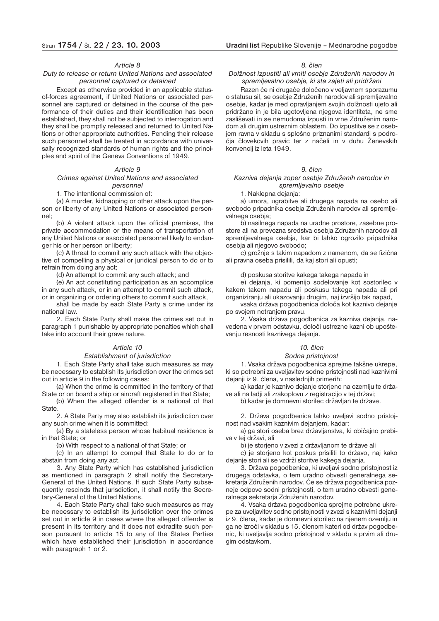# *Duty to release or return United Nations and associated personnel captured or detained*

Except as otherwise provided in an applicable statusof-forces agreement, if United Nations or associated personnel are captured or detained in the course of the performance of their duties and their identification has been established, they shall not be subjected to interrogation and they shall be promptly released and returned to United Nations or other appropriate authorities. Pending their release such personnel shall be treated in accordance with universally recognized standards of human rights and the principles and spirit of the Geneva Conventions of 1949.

# *Article 9*

# *Crimes against United Nations and associated personnel*

1. The intentional commission of:

(a) A murder, kidnapping or other attack upon the person or liberty of any United Nations or associated personnel;

(b) A violent attack upon the official premises, the private accommodation or the means of transportation of any United Nations or associated personnel likely to endanger his or her person or liberty;

(c) A threat to commit any such attack with the objective of compelling a physical or juridical person to do or to refrain from doing any act;

(d) An attempt to commit any such attack; and

(e) An act constituting participation as an accomplice in any such attack, or in an attempt to commit such attack, or in organizing or ordering others to commit such attack,

shall be made by each State Party a crime under its national law.

2. Each State Party shall make the crimes set out in paragraph 1 punishable by appropriate penalties which shall take into account their grave nature.

#### *Article 10*

## *Establishment of jurisdiction*

1. Each State Party shall take such measures as may be necessary to establish its jurisdiction over the crimes set out in article 9 in the following cases:

(a) When the crime is committed in the territory of that State or on board a ship or aircraft registered in that State;

(b) When the alleged offender is a national of that State.

2. A State Party may also establish its jurisdiction over any such crime when it is committed:

(a) By a stateless person whose habitual residence is in that State; or

(b) With respect to a national of that State; or

(c) In an attempt to compel that State to do or to abstain from doing any act.

3. Any State Party which has established jurisdiction as mentioned in paragraph 2 shall notify the Secretary-General of the United Nations. If such State Party subsequently rescinds that jurisdiction, it shall notify the Secretary-General of the United Nations.

4. Each State Party shall take such measures as may be necessary to establish its jurisdiction over the crimes set out in article 9 in cases where the alleged offender is present in its territory and it does not extradite such person pursuant to article 15 to any of the States Parties which have established their jurisdiction in accordance with paragraph 1 or 2.

#### *8. člen*

# *Dolžnost izpustiti ali vrniti osebje Združenih narodov in spremljevalno osebje, ki sta zajeti ali pridržani*

Razen če ni drugače določeno v veljavnem sporazumu o statusu sil, se osebje Združenih narodov ali spremljevalno osebje, kadar je med opravljanjem svojih dolžnosti ujeto ali pridržano in je bila ugotovljena njegova identiteta, ne sme zasliševati in se nemudoma izpusti in vrne Združenim narodom ali drugim ustreznim oblastem. Do izpustitve se z osebjem ravna v skladu s splošno priznanimi standardi s področja človekovih pravic ter z načeli in v duhu Ženevskih konvencij iz leta 1949.

# *9. člen*

# *Kazniva dejanja zoper osebje Združenih narodov in spremljevalno osebje*

#### 1. Naklepna dejanja:

a) umora, ugrabitve ali drugega napada na osebo ali svobodo pripadnika osebia Združenih narodov ali spremljevalnega osebja;

b) nasilnega napada na uradne prostore, zasebne prostore ali na prevozna sredstva osebja Združenih narodov ali spremljevalnega osebja, kar bi lahko ogrozilo pripadnika osebja ali njegovo svobodo;

c) grožnje s takim napadom z namenom, da se fizična ali pravna oseba prisilili, da kaj stori ali opusti;

#### d) poskusa storitve kakega takega napada in

e) dejanja, ki pomenijo sodelovanje kot sostorilec v kakem takem napadu ali poskusu takega napada ali pri organiziranju ali ukazovanju drugim, naj izvršijo tak napad,

vsaka država pogodbenica določa kot kaznivo dejanje po svojem notranjem pravu.

2. Vsaka država pogodbenica za kazniva dejanja, navedena v prvem odstavku, določi ustrezne kazni ob upoštevanju resnosti kaznivega dejanja.

#### *10. člen*

#### *Sodna pristojnost*

1. Vsaka država pogodbenica sprejme takšne ukrepe, ki so potrebni za uveljavitev sodne pristojnosti nad kaznivimi dejanji iz 9. člena, v naslednjih primerih:

a) kadar je kaznivo dejanje storjeno na ozemlju te države ali na ladji ali zrakoplovu z registracijo v tej državi;

b) kadar je domnevni storilec državljan te države.

2. Država pogodbenica lahko uveljavi sodno pristojnost nad vsakim kaznivim dejanjem, kadar:

a) ga stori oseba brez državljanstva, ki običajno prebiva v tej državi, ali

b) je storjeno v zvezi z državljanom te države ali

c) je storjeno kot poskus prisiliti to državo, naj kako dejanje stori ali se vzdrži storitve kakega dejanja.

3. Država pogodbenica, ki uveljavi sodno pristojnost iz drugega odstavka, o tem uradno obvesti generalnega sekretarja Združenih narodov. Če se država pogodbenica pozneje odpove sodni pristojnosti, o tem uradno obvesti generalnega sekretarja Združenih narodov.

4. Vsaka država pogodbenica sprejme potrebne ukrepe za uveljavitev sodne pristojnosti v zvezi s kaznivimi dejanji iz 9. člena, kadar je domnevni storilec na njenem ozemlju in ga ne izroči v skladu s 15. členom kateri od držav pogodbenic, ki uveljavlja sodno pristojnost v skladu s prvim ali drugim odstavkom.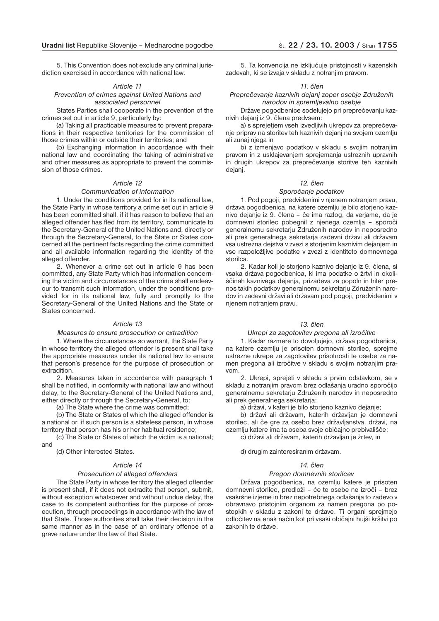5. This Convention does not exclude any criminal jurisdiction exercised in accordance with national law.

#### *Article 11*

# *Prevention of crimes against United Nations and associated personnel*

States Parties shall cooperate in the prevention of the crimes set out in article 9, particularly by:

(a) Taking all practicable measures to prevent preparations in their respective territories for the commission of those crimes within or outside their territories; and

(b) Exchanging information in accordance with their national law and coordinating the taking of administrative and other measures as appropriate to prevent the commission of those crimes.

# *Article 12*

# *Communication of information*

1. Under the conditions provided for in its national law, the State Party in whose territory a crime set out in article 9 has been committed shall, if it has reason to believe that an alleged offender has fled from its territory, communicate to the Secretary-General of the United Nations and, directly or through the Secretary-General, to the State or States concerned all the pertinent facts regarding the crime committed and all available information regarding the identity of the alleged offender.

2. Whenever a crime set out in article 9 has been committed, any State Party which has information concerning the victim and circumstances of the crime shall endeavour to transmit such information, under the conditions provided for in its national law, fully and promptly to the Secretary-General of the United Nations and the State or States concerned.

#### *Article 13*

# *Measures to ensure prosecution or extradition*

1. Where the circumstances so warrant, the State Party in whose territory the alleged offender is present shall take the appropriate measures under its national law to ensure that person's presence for the purpose of prosecution or extradition.

2. Measures taken in accordance with paragraph 1 shall be notified, in conformity with national law and without delay, to the Secretary-General of the United Nations and, either directly or through the Secretary-General, to:

(a) The State where the crime was committed;

(b) The State or States of which the alleged offender is a national or, if such person is a stateless person, in whose territory that person has his or her habitual residence;

(c) The State or States of which the victim is a national; and

(d) Other interested States.

#### *Article 14*

#### *Prosecution of alleged offenders*

The State Party in whose territory the alleged offender is present shall, if it does not extradite that person, submit, without exception whatsoever and without undue delay, the case to its competent authorities for the purpose of prosecution, through proceedings in accordance with the law of that State. Those authorities shall take their decision in the same manner as in the case of an ordinary offence of a grave nature under the law of that State.

5. Ta konvencija ne izključuje pristojnosti v kazenskih zadevah, ki se izvaja v skladu z notranjim pravom.

#### *11. člen*

# *Preprečevanje kaznivih dejanj zoper osebje Združenih narodov in spremljevalno osebje*

Države pogodbenice sodelujejo pri preprečevanju kaznivih dejanj iz 9. člena predvsem:

a) s sprejetjem vseh izvedljivih ukrepov za preprečevanje priprav na storitev teh kaznivih dejanj na svojem ozemlju ali zunaj njega in

b) z izmenjavo podatkov v skladu s svojim notraniim pravom in z usklajevanjem sprejemanja ustreznih upravnih in drugih ukrepov za preprečevanje storitve teh kaznivih dejanj.

# *12. člen*

# *Sporočanje podatkov*

1. Pod pogoji, predvidenimi v njenem notranjem pravu, država pogodbenica, na katere ozemlju je bilo storjeno kaznivo dejanje iz 9. člena – če ima razlog, da verjame, da je domnevni storilec pobegnil z njenega ozemlja – sporoči generalnemu sekretarju Združenih narodov in neposredno ali prek generalnega sekretarja zadevni državi ali državam vsa ustrezna dejstva v zvezi s storjenim kaznivim dejanjem in vse razpoložljive podatke v zvezi z identiteto domnevnega storilca.

2. Kadar koli je storjeno kaznivo dejanje iz 9. člena, si vsaka država pogodbenica, ki ima podatke o žrtvi in okoliščinah kaznivega dejanja, prizadeva za popoln in hiter prenos takih podatkov generalnemu sekretarju Združenih narodov in zadevni državi ali državam pod pogoji, predvidenimi v njenem notranjem pravu.

#### *13. člen*

#### *Ukrepi za zagotovitev pregona ali izročitve*

1. Kadar razmere to dovoljujejo, država pogodbenica, na katere ozemlju je prisoten domnevni storilec, sprejme ustrezne ukrepe za zagotovitev prisotnosti te osebe za namen pregona ali izročitve v skladu s svojim notranjim pravom.

2. Ukrepi, sprejeti v skladu s prvim odstavkom, se v skladu z notranjim pravom brez odlašanja uradno sporočijo generalnemu sekretarju Združenih narodov in neposredno ali prek generalnega sekretarja:

a) državi, v kateri je bilo storjeno kaznivo dejanje;

b) državi ali državam, katerih državljan je domnevni storilec, ali če gre za osebo brez državljanstva, državi, na ozemlju katere ima ta oseba svoje običajno prebivališče;

c) državi ali državam, katerih državljan je žrtev, in

d) drugim zainteresiranim državam.

# *14. člen*

# *Pregon domnevnih storilcev*

Država pogodbenica, na ozemlju katere je prisoten domnevni storilec, predloži – če te osebe ne izroči – brez vsakršne izjeme in brez nepotrebnega odlašanja to zadevo v obravnavo pristojnim organom za namen pregona po postopkih v skladu z zakoni te države. Ti organi sprejmejo odločitev na enak način kot pri vsaki običajni hujši kršitvi po zakonih te države.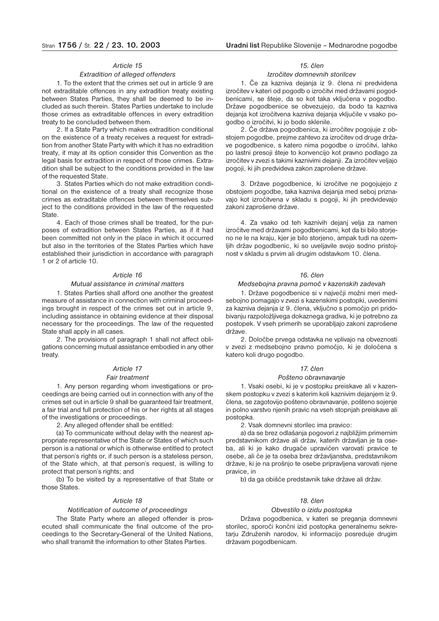# *Extradition of alleged offenders*

1. To the extent that the crimes set out in article 9 are not extraditable offences in any extradition treaty existing between States Parties, they shall be deemed to be included as such therein. States Parties undertake to include those crimes as extraditable offences in every extradition treaty to be concluded between them.

2. If a State Party which makes extradition conditional on the existence of a treaty receives a request for extradition from another State Party with which it has no extradition treaty, it may at its option consider this Convention as the legal basis for extradition in respect of those crimes. Extradition shall be subject to the conditions provided in the law of the requested State.

3. States Parties which do not make extradition conditional on the existence of a treaty shall recognize those crimes as extraditable offences between themselves subject to the conditions provided in the law of the requested State.

4. Each of those crimes shall be treated, for the purposes of extradition between States Parties, as if it had been committed not only in the place in which it occurred but also in the territories of the States Parties which have established their jurisdiction in accordance with paragraph 1 or 2 of article 10.

# *Article 16*

# *Mutual assistance in criminal matters*

1. States Parties shall afford one another the greatest measure of assistance in connection with criminal proceedings brought in respect of the crimes set out in article 9, including assistance in obtaining evidence at their disposal necessary for the proceedings. The law of the requested State shall apply in all cases.

2. The provisions of paragraph 1 shall not affect obligations concerning mutual assistance embodied in any other treaty.

# *Article 17*

# *Fair treatment*

1. Any person regarding whom investigations or proceedings are being carried out in connection with any of the crimes set out in article 9 shall be guaranteed fair treatment, a fair trial and full protection of his or her rights at all stages of the investigations or proceedings.

2. Any alleged offender shall be entitled:

(a) To communicate without delay with the nearest appropriate representative of the State or States of which such person is a national or which is otherwise entitled to protect that person's rights or, if such person is a stateless person, of the State which, at that person's request, is willing to protect that person's rights; and

(b) To be visited by a representative of that State or those States.

# *Article 18*

# *Notification of outcome of proceedings*

The State Party where an alleged offender is prosecuted shall communicate the final outcome of the proceedings to the Secretary-General of the United Nations, who shall transmit the information to other States Parties.

#### *15. člen*

#### *Izročitev domnevnih storilcev*

1. Če za kazniva dejanja iz 9. člena ni predvidena izročitev v kateri od pogodb o izročitvi med državami pogodbenicami, se šteje, da so kot taka vključena v pogodbo. Države pogodbenice se obvezujejo, da bodo ta kazniva dejanja kot izročitvena kazniva dejanja vključile v vsako pogodbo o izročitvi, ki jo bodo sklenile.

2. Če država pogodbenica, ki izročitev pogojuje z obstojem pogodbe, prejme zahtevo za izročitev od druge države pogodbenice, s katero nima pogodbe o izročitvi, lahko po lastni presoji šteje to konvencijo kot pravno podlago za izročitev v zvezi s takimi kaznivimi dejanji. Za izročitev veljajo pogoji, ki jih predvideva zakon zaprošene države.

3. Države pogodbenice, ki izročitve ne pogojujejo z obstojem pogodbe, taka kazniva dejanja med seboj priznavajo kot izročitvena v skladu s pogoji, ki jih predvidevajo zakoni zaprošene države.

4. Za vsako od teh kaznivih dejanj velja za namen izročitve med državami pogodbenicami, kot da bi bilo storjeno ne le na kraju, kjer je bilo storjeno, ampak tudi na ozemljih držav pogodbenic, ki so uveljavile svojo sodno pristojnost v skladu s prvim ali drugim odstavkom 10. člena.

# *16. člen*

# *Medsebojna pravna pomoč v kazenskih zadevah*

1. Države pogodbenice si v največji možni meri medsebojno pomagajo v zvezi s kazenskimi postopki, uvedenimi za kazniva dejanja iz 9. člena, vključno s pomočjo pri pridobivanju razpoložljivega dokaznega gradiva, ki je potrebno za postopek. V vseh primerih se uporabljajo zakoni zaprošene države.

2. Določbe prvega odstavka ne vplivajo na obveznosti v zvezi z medsebojno pravno pomočjo, ki je določena s katero koli drugo pogodbo.

# *17. člen*

# *Pošteno obravnavanje*

1. Vsaki osebi, ki je v postopku preiskave ali v kazenskem postopku v zvezi s katerim koli kaznivim dejanjem iz 9. člena, se zagotovijo pošteno obravnavanje, pošteno sojenje in polno varstvo njenih pravic na vseh stopnjah preiskave ali postopka.

2. Vsak domnevni storilec ima pravico:

a) da se brez odlašanja pogovori z najbližjim primernim predstavnikom države ali držav, katerih državljan je ta oseba, ali ki je kako drugače upravičen varovati pravice te osebe, ali če je ta oseba brez državljanstva, predstavnikom države, ki je na prošnjo te osebe pripravljena varovati njene pravice, in

b) da ga obišče predstavnik take države ali držav.

# *18. člen*

#### *Obvestilo o izidu postopka*

Država pogodbenica, v kateri se preganja domnevni storilec, sporoči končni izid postopka generalnemu sekretarju Združenih narodov, ki informacijo posreduje drugim državam pogodbenicam.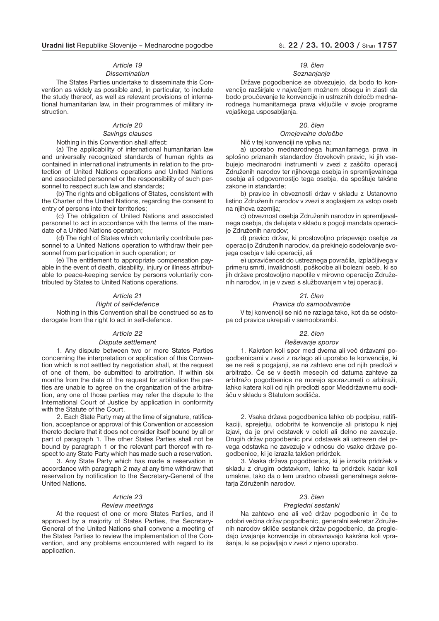# *Dissemination*

The States Parties undertake to disseminate this Convention as widely as possible and, in particular, to include the study thereof, as well as relevant provisions of international humanitarian law, in their programmes of military instruction.

# *Article 20*

#### *Savings clauses*

Nothing in this Convention shall affect:

(a) The applicability of international humanitarian law and universally recognized standards of human rights as contained in international instruments in relation to the protection of United Nations operations and United Nations and associated personnel or the responsibility of such personnel to respect such law and standards;

(b) The rights and obligations of States, consistent with the Charter of the United Nations, regarding the consent to entry of persons into their territories;

(c) The obligation of United Nations and associated personnel to act in accordance with the terms of the mandate of a United Nations operation;

(d) The right of States which voluntarily contribute personnel to a United Nations operation to withdraw their personnel from participation in such operation; or

(e) The entitlement to appropriate compensation payable in the event of death, disability, injury or illness attributable to peace-keeping service by persons voluntarily contributed by States to United Nations operations.

# *Article 21*

# *Right of self-defence*

Nothing in this Convention shall be construed so as to derogate from the right to act in self-defence.

# *Article 22*

# *Dispute settlement*

1. Any dispute between two or more States Parties concerning the interpretation or application of this Convention which is not settled by negotiation shall, at the request of one of them, be submitted to arbitration. If within six months from the date of the request for arbitration the parties are unable to agree on the organization of the arbitration, any one of those parties may refer the dispute to the International Court of Justice by application in conformity with the Statute of the Court.

2. Each State Party may at the time of signature, ratification, acceptance or approval of this Convention or accession thereto declare that it does not consider itself bound by all or part of paragraph 1. The other States Parties shall not be bound by paragraph 1 or the relevant part thereof with respect to any State Party which has made such a reservation.

3. Any State Party which has made a reservation in accordance with paragraph 2 may at any time withdraw that reservation by notification to the Secretary-General of the United Nations.

# *Article 23*

# *Review meetings*

At the request of one or more States Parties, and if approved by a majority of States Parties, the Secretary-General of the United Nations shall convene a meeting of the States Parties to review the implementation of the Convention, and any problems encountered with regard to its application.

# *19. člen*

#### *Seznanjanje*

Države pogodbenice se obvezujejo, da bodo to konvencijo razširjale v največjem možnem obsegu in zlasti da bodo proučevanje te konvencije in ustreznih določb mednarodnega humanitarnega prava vključile v svoje programe vojaškega usposabljanja.

# *20. člen*

#### *Omejevalne določbe*

Nič v tej konvenciji ne vpliva na:

a) uporabo mednarodnega humanitarnega prava in splošno priznanih standardov človekovih pravic, ki jih vsebujejo mednarodni instrumenti v zvezi z zaščito operacij Združenih narodov ter njihovega osebja in spremljevalnega osebja ali odgovornostjo tega osebja, da spoštuje takšne zakone in standarde;

b) pravice in obveznosti držav v skladu z Ustanovno listino Združenih narodov v zvezi s soglasjem za vstop oseb na niihova ozemlia:

c) obveznost osebja Združenih narodov in spremljevalnega osebja, da delujeta v skladu s pogoji mandata operacije Združenih narodov;

d) pravico držav, ki prostovoljno prispevajo osebje za operacijo Združenih narodov, da prekinejo sodelovanje svojega osebja v taki operaciji, ali

e) upravičenost do ustreznega povračila, izplačljivega v primeru smrti, invalidnosti, poškodbe ali bolezni oseb, ki so jih države prostovoljno napotile v mirovno operacijo Združenih narodov, in je v zvezi s službovanjem v tej operaciji.

# *21. člen*

# *Pravica do samoobrambe*

V tej konvenciji se nič ne razlaga tako, kot da se odstopa od pravice ukrepati v samoobrambi.

# *22. člen*

# *Reševanje sporov*

1. Kakršen koli spor med dvema ali več državami pogodbenicami v zvezi z razlago ali uporabo te konvencije, ki se ne reši s pogajanji, se na zahtevo ene od njih predloži v arbitražo. Če se v šestih mesecih od datuma zahteve za arbitražo pogodbenice ne morejo sporazumeti o arbitraži, lahko katera koli od njih predloži spor Meddržavnemu sodišču v skladu s Statutom sodišča.

2. Vsaka država pogodbenica lahko ob podpisu, ratifikaciji, sprejetju, odobritvi te konvencije ali pristopu k njej izjavi, da je prvi odstavek v celoti ali delno ne zavezuje. Drugih držav pogodbenic prvi odstavek ali ustrezen del prvega odstavka ne zavezuje v odnosu do vsake države pogodbenice, ki je izrazila takšen pridržek.

3. Vsaka država pogodbenica, ki je izrazila pridržek v skladu z drugim odstavkom, lahko ta pridržek kadar koli umakne, tako da o tem uradno obvesti generalnega sekretarja Združenih narodov.

# *23. člen*

# *Pregledni sestanki*

Na zahtevo ene ali več držav pogodbenic in če to odobri večina držav pogodbenic, generalni sekretar Združenih narodov skliče sestanek držav pogodbenic, da pregledajo izvajanje konvencije in obravnavajo kakršna koli vprašanja, ki se pojavljajo v zvezi z njeno uporabo.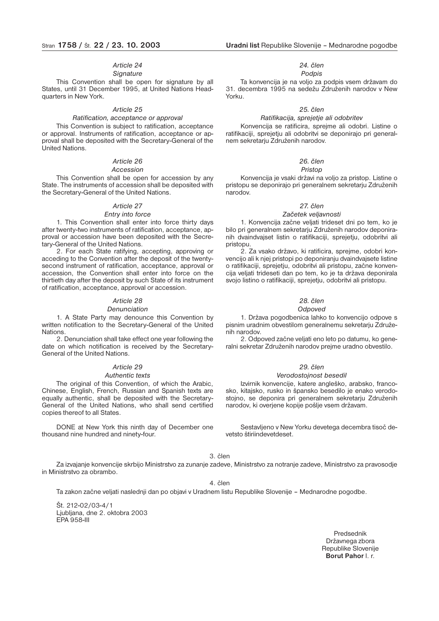# *Signature*

This Convention shall be open for signature by all States, until 31 December 1995, at United Nations Headquarters in New York.

# *Article 25*

# *Ratification, acceptance or approval*

This Convention is subject to ratification, acceptance or approval. Instruments of ratification, acceptance or approval shall be deposited with the Secretary-General of the United Nations.

# *Article 26*

# *Accession*

This Convention shall be open for accession by any State. The instruments of accession shall be deposited with the Secretary-General of the United Nations.

# *Article 27*

# *Entry into force*

1. This Convention shall enter into force thirty days after twenty-two instruments of ratification, acceptance, approval or accession have been deposited with the Secretary-General of the United Nations.

2. For each State ratifying, accepting, approving or acceding to the Convention after the deposit of the twentysecond instrument of ratification, acceptance, approval or accession, the Convention shall enter into force on the thirtieth day after the deposit by such State of its instrument of ratification, acceptance, approval or accession.

# *Article 28*

# *Denunciation*

1. A State Party may denounce this Convention by written notification to the Secretary-General of the United Nations.

2. Denunciation shall take effect one year following the date on which notification is received by the Secretary-General of the United Nations.

# *Article 29*

# *Authentic texts*

The original of this Convention, of which the Arabic, Chinese, English, French, Russian and Spanish texts are equally authentic, shall be deposited with the Secretary-General of the United Nations, who shall send certified copies thereof to all States.

DONE at New York this ninth day of December one thousand nine hundred and ninety-four.

# 3. člen

Za izvajanje konvencije skrbijo Ministrstvo za zunanje zadeve, Ministrstvo za notranje zadeve, Ministrstvo za pravosodje in Ministrstvo za obrambo.

4. člen

Ta zakon začne veljati naslednji dan po objavi v Uradnem listu Republike Slovenije – Mednarodne pogodbe.

Št. 212-02/03-4/1 Ljubljana, dne 2. oktobra 2003 EPA 958-III

# *24. člen*

# *Podpis*

Ta konvencija je na voljo za podpis vsem državam do 31. decembra 1995 na sedežu Združenih narodov v New Yorku.

# *25. člen*

# *Ratifikacija, sprejetje ali odobritev*

Konvencija se ratificira, sprejme ali odobri. Listine o ratifikaciji, sprejetju ali odobritvi se deponirajo pri generalnem sekretarju Združenih narodov.

# *26. člen*

# *Pristop*

Konvencija je vsaki državi na voljo za pristop. Listine o pristopu se deponirajo pri generalnem sekretarju Združenih narodov.

# *27. člen*

#### *Začetek veljavnosti*

1. Konvencija začne veljati trideset dni po tem, ko je bilo pri generalnem sekretarju Združenih narodov deponiranih dvaindvajset listin o ratifikaciji, sprejetju, odobritvi ali pristopu.

2. Za vsako državo, ki ratificira, sprejme, odobri konvencijo ali k njej pristopi po deponiranju dvaindvajsete listine o ratifikaciji, sprejetju, odobritvi ali pristopu, začne konvencija veljati trideseti dan po tem, ko je ta država deponirala svojo listino o ratifikaciji, sprejetju, odobritvi ali pristopu.

# *28. člen*

# *Odpoved*

1. Država pogodbenica lahko to konvencijo odpove s pisnim uradnim obvestilom generalnemu sekretarju Združenih narodov.

2. Odpoved začne veljati eno leto po datumu, ko generalni sekretar Združenih narodov prejme uradno obvestilo.

# *29. člen*

# *Verodostojnost besedil*

Izvirnik konvencije, katere angleško, arabsko, francosko, kitajsko, rusko in špansko besedilo je enako verodostojno, se deponira pri generalnem sekretarju Združenih narodov, ki overjene kopije pošlje vsem državam.

Sestavljeno v New Yorku devetega decembra tisoč devetsto štiriindevetdeset.

> Predsednik Državnega zbora Republike Slovenije **Borut Pahor** l. r.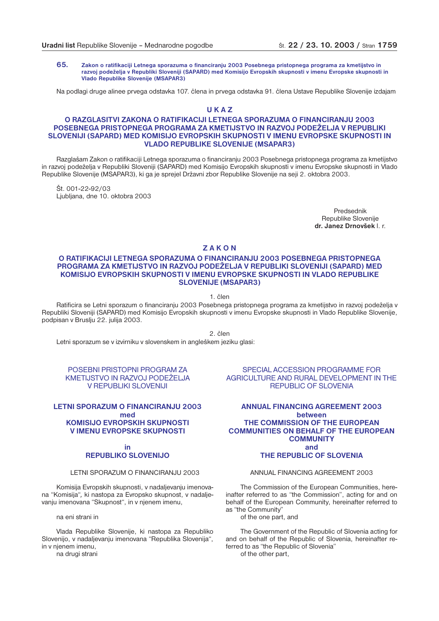**65. Zakon o ratifikaciji Letnega sporazuma o financiranju 2003 Posebnega pristopnega programa za kmetijstvo in razvoj podeželja v Republiki Sloveniji (SAPARD) med Komisijo Evropskih skupnosti v imenu Evropske skupnosti in Vlado Republike Slovenije (MSAPAR3)**

Na podlagi druge alinee prvega odstavka 107. člena in prvega odstavka 91. člena Ustave Republike Slovenije izdajam

# **U K A Z**

# **O RAZGLASITVI ZAKONA O RATIFIKACIJI LETNEGA SPORAZUMA O FINANCIRANJU 2003 POSEBNEGA PRISTOPNEGA PROGRAMA ZA KMETIJSTVO IN RAZVOJ PODEŽELJA V REPUBLIKI SLOVENIJI (SAPARD) MED KOMISIJO EVROPSKIH SKUPNOSTI V IMENU EVROPSKE SKUPNOSTI IN VLADO REPUBLIKE SLOVENIJE (MSAPAR3)**

Razglašam Zakon o ratifikaciji Letnega sporazuma o financiranju 2003 Posebnega pristopnega programa za kmetijstvo in razvoj podeželja v Republiki Sloveniji (SAPARD) med Komisijo Evropskih skupnosti v imenu Evropske skupnosti in Vlado Republike Slovenije (MSAPAR3), ki ga je sprejel Državni zbor Republike Slovenije na seji 2. oktobra 2003.

Št. 001-22-92/03 Ljubljana, dne 10. oktobra 2003

> Predsednik Republike Slovenije **dr. Janez Drnovšek** l. r.

# **Z A K O N**

# **O RATIFIKACIJI LETNEGA SPORAZUMA O FINANCIRANJU 2003 POSEBNEGA PRISTOPNEGA PROGRAMA ZA KMETIJSTVO IN RAZVOJ PODEŽELJA V REPUBLIKI SLOVENIJI (SAPARD) MED KOMISIJO EVROPSKIH SKUPNOSTI V IMENU EVROPSKE SKUPNOSTI IN VLADO REPUBLIKE SLOVENIJE (MSAPAR3)**

1. člen

Ratificira se Letni sporazum o financiranju 2003 Posebnega pristopnega programa za kmetijstvo in razvoj podeželja v Republiki Sloveniji (SAPARD) med Komisijo Evropskih skupnosti v imenu Evropske skupnosti in Vlado Republike Slovenije, podpisan v Bruslju 22. julija 2003.

2. člen

Letni sporazum se v izvirniku v slovenskem in angleškem jeziku glasi:

# POSEBNI PRISTOPNI PROGRAM ZA KMETIJSTVO IN RAZVOJ PODEŽELJA V REPUBLIKI SLOVENIJI

# **LETNI SPORAZUM O FINANCIRANJU 2003 med KOMISIJO EVROPSKIH SKUPNOSTI V IMENU EVROPSKE SKUPNOSTI**

# **in REPUBLIKO SLOVENIJO**

# LETNI SPORAZUM O FINANCIRANJU 2003

Komisija Evropskih skupnosti, v nadaljevanju imenovana "Komisija"*,* ki nastopa za Evropsko skupnost, v nadaljevanju imenovana "Skupnost", in v njenem imenu,

na eni strani in

Vlada Republike Slovenije, ki nastopa za Republiko Slovenijo, v nadaljevanju imenovana "Republika Slovenija", in v njenem imenu,

na drugi strani

SPECIAL ACCESSION PROGRAMME FOR AGRICULTURE AND RURAL DEVELOPMENT IN THE REPUBLIC OF SLOVENIA

# **ANNUAL FINANCING AGREEMENT 2003 between THE COMMISSION OF THE EUROPEAN COMMUNITIES ON BEHALF OF THE EUROPEAN COMMUNITY and THE REPUBLIC OF SLOVENIA**

# ANNUAL FINANCING AGREEMENT 2003

The Commission of the European Communities, hereinafter referred to as "the Commission", acting for and on behalf of the European Community, hereinafter referred to as "the Community"

of the one part, and

The Government of the Republic of Slovenia acting for and on behalf of the Republic of Slovenia, hereinafter referred to as "the Republic of Slovenia" of the other part,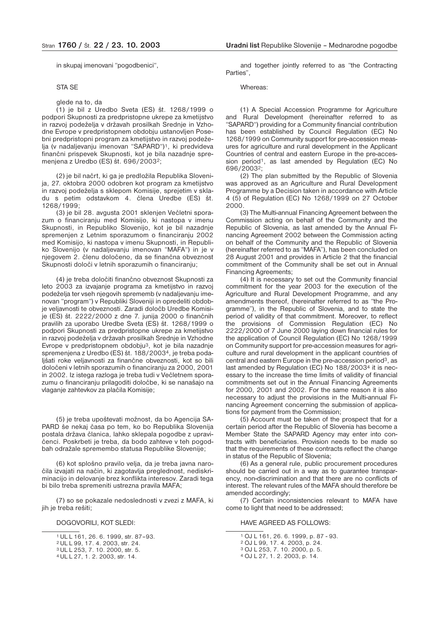in skupaj imenovani "pogodbenici",

# STA SE

glede na to, da

(1) je bil z Uredbo Sveta (ES) št. 1268/1999 o podpori Skupnosti za predpristopne ukrepe za kmetijstvo in razvoj podeželja v državah prosilkah Srednje in Vzhodne Evrope v predpristopnem obdobju ustanovljen Posebni predpristopni program za kmetijstvo in razvoj podeželja (v nadaljevanju imenovan "SAPARD")1, ki predvideva finančni prispevek Skupnosti, kot je bila nazadnje spremenjena z Uredbo (ES) št. 696/20032;

(2) je bil načrt, ki ga je predložila Republika Slovenija, 27. oktobra 2000 odobren kot program za kmetijstvo in razvoj podeželja s sklepom Komisije, sprejetim v skladu s petim odstavkom 4. člena Uredbe (ES) št. 1268/1999;

(3) je bil 28. avgusta 2001 sklenjen Večletni sporazum o financiranju med Komisijo, ki nastopa v imenu Skupnosti, in Republiko Slovenijo, kot je bil nazadnje spremenjen z Letnim sporazumom o financiranju 2002 med Komisijo, ki nastopa v imenu Skupnosti, in Republiko Slovenijo (v nadaljevanju imenovan "MAFA") in je v njegovem 2. členu določeno, da se finančna obveznost Skupnosti določi v letnih sporazumih o financiranju;

(4) je treba določiti finančno obveznost Skupnosti za leto 2003 za izvajanje programa za kmetijstvo in razvoj podeželja ter vseh njegovih sprememb (v nadaljevanju imenovan "program") v Republiki Sloveniji in opredeliti obdobje veljavnosti te obveznosti. Zaradi določb Uredbe Komisije (ES) št. 2222/2000 z dne 7. junija 2000 o finančnih pravilih za uporabo Uredbe Sveta (ES) št. 1268/1999 o podpori Skupnosti za predpristopne ukrepe za kmetijstvo in razvoj podeželja v državah prosilkah Srednje in Vzhodne Evrope v predpristopnem obdobju3, kot je bila nazadnje spremenjena z Uredbo (ES) št. 188/20034, je treba podaljšati roke veljavnosti za finančne obveznosti, kot so bili določeni v letnih sporazumih o financiranju za 2000, 2001 in 2002. Iz istega razloga je treba tudi v Večletnem sporazumu o financiranju prilagoditi določbe, ki se nanašajo na vlaganje zahtevkov za plačila Komisije;

(5) je treba upoštevati možnost, da bo Agencija SA-PARD še nekaj časa po tem, ko bo Republika Slovenija postala država članica, lahko sklepala pogodbe z upravičenci. Poskrbeti je treba, da bodo zahteve v teh pogodbah odražale spremembo statusa Republike Slovenije;

(6) kot splošno pravilo velja, da je treba javna naročila izvajati na način, ki zagotavlja preglednost, nediskriminacijo in delovanje brez konflikta interesov. Zaradi tega bi bilo treba spremeniti ustrezna pravila MAFA;

(7) so se pokazale nedoslednosti v zvezi z MAFA, ki jih je treba rešiti;

DOGOVORILI, KOT SLEDI:

and together jointly referred to as "the Contracting Parties",

Whereas:

(1) A Special Accession Programme for Agriculture and Rural Development (hereinafter referred to as "SAPARD") providing for a Community financial contribution has been established by Council Regulation (EC) No 1268/1999 on Community support for pre-accession measures for agriculture and rural development in the Applicant Countries of central and eastern Europe in the pre-accession period<sup>1</sup>, as last amended by Regulation (EC) No 696/20032;

(2) The plan submitted by the Republic of Slovenia was approved as an Agriculture and Rural Development Programme by a Decision taken in accordance with Article 4 (5) of Regulation (EC) No 1268/1999 on 27 October 2000.

(3) The Multi-annual Financing Agreement between the Commission acting on behalf of the Community and the Republic of Slovenia, as last amended by the Annual Financing Agreement 2002 between the Commission acting on behalf of the Community and the Republic of Slovenia (hereinafter referred to as "MAFA"), has been concluded on 28 August 2001 and provides in Article 2 that the financial commitment of the Community shall be set out in Annual Financing Agreements;

(4) It is necessary to set out the Community financial commitment for the year 2003 for the execution of the Agriculture and Rural Development Programme, and any amendments thereof, (hereinafter referred to as "the Programme"), in the Republic of Slovenia, and to state the period of validity of that commitment. Moreover, to reflect the provisions of Commission Regulation (EC) No 2222/2000 of 7 June 2000 laying down financial rules for the application of Council Regulation (EC) No 1268/1999 on Community support for pre-accession measures for agriculture and rural development in the applicant countries of central and eastern Europe in the pre-accession period3, as last amended by Regulation (EC) No 188/20034 it is necessary to the increase the time limits of validity of financial commitments set out in the Annual Financing Agreements for 2000, 2001 and 2002. For the same reason it is also necessary to adjust the provisions in the Multi-annual Financing Agreement concerning the submission of applications for payment from the Commission;

(5) Account must be taken of the prospect that for a certain period after the Republic of Slovenia has become a Member State the SAPARD Agency may enter into contracts with beneficiaries. Provision needs to be made so that the requirements of these contracts reflect the change in status of the Republic of Slovenia;

(6) As a general rule, public procurement procedures should be carried out in a way as to guarantee transparency, non-discrimination and that there are no conflicts of interest. The relevant rules of the MAFA should therefore be amended accordingly;

(7) Certain inconsistencies relevant to MAFA have come to light that need to be addressed;

# HAVE AGREED AS FOLLOWS:

<sup>1</sup> UL L 161, 26. 6. 1999, str. 87–93.

<sup>2</sup> UL L 99, 17. 4. 2003, str. 24.

<sup>3</sup> UL L 253, 7. 10. 2000, str. 5.

<sup>4</sup> UL L 27, 1. 2. 2003, str. 14.

<sup>1</sup> OJ L 161, 26. 6. 1999, p. 87 - 93.

<sup>2</sup> OJ L 99, 17. 4. 2003, p. 24.

<sup>3</sup> OJ L 253, 7. 10. 2000, p. 5.

<sup>4</sup> OJ L 27, 1. 2. 2003, p. 14.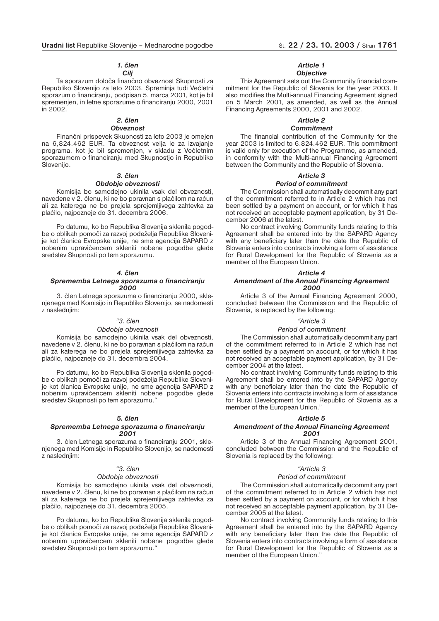# *1. člen Cilj*

Ta sporazum določa finančno obveznost Skupnosti za Republiko Slovenijo za leto 2003. Spreminja tudi Večletni sporazum o financiranju, podpisan 5. marca 2001, kot je bil spremenjen, in letne sporazume o financiranju 2000, 2001 in 2002.

# *2. člen*

# *Obveznost*

Finančni prispevek Skupnosti za leto 2003 je omejen na 6,824.462 EUR. Ta obveznost velja le za izvajanje programa, kot je bil spremenjen, v skladu z Večletnim sporazumom o financiranju med Skupnostjo in Republiko Slovenijo.

# *3. člen*

# *Obdobje obveznosti*

Komisija bo samodejno ukinila vsak del obveznosti, navedene v 2. členu, ki ne bo poravnan s plačilom na račun ali za katerega ne bo prejela sprejemljivega zahtevka za plačilo, najpozneje do 31. decembra 2006.

Po datumu, ko bo Republika Slovenija sklenila pogodbe o oblikah pomoči za razvoj podeželja Republike Slovenije kot članica Evropske unije, ne sme agencija SAPARD z nobenim upravičencem skleniti nobene pogodbe glede sredstev Skupnosti po tem sporazumu.

# *4. člen Sprememba Letnega sporazuma o financiranju 2000*

3. člen Letnega sporazuma o financiranju 2000, sklenjenega med Komisijo in Republiko Slovenijo, se nadomesti z naslednjim:

# *"3. člen*

#### *Obdobje obveznosti*

Komisija bo samodejno ukinila vsak del obveznosti, navedene v 2. členu, ki ne bo poravnan s plačilom na račun ali za katerega ne bo prejela sprejemljivega zahtevka za plačilo, najpozneje do 31. decembra 2004.

Po datumu, ko bo Republika Slovenija sklenila pogodbe o oblikah pomoči za razvoj podeželja Republike Slovenije kot članica Evropske unije, ne sme agencija SAPARD z nobenim upravičencem skleniti nobene pogodbe glede sredstev Skupnosti po tem sporazumu.

# *5. člen*

# *Sprememba Letnega sporazuma o financiranju 2001*

3. člen Letnega sporazuma o financiranju 2001, sklenjenega med Komisijo in Republiko Slovenijo, se nadomesti z naslednjim:

# *"3. člen*

#### *Obdobje obveznosti*

Komisija bo samodejno ukinila vsak del obveznosti, navedene v 2. členu, ki ne bo poravnan s plačilom na račun ali za katerega ne bo prejela sprejemljivega zahtevka za plačilo, najpozneje do 31. decembra 2005.

Po datumu, ko bo Republika Slovenija sklenila pogodbe o oblikah pomoči za razvoj podeželja Republike Slovenije kot članica Evropske unije, ne sme agencija SAPARD z nobenim upravičencem skleniti nobene pogodbe glede sredstev Skupnosti po tem sporazumu.

# *Article 1 Objective*

This Agreement sets out the Community financial commitment for the Republic of Slovenia for the year 2003. It also modifies the Multi-annual Financing Agreement signed on 5 March 2001, as amended, as well as the Annual Financing Agreements 2000, 2001 and 2002.

# *Article 2*

# *Commitment*

The financial contribution of the Community for the year 2003 is limited to 6.824.462 EUR. This commitment is valid only for execution of the Programme, as amended, in conformity with the Multi-annual Financing Agreement between the Community and the Republic of Slovenia.

# *Article 3*

# *Period of commitment*

The Commission shall automatically decommit any part of the commitment referred to in Article 2 which has not been settled by a payment on account, or for which it has not received an acceptable payment application, by 31 December 2006 at the latest.

No contract involving Community funds relating to this Agreement shall be entered into by the SAPARD Agency with any beneficiary later than the date the Republic of Slovenia enters into contracts involving a form of assistance for Rural Development for the Republic of Slovenia as a member of the European Union.

# *Article 4 Amendment of the Annual Financing Agreement 2000*

Article 3 of the Annual Financing Agreement 2000, concluded between the Commission and the Republic of Slovenia, is replaced by the following:

#### *"Article 3*

#### *Period of commitment*

The Commission shall automatically decommit any part of the commitment referred to in Article 2 which has not been settled by a payment on account, or for which it has not received an acceptable payment application, by 31 December 2004 at the latest.

No contract involving Community funds relating to this Agreement shall be entered into by the SAPARD Agency with any beneficiary later than the date the Republic of Slovenia enters into contracts involving a form of assistance for Rural Development for the Republic of Slovenia as a member of the European Union."

# *Article 5*

# *Amendment of the Annual Financing Agreement 2001*

Article 3 of the Annual Financing Agreement 2001, concluded between the Commission and the Republic of Slovenia is replaced by the following:

# *"Article 3*

#### *Period of commitment*

The Commission shall automatically decommit any part of the commitment referred to in Article 2 which has not been settled by a payment on account, or for which it has not received an acceptable payment application, by 31 December 2005 at the latest.

No contract involving Community funds relating to this Agreement shall be entered into by the SAPARD Agency with any beneficiary later than the date the Republic of Slovenia enters into contracts involving a form of assistance for Rural Development for the Republic of Slovenia as a member of the European Union."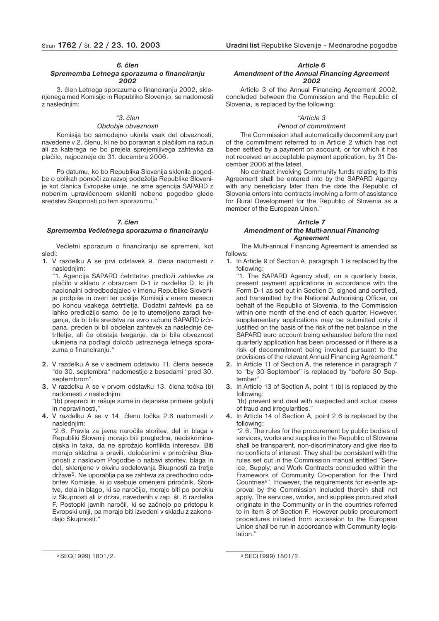# *6. člen*

#### *Sprememba Letnega sporazuma o financiranju 2002*

3. člen Letnega sporazuma o financiranju 2002, sklenjenega med Komisijo in Republiko Slovenijo, se nadomesti z naslednjim:

# *"3. člen*

# *Obdobje obveznosti*

Komisija bo samodejno ukinila vsak del obveznosti, navedene v 2. členu, ki ne bo poravnan s plačilom na račun ali za katerega ne bo prejela sprejemljivega zahtevka za plačilo, najpozneje do 31. decembra 2006.

Po datumu, ko bo Republika Slovenija sklenila pogodbe o oblikah pomoči za razvoj podeželja Republike Slovenije kot članica Evropske unije, ne sme agencija SAPARD z nobenim upravičencem skleniti nobene pogodbe glede sredstev Skupnosti po tem sporazumu."

# *7. člen*

# *Sprememba Večletnega sporazuma o financiranju*

Večletni sporazum o financiranju se spremeni, kot sledi:

**1.** V razdelku A se prvi odstavek 9. člena nadomesti z naslednjim:

"1. Agencija SAPARD četrtletno predloži zahtevke za plačilo v skladu z obrazcem D-1 iz razdelka D, ki jih nacionalni odredbodajalec v imenu Republike Slovenije podpiše in overi ter pošlje Komisiji v enem mesecu po koncu vsakega četrtletja. Dodatni zahtevki pa se lahko predložijo samo, če je to utemeljeno zaradi tveganja, da bi bila sredstva na evro računu SAPARD izčrpana, preden bi bil obdelan zahtevek za naslednje četrtletje, ali če obstaja tveganje, da bi bila obveznost ukinjena na podlagi določb ustreznega letnega sporazuma o financiranju."

- **2.** V razdelku A se v sedmem odstavku 11. člena besede "do 30. septembra" nadomestijo z besedami "pred 30. septembrom".
- **3.** V razdelku A se v prvem odstavku 13. člena točka (b) nadomesti z naslednjim: "(b) prepreči in rešuje sume in dejanske primere goljufij in nepravilnosti,"
- **4.** V razdelku A se v 14. členu točka 2.6 nadomesti z naslednjim:

"2.6. Pravila za javna naročila storitev, del in blaga v Republiki Sloveniji morajo biti pregledna, nediskriminacijska in taka, da ne sprožajo konflikta interesov. Biti morajo skladna s pravili, določenimi v priročniku Skupnosti z naslovom Pogodbe o nabavi storitev, blaga in del, sklenjene v okviru sodelovanja Skupnosti za tretje države5. Ne uporablja pa se zahteva za predhodno odobritev Komisije, ki jo vsebuje omenjeni priročnik. Storitve, dela in blago, ki se naročijo, morajo biti po poreklu iz Skupnosti ali iz držav, navedenih v zap. št. 8 razdelka F. Postopki javnih naročil, ki se začnejo po pristopu k Evropski uniji, pa morajo biti izvedeni v skladu z zakonodajo Skupnosti."

# *Amendment of the Annual Financing Agreement 2002*

Article 3 of the Annual Financing Agreement 2002, concluded between the Commission and the Republic of Slovenia, is replaced by the following:

# *"Article 3*

# *Period of commitment*

The Commission shall automatically decommit any part of the commitment referred to in Article 2 which has not been settled by a payment on account, or for which it has not received an acceptable payment application, by 31 December 2006 at the latest.

No contract involving Community funds relating to this Agreement shall be entered into by the SAPARD Agency with any beneficiary later than the date the Republic of Slovenia enters into contracts involving a form of assistance for Rural Development for the Republic of Slovenia as a member of the European Union."

# *Article 7*

# *Amendment of the Multi-annual Financing Agreement*

The Multi-annual Financing Agreement is amended as follows:

- **1.** In Article 9 of Section A, paragraph 1 is replaced by the following:
	- "1. The SAPARD Agency shall, on a quarterly basis, present payment applications in accordance with the Form D-1 as set out in Section D, signed and certified, and transmitted by the National Authorising Officer, on behalf of the Republic of Slovenia, to the Commission within one month of the end of each quarter. However, supplementary applications may be submitted only if justified on the basis of the risk of the net balance in the SAPARD euro account being exhausted before the next quarterly application has been processed or if there is a risk of decommitment being invoked pursuant to the provisions of the relevant Annual Financing Agreement."
- **2.** In Article 11 of Section A, the reference in paragraph 7 to "by 30 September" is replaced by "before 30 September".
- **3.** In Article 13 of Section A, point 1 (b) is replaced by the following:

"(b) prevent and deal with suspected and actual cases of fraud and irregularities."

**4.** In Article 14 of Section A, point 2.6 is replaced by the following:

"2.6. The rules for the procurement by public bodies of services, works and supplies in the Republic of Slovenia shall be transparent, non-discriminatory and give rise to no conflicts of interest. They shall be consistent with the rules set out in the Commission manual entitled "Service, Supply, and Work Contracts concluded within the Framework of Community Co-operation for the Third Countries5". However, the requirements for ex-ante approval by the Commission included therein shall not apply. The services, works, and supplies procured shall originate in the Community or in the countries referred to in Item 8 of Section F. However public procurement procedures initiated from accession to the European Union shall be run in accordance with Community legislation."

*Article 6*

<sup>5</sup> SEC(1999) 1801/2. 5 SEC(1999) 1801/2.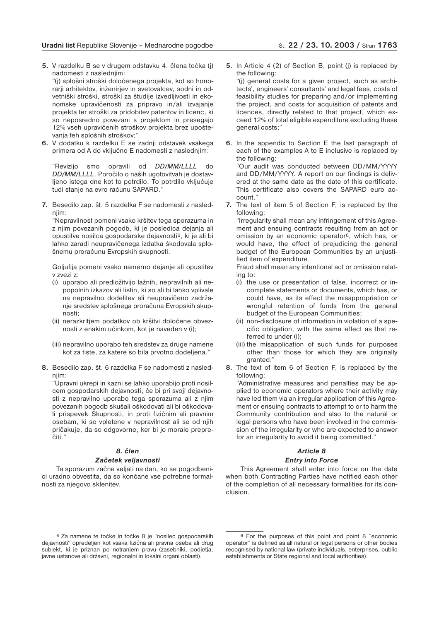**5.** V razdelku B se v drugem odstavku 4. člena točka (j) nadomesti z naslednjim:

"(j) splošni stroški določenega projekta, kot so honorarji arhitektov, inženirjev in svetovalcev, sodni in odvetniški stroški, stroški za študije izvedljivosti in ekonomske upravičenosti za pripravo in/ali izvajanje projekta ter stroški za pridobitev patentov in licenc, ki so neposredno povezani s projektom in presegajo 12% vseh upravičenih stroškov projekta brez upoštevanja teh splošnih stroškov;"

**6.** V dodatku k razdelku E se zadnji odstavek vsakega primera od A do vključno E nadomesti z naslednjim:

"Revizijo smo opravili od *DD/MM/LLLL* do *DD/MM/LLLL*. Poročilo o naših ugotovitvah je dostavljeno istega dne kot to potrdilo. To potrdilo vključuje tudi stanje na evro računu SAPARD."

**7.** Besedilo zap. št. 5 razdelka F se nadomesti z nasledniim:

"Nepravilnost pomeni vsako kršitev tega sporazuma in z njim povezanih pogodb, ki je posledica dejanja ali opustitve nosilca gospodarske dejavnosti6, ki je ali bi lahko zaradi neupravičenega izdatka škodovala splošnemu proračunu Evropskih skupnosti.

Goljufija pomeni vsako namerno dejanje ali opustitev v zvezi z:

- (i) uporabo ali predložitvijo lažnih, nepravilnih ali nepopolnih izkazov ali listin, ki so ali bi lahko vplivale na nepravilno dodelitev ali neupravičeno zadržanje sredstev splošnega proračuna Evropskih skupnosti;
- (ii) nerazkritjem podatkov ob kršitvi določene obveznosti z enakim učinkom, kot je naveden v (i);
- (iii) nepravilno uporabo teh sredstev za druge namene kot za tiste, za katere so bila prvotno dodeljena."
- **8.** Besedilo zap. št. 6 razdelka F se nadomesti z nasledniim:

"Upravni ukrepi in kazni se lahko uporabijo proti nosilcem gospodarskih dejavnosti, če bi pri svoji dejavnosti z nepravilno uporabo tega sporazuma ali z njim povezanih pogodb skušali oškodovati ali bi oškodovali prispevek Skupnosti, in proti fizičnim ali pravnim osebam, ki so vpletene v nepravilnost ali se od njih pričakuje, da so odgovorne, ker bi jo morale preprečiti."

# *8. člen*

# *Začetek veljavnosti*

Ta sporazum začne veljati na dan, ko se pogodbenici uradno obvestita, da so končane vse potrebne formalnosti za njegovo sklenitev.

**5.** In Article 4 (2) of Section B, point (j) is replaced by the following:

"(j) general costs for a given project, such as architects', engineers' consultants' and legal fees, costs of feasibility studies for preparing and/or implementing the project, and costs for acquisition of patents and licences, directly related to that project, which exceed 12% of total eligible expenditure excluding these general costs;"

**6.** In the appendix to Section E the last paragraph of each of the examples A to E inclusive is replaced by the following:

"Our audit was conducted between DD/MM/YYYY and DD/MM/YYYY. A report on our findings is delivered at the same date as the date of this certificate. This certificate also covers the SAPARD euro account."

**7.** The text of item 5 of Section F, is replaced by the following:

"Irregularity shall mean any infringement of this Agreement and ensuing contracts resulting from an act or omission by an economic operator6, which has, or would have, the effect of prejudicing the general budget of the European Communities by an unjustified item of expenditure.

Fraud shall mean any intentional act or omission relating to:

- (i) the use or presentation of false, incorrect or incomplete statements or documents, which has, or could have, as its effect the misappropriation or wrongful retention of funds from the general budget of the European Communities;
- (ii) non-disclosure of information in violation of a specific obligation, with the same effect as that referred to under (i);
- (iii) the misapplication of such funds for purposes other than those for which they are originally granted."
- **8.** The text of item 6 of Section F, is replaced by the following:

"Administrative measures and penalties may be applied to economic operators where their activity may have led them via an irregular application of this Agreement or ensuing contracts to attempt to or to harm the Community contribution and also to the natural or legal persons who have been involved in the commission of the irregularity or who are expected to answer for an irregularity to avoid it being committed."

# *Article 8*

# *Entry into Force*

This Agreement shall enter into force on the date when both Contracting Parties have notified each other of the completion of all necessary formalities for its conclusion.

<sup>6</sup> Za namene te točke in točke 8 je "nosilec gospodarskih dejavnosti" opredeljen kot vsaka fizična ali pravna oseba ali drug subjekt, ki je priznan po notranjem pravu (zasebniki, podjetja, javne ustanove ali državni, regionalni in lokalni organi oblasti).

<sup>6</sup> For the purposes of this point and point 8 "economic operator" is defined as all natural or legal persons or other bodies recognised by national law (private individuals, enterprises, public establishments or State regional and local authorities).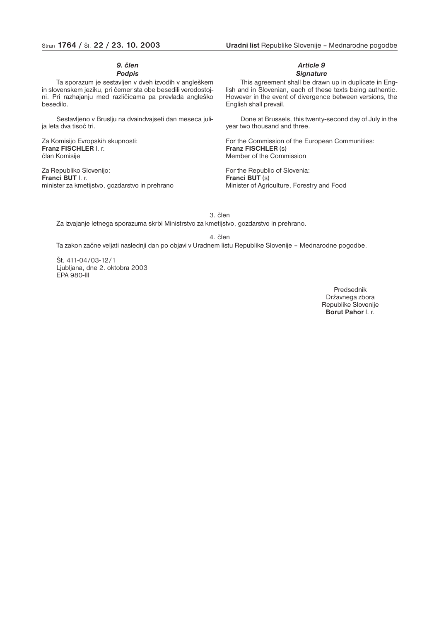# *9. člen Podpis*

Ta sporazum je sestavljen v dveh izvodih v angleškem in slovenskem jeziku, pri čemer sta obe besedili verodostojni. Pri razhajanju med različicama pa prevlada angleško besedilo.

Sestavljeno v Bruslju na dvaindvajseti dan meseca julija leta dva tisoč tri.

Za Komisijo Evropskih skupnosti: **Franz FISCHLER** l. r. član Komisije

Za Republiko Slovenijo: **Franci BUT** l. r. minister za kmetijstvo, gozdarstvo in prehrano

# *Article 9 Signature*

This agreement shall be drawn up in duplicate in English and in Slovenian, each of these texts being authentic. However in the event of divergence between versions, the English shall prevail.

Done at Brussels, this twenty-second day of July in the year two thousand and three.

For the Commission of the European Communities: **Franz FISCHLER** (s) Member of the Commission

For the Republic of Slovenia: **Franci BUT** (s) Minister of Agriculture, Forestry and Food

3. člen

Za izvajanje letnega sporazuma skrbi Ministrstvo za kmetijstvo, gozdarstvo in prehrano.

4. člen

Ta zakon začne veljati naslednji dan po objavi v Uradnem listu Republike Slovenije – Mednarodne pogodbe.

Št. 411-04/03-12/1 Liubliana, dne 2. oktobra 2003 EPA 980-III

> Predsednik Državnega zbora Republike Slovenije **Borut Pahor** l. r.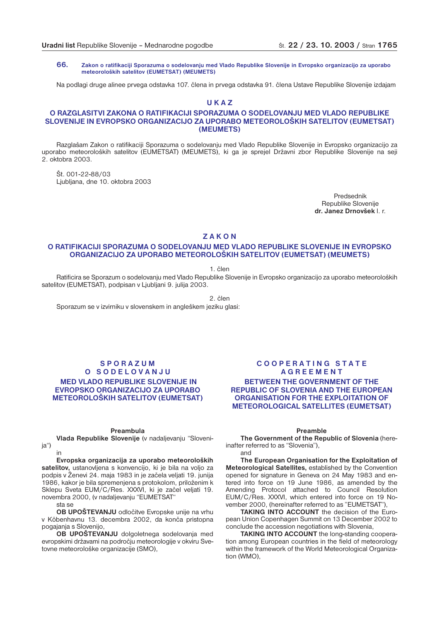**66. Zakon o ratifikaciji Sporazuma o sodelovanju med Vlado Republike Slovenije in Evropsko organizacijo za uporabo meteoroloških satelitov (EUMETSAT) (MEUMETS)**

Na podlagi druge alinee prvega odstavka 107. člena in prvega odstavka 91. člena Ustave Republike Slovenije izdajam

# **U K A Z**

# **O RAZGLASITVI ZAKONA O RATIFIKACIJI SPORAZUMA O SODELOVANJU MED VLADO REPUBLIKE SLOVENIJE IN EVROPSKO ORGANIZACIJO ZA UPORABO METEOROLOŠKIH SATELITOV (EUMETSAT) (MEUMETS)**

Razglašam Zakon o ratifikaciji Sporazuma o sodelovanju med Vlado Republike Slovenije in Evropsko organizacijo za uporabo meteoroloških satelitov (EUMETSAT) (MEUMETS), ki ga je sprejel Državni zbor Republike Slovenije na seji 2. oktobra 2003.

Št. 001-22-88/03 Ljubljana, dne 10. oktobra 2003

> Predsednik Republike Slovenije **dr. Janez Drnovšek** l. r.

# **Z A K O N**

# **O RATIFIKACIJI SPORAZUMA O SODELOVANJU MED VLADO REPUBLIKE SLOVENIJE IN EVROPSKO ORGANIZACIJO ZA UPORABO METEOROLOŠKIH SATELITOV (EUMETSAT) (MEUMETS)**

1. člen

Ratificira se Sporazum o sodelovanju med Vlado Republike Slovenije in Evropsko organizacijo za uporabo meteoroloških satelitov (EUMETSAT), podpisan v Ljubljani 9. julija 2003.

2. člen

Sporazum se v izvirniku v slovenskem in angleškem jeziku glasi:

# **S P O R A Z U M O S O D E L O V A N J U MED VLADO REPUBLIKE SLOVENIJE IN EVROPSKO ORGANIZACIJO ZA UPORABO METEOROLOŠKIH SATELITOV (EUMETSAT)**

# **Preambula**

**Vlada Republike Slovenije** (v nadaljevanju "Slovenija")

in

**Evropska organizacija za uporabo meteoroloških satelitov,** ustanovljena s konvencijo, ki je bila na voljo za podpis v Ženevi 24. maja 1983 in je začela veljati 19. junija 1986, kakor je bila spremenjena s protokolom, priloženim k Sklepu Sveta EUM/C/Res. XXXVI, ki je začel veljati 19. novembra 2000, (v nadaljevanju "EUMETSAT"

sta se

**OB UPOŠTEVANJU** odločitve Evropske unije na vrhu v Köbenhavnu 13. decembra 2002, da konča pristopna pogajanja s Slovenijo,

**OB UPOŠTEVANJU** dolgoletnega sodelovanja med evropskimi državami na področju meteorologije v okviru Svetovne meteorološke organizacije (SMO),

# **C O O P E R A T I N G S T A T E A G R E E M E N T BETWEEN THE GOVERNMENT OF THE REPUBLIC OF SLOVENIA AND THE EUROPEAN ORGANISATION FOR THE EXPLOITATION OF METEOROLOGICAL SATELLITES (EUMETSAT)**

# **Preamble**

**The Government of the Republic of Slovenia** (hereinafter referred to as "Slovenia"),

and

**The European Organisation for the Exploitation of Meteorological Satellites,** established by the Convention opened for signature in Geneva on 24 May 1983 and entered into force on 19 June 1986, as amended by the Amending Protocol attached to Council Resolution EUM/C/Res. XXXVI, which entered into force on 19 November 2000, (hereinafter referred to as "EUMETSAT"),

**TAKING INTO ACCOUNT** the decision of the European Union Copenhagen Summit on 13 December 2002 to conclude the accession negotiations with Slovenia,

**TAKING INTO ACCOUNT** the long-standing cooperation among European countries in the field of meteorology within the framework of the World Meteorological Organization (WMO),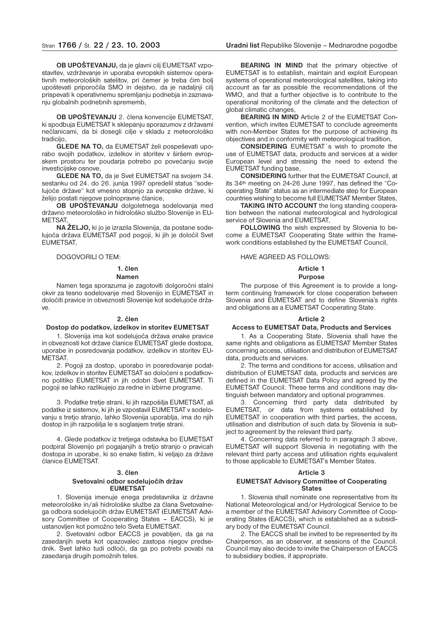**OB UPOŠTEVANJU,** da je glavni cilj EUMETSAT vzpostavitev, vzdrževanje in uporaba evropskih sistemov operativnih meteoroloških satelitov, pri čemer je treba čim bolj upoštevati priporočila SMO in dejstvo, da je nadaljnji cilj prispevati k operativnemu spremljanju podnebja in zaznavanju globalnih podnebnih sprememb,

**OB UPOŠTEVANJU** 2. člena konvencije EUMETSAT, ki spodbuja EUMETSAT k sklepanju sporazumov z državami nečlanicami, da bi dosegli cilje v skladu z meteorološko tradicijo,

**GLEDE NA TO,** da EUMETSAT želi pospeševati uporabo svojih podatkov, izdelkov in storitev v širšem evropskem prostoru ter poudarja potrebo po povečanju svoje investicijske osnove,

**GLEDE NA TO,** da je Svet EUMETSAT na svojem 34. sestanku od 24. do 26. junija 1997 opredelil status "sodelujoče države" kot vmesno stopnjo za evropske države, ki želijo postati njegove polnopravne članice,

**OB UPOŠTEVANJU** dolgoletnega sodelovanja med državno meteorološko in hidrološko službo Slovenije in EU-METSAT,

**NA ŽELJO,** ki jo je izrazila Slovenija, da postane sodelujoča država EUMETSAT pod pogoji, ki jih je določil Svet EUMETSAT,

DOGOVORILI O TEM:

# **1. člen**

# **Namen**

Namen tega sporazuma je zagotoviti dolgoročni stalni okvir za tesno sodelovanje med Slovenijo in EUMETSAT in določiti pravice in obveznosti Slovenije kot sodelujoče države.

# **2. člen**

# **Dostop do podatkov, izdelkov in storitev EUMETSAT**

1. Slovenija ima kot sodelujoča država enake pravice in obveznosti kot države članice EUMETSAT glede dostopa, uporabe in posredovanja podatkov, izdelkov in storitev EU-METSAT.

2. Pogoji za dostop, uporabo in posredovanje podatkov, izdelkov in storitev EUMETSAT so določeni s podatkovno politiko EUMETSAT in jih odobri Svet EUMETSAT. Ti pogoji se lahko razlikujejo za redne in izbirne programe.

3. Podatke tretje strani, ki jih razpošilja EUMETSAT, ali podatke iz sistemov, ki jih je vzpostavil EUMETSAT v sodelovanju s tretjo stranjo, lahko Slovenija uporablja, ima do njih dostop in jih razpošilja le s soglasjem tretje strani.

4. Glede podatkov iz tretjega odstavka bo EUMETSAT podpiral Slovenijo pri pogajanjih s tretjo stranjo o pravicah dostopa in uporabe, ki so enake tistim, ki veljajo za države članice EUMETSAT.

# **3. člen**

# **Svetovalni odbor sodelujočih držav EUMETSAT**

1. Slovenija imenuje enega predstavnika iz državne meteorološke in/ali hidrološke službe za člana Svetovalnega odbora sodelujočih držav EUMETSAT (EUMETSAT Advisory Committee of Cooperating States – EACCS), ki je ustanovljen kot pomožno telo Sveta EUMETSAT.

2. Svetovalni odbor EACCS je povabljen, da ga na zasedanjih sveta kot opazovalec zastopa njegov predsednik. Svet lahko tudi odloči, da ga po potrebi povabi na zasedanja drugih pomožnih teles.

**BEARING IN MIND** that the primary objective of EUMETSAT is to establish, maintain and exploit European systems of operational meteorological satellites, taking into account as far as possible the recommendations of the WMO, and that a further objective is to contribute to the operational monitoring of the climate and the detection of global climatic changes,

**BEARING IN MIND** Article 2 of the EUMETSAT Convention, which invites EUMETSAT to conclude agreements with non-Member States for the purpose of achieving its objectives and in conformity with meteorological tradition,

**CONSIDERING** EUMETSAT´s wish to promote the use of EUMETSAT data, products and services at a wider European level and stressing the need to extend the EUMETSAT funding base,

**CONSIDERING** further that the EUMETSAT Council, at its 34th meeting on 24-26 June 1997, has defined the "Cooperating State" status as an intermediate step for European countries wishing to become full EUMETSAT Member States,

**TAKING INTO ACCOUNT** the long standing cooperation between the national meteorological and hydrological service of Slovenia and EUMETSAT,

**FOLLOWING** the wish expressed by Slovenia to become a EUMETSAT Cooperating State within the framework conditions established by the EUMETSAT Council,

HAVE AGREED AS FOLLOWS:

# **Article 1**

# **Purpose**

The purpose of this Agreement is to provide a longterm continuing framework for close cooperation between Slovenia and EUMETSAT and to define Slovenia's rights and obligations as a EUMETSAT Cooperating State.

# **Article 2**

# **Access to EUMETSAT Data, Products and Services**

1. As a Cooperating State, Slovenia shall have the same rights and obligations as EUMETSAT Member States concerning access, utilisation and distribution of EUMETSAT data, products and services.

2. The terms and conditions for access, utilisation and distribution of EUMETSAT data, products and services are defined in the EUMETSAT Data Policy and agreed by the EUMETSAT Council. These terms and conditions may distinguish between mandatory and optional programmes.

3. Concerning third party data distributed by EUMETSAT, or data from systems established by EUMETSAT in cooperation with third parties, the access, utilisation and distribution of such data by Slovenia is subject to agreement by the relevant third party.

4. Concerning data referred to in paragraph 3 above, EUMETSAT will support Slovenia in negotiating with the relevant third party access and utilisation rights equivalent to those applicable to EUMETSAT's Member States.

# **Article 3**

# **EUMETSAT Advisory Committee of Cooperating States**

1. Slovenia shall nominate one representative from its National Meteorological and/or Hydrological Service to be a member of the EUMETSAT Advisory Committee of Cooperating States (EACCS), which is established as a subsidiary body of the EUMETSAT Council.

2. The EACCS shall be invited to be represented by its Chairperson, as an observer, at sessions of the Council. Council may also decide to invite the Chairperson of EACCS to subsidiary bodies, if appropriate.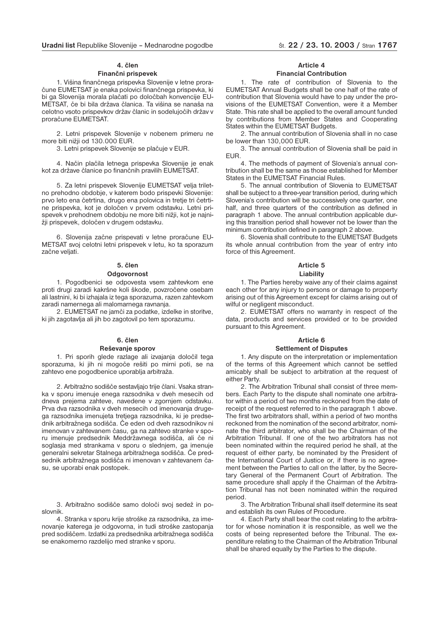# **4. člen**

# **Finančni prispevek**

1. Višina finančnega prispevka Slovenije v letne proračune EUMETSAT je enaka polovici finančnega prispevka, ki bi ga Slovenija morala plačati po določbah konvencije EU-METSAT, če bi bila država članica. Ta višina se nanaša na celotno vsoto prispevkov držav članic in sodelujočih držav v proračune EUMETSAT.

2. Letni prispevek Slovenije v nobenem primeru ne more biti nižji od 130.000 EUR.

3. Letni prispevek Slovenije se plačuje v EUR.

4. Način plačila letnega prispevka Slovenije je enak kot za države članice po finančnih pravilih EUMETSAT.

5. Za letni prispevek Slovenije EUMETSAT velja triletno prehodno obdobje, v katerem bodo prispevki Slovenije: prvo leto ena četrtina, drugo ena polovica in tretje tri četrtine prispevka, kot je določen v prvem odstavku. Letni prispevek v prehodnem obdobju ne more biti nižji, kot je najnižji prispevek, določen v drugem odstavku.

6. Slovenija začne prispevati v letne proračune EU-METSAT svoj celotni letni prispevek v letu, ko ta sporazum začne veljati.

# **5. člen**

# **Odgovornost**

1. Pogodbenici se odpovesta vsem zahtevkom ene proti drugi zaradi kakršne koli škode, povzročene osebam ali lastnini, ki bi izhajala iz tega sporazuma, razen zahtevkom zaradi namernega ali malomarnega ravnanja.

2. EUMETSAT ne jamči za podatke, izdelke in storitve, ki jih zagotavlja ali jih bo zagotovil po tem sporazumu.

# **6. člen**

#### **Reševanje sporov**

1. Pri sporih glede razlage ali izvajanja določil tega sporazuma, ki jih ni mogoče rešiti po mirni poti, se na zahtevo ene pogodbenice uporablja arbitraža.

2. Arbitražno sodišče sestavljajo trije člani. Vsaka stranka v sporu imenuje enega razsodnika v dveh mesecih od dneva prejema zahteve, navedene v zgornjem odstavku. Prva dva razsodnika v dveh mesecih od imenovanja drugega razsodnika imenujeta tretjega razsodnika, ki je predsednik arbitražnega sodišča. Če eden od dveh razsodnikov ni imenovan v zahtevanem času, ga na zahtevo stranke v sporu imenuje predsednik Meddržavnega sodišča, ali če ni soglasja med strankama v sporu o slednjem, ga imenuje generalni sekretar Stalnega arbitražnega sodišča. Če predsednik arbitražnega sodišča ni imenovan v zahtevanem času, se uporabi enak postopek.

3. Arbitražno sodišče samo določi svoj sedež in poslovnik.

4. Stranka v sporu krije stroške za razsodnika, za imenovanje katerega je odgovorna, in tudi stroške zastopanja pred sodiščem. Izdatki za predsednika arbitražnega sodišča se enakomerno razdelijo med stranke v sporu.

# **Article 4**

#### **Financial Contribution**

1. The rate of contribution of Slovenia to the EUMETSAT Annual Budgets shall be one half of the rate of contribution that Slovenia would have to pay under the provisions of the EUMETSAT Convention, were it a Member State. This rate shall be applied to the overall amount funded by contributions from Member States and Cooperating States within the EUMETSAT Budgets.

2. The annual contribution of Slovenia shall in no case be lower than 130,000 EUR.

3. The annual contribution of Slovenia shall be paid in EUR.

4. The methods of payment of Slovenia's annual contribution shall be the same as those established for Member States in the EUMETSAT Financial Rules.

5. The annual contribution of Slovenia to EUMETSAT shall be subject to a three-year transition period, during which Slovenia's contribution will be successively one quarter, one half, and three quarters of the contribution as defined in paragraph 1 above. The annual contribution applicable during this transition period shall however not be lower than the minimum contribution defined in paragraph 2 above.

6. Slovenia shall contribute to the EUMETSAT Budgets its whole annual contribution from the year of entry into force of this Agreement.

# **Article 5 Liability**

1. The Parties hereby waive any of their claims against each other for any injury to persons or damage to property arising out of this Agreement except for claims arising out of wilful or negligent misconduct.

2. EUMETSAT offers no warranty in respect of the data, products and services provided or to be provided pursuant to this Agreement.

#### **Article 6**

#### **Settlement of Disputes**

1. Any dispute on the interpretation or implementation of the terms of this Agreement which cannot be settled amicably shall be subject to arbitration at the request of either Party.

2. The Arbitration Tribunal shall consist of three members. Each Party to the dispute shall nominate one arbitrator within a period of two months reckoned from the date of receipt of the request referred to in the paragraph 1 above. The first two arbitrators shall, within a period of two months reckoned from the nomination of the second arbitrator, nominate the third arbitrator, who shall be the Chairman of the Arbitration Tribunal. If one of the two arbitrators has not been nominated within the required period he shall, at the request of either party, be nominated by the President of the International Court of Justice or, if there is no agreement between the Parties to call on the latter, by the Secretary General of the Permanent Court of Arbitration. The same procedure shall apply if the Chairman of the Arbitration Tribunal has not been nominated within the required period.

3. The Arbitration Tribunal shall itself determine its seat and establish its own Rules of Procedure.

4. Each Party shall bear the cost relating to the arbitrator for whose nomination it is responsible, as well we the costs of being represented before the Tribunal. The expenditure relating to the Chairman of the Arbitration Tribunal shall be shared equally by the Parties to the dispute.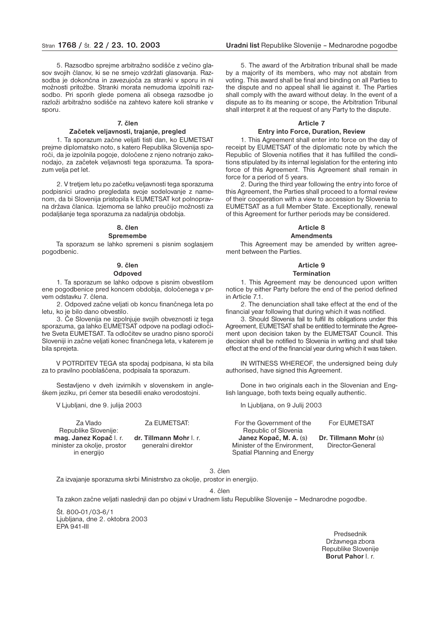5. Razsodbo sprejme arbitražno sodišče z večino glasov svojih članov, ki se ne smejo vzdržati glasovanja. Razsodba je dokončna in zavezujoča za stranki v sporu in ni možnosti pritožbe. Stranki morata nemudoma izpolniti razsodbo. Pri sporih glede pomena ali obsega razsodbe jo razloži arbitražno sodišče na zahtevo katere koli stranke v sporu.

# **7. člen**

# **Začetek veljavnosti, trajanje, pregled**

1. Ta sporazum začne veljati tisti dan, ko EUMETSAT prejme diplomatsko noto, s katero Republika Slovenija sporoči, da je izpolnila pogoje, določene z njeno notranjo zakonodajo, za začetek veljavnosti tega sporazuma. Ta sporazum velja pet let.

2. V tretjem letu po začetku veljavnosti tega sporazuma podpisnici uradno pregledata svoje sodelovanje z namenom, da bi Slovenija pristopila k EUMETSAT kot polnopravna država članica. Izjemoma se lahko preučijo možnosti za podaljšanje tega sporazuma za nadaljnja obdobja.

# **8. člen**

#### **Spremembe**

Ta sporazum se lahko spremeni s pisnim soglasjem pogodbenic.

# **9. člen**

#### **Odpoved**

1. Ta sporazum se lahko odpove s pisnim obvestilom ene pogodbenice pred koncem obdobja, določenega v prvem odstavku 7. člena.

2. Odpoved začne veljati ob koncu finančnega leta po letu, ko je bilo dano obvestilo.

3. Če Slovenija ne izpolnjuje svojih obveznosti iz tega sporazuma, ga lahko EUMETSAT odpove na podlagi odločitve Sveta EUMETSAT. Ta odločitev se uradno pisno sporoči Sloveniji in začne veljati konec finančnega leta, v katerem je bila sprejeta.

V POTRDITEV TEGA sta spodaj podpisana, ki sta bila za to pravilno pooblaščena, podpisala ta sporazum.

Sestavljeno v dveh izvirnikih v slovenskem in angleškem jeziku, pri čemer sta besedili enako verodostojni.

V Ljubljani, dne 9. julija 2003

| Za Vlado             | Za EUMETSAT:            |
|----------------------|-------------------------|
| Republike Slovenije: |                         |
|                      | also Tiller and Allaham |

**mag. Janez Kopač** l. r. **dr. Tillmann Mohr** l. r. minister za okolje, prostor generalni direktor in energijo

5. The award of the Arbitration tribunal shall be made by a majority of its members, who may not abstain from voting. This award shall be final and binding on all Parties to the dispute and no appeal shall lie against it. The Parties shall comply with the award without delay. In the event of a dispute as to its meaning or scope, the Arbitration Tribunal shall interpret it at the request of any Party to the dispute.

# **Article 7**

# **Entry into Force, Duration, Review**

1. This Agreement shall enter into force on the day of receipt by EUMETSAT of the diplomatic note by which the Republic of Slovenia notifies that it has fulfilled the conditions stipulated by its internal legislation for the entering into force of this Agreement. This Agreement shall remain in force for a period of 5 years.

2. During the third year following the entry into force of this Agreement, the Parties shall proceed to a formal review of their cooperation with a view to accession by Slovenia to EUMETSAT as a full Member State. Exceptionally, renewal of this Agreement for further periods may be considered.

# **Article 8**

# **Amendments**

This Agreement may be amended by written agreement between the Parties.

# **Article 9**

# **Termination**

1. This Agreement may be denounced upon written notice by either Party before the end of the period defined in Article 7.1.

2. The denunciation shall take effect at the end of the financial year following that during which it was notified.

3. Should Slovenia fail to fulfil its obligations under this Agreement, EUMETSAT shall be entitled to terminate the Agreement upon decision taken by the EUMETSAT Council. This decision shall be notified to Slovenia in writing and shall take effect at the end of the financial year during which it was taken.

IN WITNESS WHEREOF, the undersigned being duly authorised, have signed this Agreement.

Done in two originals each in the Slovenian and English language, both texts being equally authentic.

In Ljubljana, on 9 Julij 2003

| For the Government of the    | For EUMETSAT          |
|------------------------------|-----------------------|
| Republic of Slovenia         |                       |
| Janez Kopač, M. A. (s)       | Dr. Tillmann Mohr (s) |
| Minister of the Environment. | Director-General      |
| Spatial Planning and Energy  |                       |

# 3. člen

Za izvajanje sporazuma skrbi Ministrstvo za okolje, prostor in energijo.

# 4. člen

Ta zakon začne veljati naslednji dan po objavi v Uradnem listu Republike Slovenije – Mednarodne pogodbe.

Št. 800-01/03-6/1 Ljubljana, dne 2. oktobra 2003 EPA 941-III

> Predsednik Državnega zbora Republike Slovenije **Borut Pahor** l. r.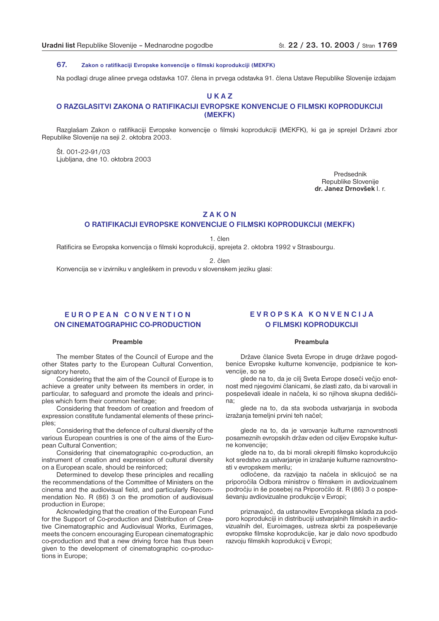# **67. Zakon o ratifikaciji Evropske konvencije o filmski koprodukciji (MEKFK)**

Na podlagi druge alinee prvega odstavka 107. člena in prvega odstavka 91. člena Ustave Republike Slovenije izdajam

# **U K A Z O RAZGLASITVI ZAKONA O RATIFIKACIJI EVROPSKE KONVENCIJE O FILMSKI KOPRODUKCIJI (MEKFK)**

Razglašam Zakon o ratifikaciji Evropske konvencije o filmski koprodukciji (MEKFK), ki ga je sprejel Državni zbor Republike Slovenije na seji 2. oktobra 2003.

Št. 001-22-91/03 Liubliana, dne 10. oktobra 2003

> Predsednik Republike Slovenije **dr. Janez Drnovšek** l. r.

**Z A K O N**

# **O RATIFIKACIJI EVROPSKE KONVENCIJE O FILMSKI KOPRODUKCIJI (MEKFK)**

1. člen

Ratificira se Evropska konvencija o filmski koprodukciji, sprejeta 2. oktobra 1992 v Strasbourgu.

2. člen

Konvencija se v izvirniku v angleškem in prevodu v slovenskem jeziku glasi:

# **E U R O P E A N C O N V E N T I O N ON CINEMATOGRAPHIC CO-PRODUCTION**

# **Preamble**

The member States of the Council of Europe and the other States party to the European Cultural Convention, signatory hereto,

Considering that the aim of the Council of Europe is to achieve a greater unity between its members in order, in particular, to safeguard and promote the ideals and principles which form their common heritage;

Considering that freedom of creation and freedom of expression constitute fundamental elements of these principles;

Considering that the defence of cultural diversity of the various European countries is one of the aims of the European Cultural Convention;

Considering that cinematographic co-production, an instrument of creation and expression of cultural diversity on a European scale, should be reinforced;

Determined to develop these principles and recalling the recommendations of the Committee of Ministers on the cinema and the audiovisual field, and particularly Recommendation No. R (86) 3 on the promotion of audiovisual production in Europe;

Acknowledging that the creation of the European Fund for the Support of Co-production and Distribution of Creative Cinematographic and Audiovisual Works, Eurimages, meets the concern encouraging European cinematographic co-production and that a new driving force has thus been given to the development of cinematographic co-productions in Europe;

# **E V R O P S K A K O N V E N C I J A O FILMSKI KOPRODUKCIJI**

# **Preambula**

Države članice Sveta Evrope in druge države pogodbenice Evropske kulturne konvencije, podpisnice te konvencije, so se

glede na to, da je cilj Sveta Evrope doseči večjo enotnost med njegovimi članicami, še zlasti zato, da bi varovali in pospeševali ideale in načela, ki so njihova skupna dediščina;

glede na to, da sta svoboda ustvarjanja in svoboda izražanja temeljni prvini teh načel;

glede na to, da je varovanje kulturne raznovrstnosti posameznih evropskih držav eden od ciljev Evropske kulturne konvencije;

glede na to, da bi morali okrepiti filmsko koprodukcijo kot sredstvo za ustvarjanje in izražanje kulturne raznovrstnosti v evropskem merilu;

odločene, da razvijajo ta načela in sklicujoč se na priporočila Odbora ministrov o filmskem in avdiovizualnem področju in še posebej na Priporočilo št. R (86) 3 o pospeševanju avdiovizualne produkcije v Evropi;

priznavajoč, da ustanovitev Evropskega sklada za podporo koprodukciji in distribuciji ustvarjalnih filmskih in avdiovizualnih del, Euroimages, ustreza skrbi za pospeševanje evropske filmske koprodukcije, kar je dalo novo spodbudo razvoju filmskih koprodukcij v Evropi;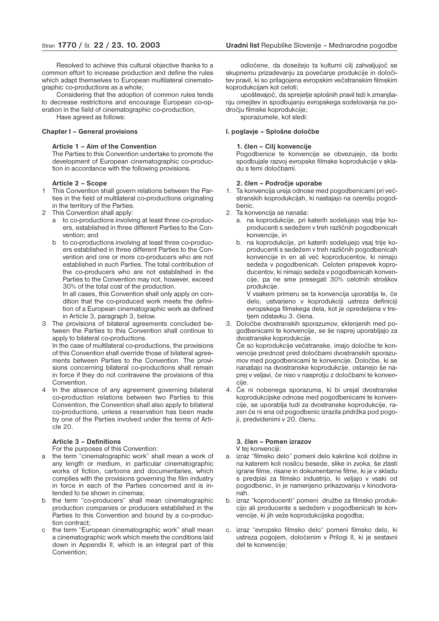Resolved to achieve this cultural objective thanks to a common effort to increase production and define the rules which adapt themselves to European multilateral cinematographic co-productions as a whole;

Considering that the adoption of common rules tends to decrease restrictions and encourage European co-operation in the field of cinematographic co-production,

Have agreed as follows:

# **Chapter I – General provisions**

# **Article 1 – Aim of the Convention**

The Parties to this Convention undertake to promote the development of European cinematographic co-production in accordance with the following provisions.

# **Article 2 – Scope**

- 1 This Convention shall govern relations between the Parties in the field of multilateral co-productions originating in the territory of the Parties.
- 2 This Convention shall apply:
	- a to co-productions involving at least three co-producers, established in three different Parties to the Convention; and
	- b to co-productions involving at least three co-producers established in three different Parties to the Convention and one or more co-producers who are not established in such Parties. The total contribution of the co-producers who are not established in the Parties to the Convention may not, however, exceed 30% of the total cost of the production.

In all cases, this Convention shall only apply on condition that the co-produced work meets the definition of a European cinematographic work as defined in Article 3, paragraph 3, below.

3 The provisions of bilateral agreements concluded between the Parties to this Convention shall continue to apply to bilateral co-productions.

In the case of multilateral co-productions, the provisions of this Convention shall override those of bilateral agreements between Parties to the Convention. The provisions concerning bilateral co-productions shall remain in force if they do not contravene the provisions of this Convention.

4 In the absence of any agreement governing bilateral co-production relations between two Parties to this Convention, the Convention shall also apply to bilateral co-productions, unless a reservation has been made by one of the Parties involved under the terms of Article 20.

# **Article 3 – Definitions**

For the purposes of this Convention:

- a the term "cinematographic work" shall mean a work of any length or medium, in particular cinematographic works of fiction, cartoons and documentaries, which complies with the provisions governing the film industry in force in each of the Parties concerned and is intended to be shown in cinemas;
- b the term "co-producers" shall mean cinematographic production companies or producers established in the Parties to this Convention and bound by a co-production contract;
- c the term "European cinematographic work" shall mean a cinematographic work which meets the conditions laid down in Appendix II, which is an integral part of this Convention;

odločene, da dosežejo ta kulturni cilj zahvaljujoč se skupnemu prizadevanju za povečanje produkcije in določitev pravil, ki so prilagojena evropskim večstranskim filmskim koprodukcijam kot celoti;

upoštevajoč, da sprejetje splošnih pravil teži k zmanjšanju omejitev in spodbujanju evropskega sodelovanja na področju filmske koprodukcije;

sporazumele, kot sledi:

# **I. poglavje – Splošne določbe**

# **1. člen – Cilj konvencije**

Pogodbenice te konvencije se obvezujejo, da bodo spodbujale razvoj evropske filmske koprodukcije v skladu s temi določbami.

# **2. člen – Področje uporabe**

- 1. Ta konvencija ureja odnose med pogodbenicami pri večstranskih koprodukcijah, ki nastajajo na ozemlju pogodbenic.
- 2. Ta konvencija se nanaša:
	- a. na koprodukcije, pri katerih sodelujejo vsaj trije koproducenti s sedežem v treh različnih pogodbenicah konvencije, in
	- b. na koprodukcije, pri katerih sodelujejo vsaj trije koproducenti s sedežem v treh različnih pogodbenicah konvencije in en ali več koproducentov, ki nimajo sedeža v pogodbenicah. Celoten prispevek koproducentov, ki nimajo sedeža v pogodbenicah konvencije, pa ne sme presegati 30% celotnih stroškov produkcije.

V vsakem primeru se ta konvencija uporablja le, če delo, ustvarjeno v koprodukciji ustreza definiciji evropskega filmskega dela, kot je opredeljena v tretjem odstavku 3. člena.

3. Določbe dvostranskih sporazumov, sklenjenih med pogodbenicami te konvencije, se še naprej uporabljajo za dvostranske koprodukcije.

Če so koprodukcije večstranske, imajo določbe te konvencije prednost pred določbami dvostranskih sporazumov med pogodbenicami te konvencije. Določbe, ki se nanašajo na dvostranske koprodukcije, ostanejo še naprej v veljavi, če niso v nasprotju z določbami te konvencije.

4. Če ni nobenega sporazuma, ki bi urejal dvostranske koprodukcijske odnose med pogodbenicami te konvencije, se uporablja tudi za dvostranske koprodukcije, razen če ni ena od pogodbenic izrazila pridržka pod pogoji, predvidenimi v 20. členu.

# **3. člen – Pomen izrazov**

V tej konvenciji:

- a. izraz "filmsko delo" pomeni delo kakršne koli dolžine in na katerem koli nosilcu besede, slike in zvoka, še zlasti igrane filme, risane in dokumentarne filme, ki je v skladu s predpisi za filmsko industrijo, ki veljajo v vsaki od pogodbenic, in je namenjeno prikazovanju v kinodvoranah.
- b. izraz "koproducenti" pomeni družbe za filmsko produkcijo ali producente s sedežem v pogodbenicah te konvencije, ki jih veže koprodukcijska pogodba;
- c. izraz "evropsko filmsko delo" pomeni filmsko delo, ki ustreza pogojem, določenim v Prilogi II, ki je sestavni del te konvencije;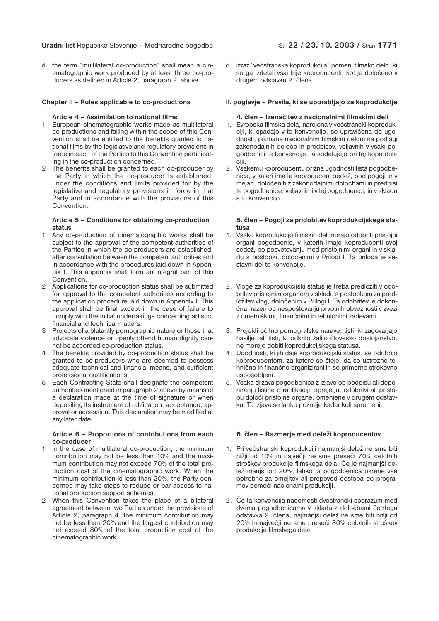d the term "multilateral co-production" shall mean a cinematographic work produced by at least three co-producers as defined in Article 2, paragraph 2, above.

# **Chapter II – Rules applicable to co-productions**

# **Article 4 – Assimilation to national films**

- 1 European cinematographic works made as multilateral co-productions and falling within the scope of this Convention shall be entitled to the benefits granted to national films by the legislative and regulatory provisions in force in each of the Parties to this Convention participating in the co-production concerned.
- 2 The benefits shall be granted to each co-producer by the Party in which the co-producer is established, under the conditions and limits provided for by the legislative and regulatory provisions in force in that Party and in accordance with the provisions of this Convention.

# **Article 5 – Conditions for obtaining co-production status**

- 1 Any co-production of cinematographic works shall be subject to the approval of the competent authorities of the Parties in which the co-producers are established, after consultation between the competent authorities and in accordance with the procedures laid down in Appendix I. This appendix shall form an integral part of this Convention.
- 2 Applications for co-production status shall be submitted for approval to the competent authorities according to the application procedure laid down in Appendix I. This approval shall be final except in the case of failure to comply with the initial undertakings concerning artistic, financial and technical matters.
- Projects of a blatantly pornographic nature or those that advocate violence or openly offend human dignity cannot be accorded co-production status.
- 4 The benefits provided by co-production status shall be granted to co-producers who are deemed to possess adequate technical and financial means, and sufficient professional qualifications.
- 5 Each Contracting State shall designate the competent authorities mentioned in paragraph 2 above by means of a declaration made at the time of signature or when depositing its instrument of ratification, acceptance, approval or accession. This declaration may be modified at any later date.

# **Article 6 – Proportions of contributions from each co-producer**

- In the case of multilateral co-production, the minimum contribution may not be less than 10% and the maximum contribution may not exceed 70% of the total production cost of the cinematographic work. When the minimum contribution is less than 20%, the Party concerned may take steps to reduce or bar access to national production support schemes.
- 2 When this Convention takes the place of a bilateral agreement between two Parties under the provisions of Article 2, paragraph 4, the minimum contribution may not be less than 20% and the largest contribution may not exceed 80% of the total production cost of the cinematographic work.

d. izraz "večstranska koprodukcija" pomeni filmsko delo, ki so ga izdelali vsaj trije koproducenti, kot je določeno v drugem odstavku 2. člena.

# **II. poglavje – Pravila, ki se uporabljajo za koprodukcije**

# **4. člen – Izenačitev z nacionalnimi filmskimi deli**

- 1. Evropska filmska dela, narejena v večstranski koprodukciji, ki spadajo v to konvencijo, so upravičena do ugodnosti, priznane nacionalnim filmskim delom na podlagi zakonodajnih določb in predpisov, veljavnih v vsaki pogodbenici te konvencije, ki sodelujejo pri tej koprodukciji.
- 2. Vsakemu koproducentu prizna ugodnosti tista pogodbenica, v kateri ima ta koproducent sedež, pod pogoji in v mejah, določenih z zakonodajnimi določbami in predpisi te pogodbenice, veljavnimi v tej pogodbenici, in v skladu s to konvencijo.

# **5. člen – Pogoji za pridobitev koprodukcijskega statusa**

- 1. Vsako koprodukcijo filmskih del morajo odobriti pristojni organi pogodbenic, v katerih imajo koproducenti svoj sedež, po posvetovanju med pristojnimi organi in v skladu s postopki, določenimi v Prilogi I. Ta priloga je sestavni del te konvencije.
- 2. Vloge za koprodukcijski status je treba predložiti v odobritev pristojnim organom v skladu s postopkom za predložitev vlog, določenim v Prilogi I. Ta odobritev je dokončna, razen ob nespoštovanju prvotnih obveznosti v zvezi z umetniškimi, finančnimi in tehničnimi zadevami.
- 3. Projekti očitno pornografske narave, tisti, ki zagovarjajo nasilje, ali tisti, ki odkrito žalijo človeško dostojanstvo, ne morejo dobiti koprodukcijskega statusa.
- 4. Ugodnosti, ki jih daje koprodukcijski status, se odobrijo koproducentom, za katere se šteje, da so ustrezno tehnično in finančno organizirani in so primerno strokovno usposobljeni.
- 5. Vsaka država pogodbenica z izjavo ob podpisu ali deponiranju listine o ratifikaciji, sprejetju, odobritvi ali pristopu določi pristojne organe, omenjene v drugem odstavku. Ta izjava se lahko pozneje kadar koli spremeni.

# **6. člen – Razmerje med deleži koproducentov**

- 1. Pri večstranski koprodukciji najmanjši delež ne sme biti nižji od 10% in največji ne sme preseči 70% celotnih stroškov produkcije filmskega dela. Če je najmanjši delež manjši od 20%, lahko ta pogodbenica ukrene vse potrebno za omejitev ali prepoved dostopa do programov pomoči nacionalni produkciji.
- 2. Če ta konvencija nadomesti dvostranski sporazum med dvema pogodbenicama v skladu z določbami četrtega odstavka 2. člena, najmanjši delež ne sme biti nižji od 20% in največji ne sme preseči 80% celotnih stroškov produkcije filmskega dela.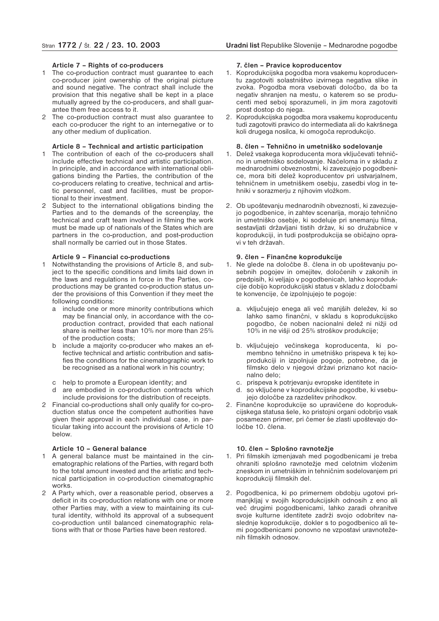# **Article 7 – Rights of co-producers**

- 1 The co-production contract must guarantee to each co-producer joint ownership of the original picture and sound negative. The contract shall include the provision that this negative shall be kept in a place mutually agreed by the co-producers, and shall guarantee them free access to it.
- 2 The co-production contract must also guarantee to each co-producer the right to an internegative or to any other medium of duplication.

# **Article 8 – Technical and artistic participation**

- 1 The contribution of each of the co-producers shall include effective technical and artistic participation. In principle, and in accordance with international obligations binding the Parties, the contribution of the co-producers relating to creative, technical and artistic personnel, cast and facilities, must be proportional to their investment.
- 2 Subject to the international obligations binding the Parties and to the demands of the screenplay, the technical and craft team involved in filming the work must be made up of nationals of the States which are partners in the co-production, and post-production shall normally be carried out in those States.

# **Article 9 – Financial co-productions**

- 1 Notwithstanding the provisions of Article 8, and subject to the specific conditions and limits laid down in the laws and regulations in force in the Parties, coproductions may be granted co-production status under the provisions of this Convention if they meet the following conditions:
	- a include one or more minority contributions which may be financial only, in accordance with the coproduction contract, provided that each national share is neither less than 10% nor more than 25% of the production costs;
	- b include a majority co-producer who makes an effective technical and artistic contribution and satisfies the conditions for the cinematographic work to be recognised as a national work in his country;
	- c help to promote a European identity; and
	- d are embodied in co-production contracts which include provisions for the distribution of receipts.
- 2 Financial co-productions shall only qualify for co-production status once the competent authorities have given their approval in each individual case, in particular taking into account the provisions of Article 10 below.

# **Article 10 – General balance**

- 1 A general balance must be maintained in the cinematographic relations of the Parties, with regard both to the total amount invested and the artistic and technical participation in co-production cinematographic works.
- 2 A Party which, over a reasonable period, observes a deficit in its co-production relations with one or more other Parties may, with a view to maintaining its cultural identity, withhold its approval of a subsequent co-production until balanced cinematographic relations with that or those Parties have been restored.

# **7. člen – Pravice koproducentov**

- 1. Koprodukcijska pogodba mora vsakemu koproducentu zagotoviti solastništvo izvirnega negativa slike in zvoka. Pogodba mora vsebovati določbo, da bo ta negativ shranjen na mestu, o katerem so se producenti med seboj sporazumeli, in jim mora zagotoviti prost dostop do njega.
- 2. Koprodukcijska pogodba mora vsakemu koproducentu tudi zagotoviti pravico do intermediata ali do kakršnega koli drugega nosilca, ki omogoča reprodukcijo.

# **8. člen – Tehnično in umetniško sodelovanje**

- 1. Delež vsakega koproducenta mora vključevati tehnično in umetniško sodelovanje. Načeloma in v skladu z mednarodnimi obveznostmi, ki zavezujejo pogodbenice, mora biti delež koproducentov pri ustvarjalnem, tehničnem in umetniškem osebju, zasedbi vlog in tehniki v sorazmerju z njihovim vložkom.
- 2. Ob upoštevanju mednarodnih obveznosti, ki zavezujejo pogodbenice, in zahtev scenarija, morajo tehnično in umetniško osebje, ki sodeluje pri snemanju filma, sestavljati državljani tistih držav, ki so družabnice v koprodukciji, in tudi postprodukcija se običajno opravi v teh državah.

# **9. člen – Finančne koprodukcije**

- 1. Ne glede na določbe 8. člena in ob upoštevanju posebnih pogojev in omejitev, določenih v zakonih in predpisih, ki veljajo v pogodbenicah, lahko koprodukcije dobijo koprodukcijski status v skladu z določbami te konvencije, če izpolnjujejo te pogoje:
	- a. vključujejo enega ali več manjših deležev, ki so lahko samo finančni, v skladu s koprodukcijsko pogodbo, če noben nacionalni delež ni nižji od 10% in ne višji od 25% stroškov produkcije;
	- b. vključujejo večinskega koproducenta, ki pomembno tehnično in umetniško prispeva k tej koprodukciji in izpolnjuje pogoje, potrebne, da je filmsko delo v njegovi državi priznano kot nacionalno delo;
	- c. prispeva k potrjevanju evropske identitete in
	- d. so vključene v koprodukcijske pogodbe, ki vsebujejo določbe za razdelitev prihodkov.
- 2. Finančne koprodukcije so upravičene do koprodukcijskega statusa šele, ko pristojni organi odobrijo vsak posamezen primer, pri čemer še zlasti upoštevajo določbe 10. člena.

# **10. člen – Splošno ravnotežje**

- 1. Pri filmskih izmenjavah med pogodbenicami je treba ohraniti splošno ravnotežje med celotnim vloženim zneskom in umetniškim in tehničnim sodelovanjem pri koprodukciji filmskih del.
- 2. Pogodbenica, ki po primernem obdobju ugotovi primanjkljaj v svojih koprodukcijskih odnosih z eno ali več drugimi pogodbenicami, lahko zaradi ohranitve svoje kulturne identitete zadrži svojo odobritev naslednje koprodukcije, dokler s to pogodbenico ali temi pogodbenicami ponovno ne vzpostavi uravnoteženih filmskih odnosov.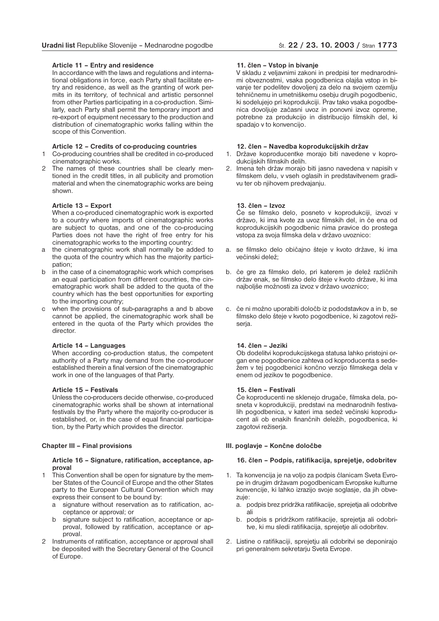# **Article 11 – Entry and residence**

In accordance with the laws and regulations and international obligations in force, each Party shall facilitate entry and residence, as well as the granting of work permits in its territory, of technical and artistic personnel from other Parties participating in a co-production. Similarly, each Party shall permit the temporary import and re-export of equipment necessary to the production and distribution of cinematographic works falling within the scope of this Convention.

# **Article 12 – Credits of co-producing countries**

- 1 Co-producing countries shall be credited in co-produced cinematographic works.
- 2 The names of these countries shall be clearly mentioned in the credit titles, in all publicity and promotion material and when the cinematographic works are being shown.

# **Article 13 – Export**

When a co-produced cinematographic work is exported to a country where imports of cinematographic works are subject to quotas, and one of the co-producing Parties does not have the right of free entry for his cinematographic works to the importing country:

- a the cinematographic work shall normally be added to the quota of the country which has the majority participation;
- b in the case of a cinematographic work which comprises an equal participation from different countries, the cinematographic work shall be added to the quota of the country which has the best opportunities for exporting to the importing country;
- c when the provisions of sub-paragraphs a and b above cannot be applied, the cinematographic work shall be entered in the quota of the Party which provides the director.

# **Article 14 – Languages**

When according co-production status, the competent authority of a Party may demand from the co-producer established therein a final version of the cinematographic work in one of the languages of that Party.

# **Article 15 – Festivals**

Unless the co-producers decide otherwise, co-produced cinematographic works shall be shown at international festivals by the Party where the majority co-producer is established, or, in the case of equal financial participation, by the Party which provides the director.

# **Chapter III – Final provisions**

# **Article 16 – Signature, ratification, acceptance, approval**

- This Convention shall be open for signature by the member States of the Council of Europe and the other States party to the European Cultural Convention which may express their consent to be bound by:
	- a signature without reservation as to ratification, acceptance or approval; or
	- signature subject to ratification, acceptance or approval, followed by ratification, acceptance or approval.
- 2 Instruments of ratification, acceptance or approval shall be deposited with the Secretary General of the Council of Europe.

# **11. člen – Vstop in bivanje**

V skladu z veljavnimi zakoni in predpisi ter mednarodnimi obveznostmi, vsaka pogodbenica olajša vstop in bivanje ter podelitev dovoljenj za delo na svojem ozemlju tehničnemu in umetniškemu osebju drugih pogodbenic, ki sodelujejo pri koprodukciji. Prav tako vsaka pogodbenica dovoljuje začasni uvoz in ponovni izvoz opreme, potrebne za produkcijo in distribucijo filmskih del, ki spadajo v to konvencijo.

# **12. člen – Navedba koprodukcijskih držav**

- 1. Države koproducentke morajo biti navedene v koprodukcijskih filmskih delih.
- 2. Imena teh držav morajo biti jasno navedena v napisih v filmskem delu, v vseh oglasih in predstavitvenem gradivu ter ob njihovem predvajanju.

# **13. člen – Izvoz**

Če se filmsko delo, posneto v koprodukciji, izvozi v državo, ki ima kvote za uvoz filmskih del, in če ena od koprodukcijskih pogodbenic nima pravice do prostega vstopa za svoja filmska dela v državo uvoznico:

- a. se filmsko delo običajno šteje v kvoto države, ki ima večinski delež;
- b. če gre za filmsko delo, pri katerem je delež različnih držav enak, se filmsko delo šteje v kvoto države, ki ima najboljše možnosti za izvoz v državo uvoznico;
- c. če ni možno uporabiti določb iz pododstavkov a in b, se filmsko delo šteje v kvoto pogodbenice, ki zagotovi režiseria.

# **14. člen – Jeziki**

Ob dodelitvi koprodukcijskega statusa lahko pristojni organ ene pogodbenice zahteva od koproducenta s sedežem v tej pogodbenici končno verzijo filmskega dela v enem od jezikov te pogodbenice.

# **15. člen – Festivali**

Če koproducenti ne sklenejo drugače, filmska dela, posneta v koprodukciji, predstavi na mednarodnih festivalih pogodbenica, v kateri ima sedež večinski koproducent ali ob enakih finančnih deležih, pogodbenica, ki zagotovi režiserja.

# **III. poglavje – Končne določbe**

# **16. člen – Podpis, ratifikacija, sprejetje, odobritev**

- 1. Ta konvencija je na voljo za podpis članicam Sveta Evrope in drugim državam pogodbenicam Evropske kulturne konvencije, ki lahko izrazijo svoje soglasje, da jih obvezuje:
	- a. podpis brez pridržka ratifikacije, sprejetja ali odobritve ali
	- b. podpis s pridržkom ratifikacije, sprejetja ali odobritve, ki mu sledi ratifikacija, sprejetje ali odobritev.
- 2. Listine o ratifikaciji, sprejetju ali odobritvi se deponirajo pri generalnem sekretarju Sveta Evrope.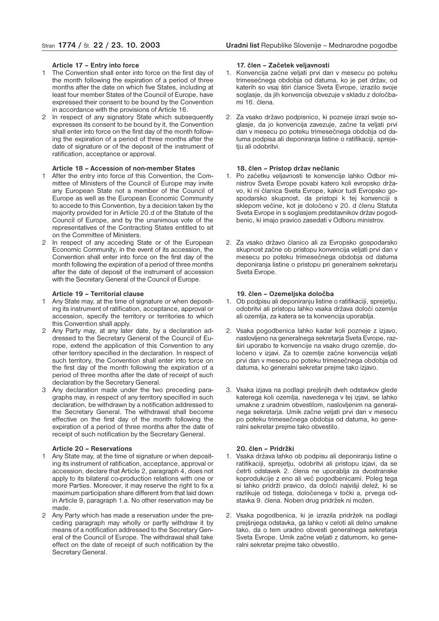# **Article 17 – Entry into force**

- 1 The Convention shall enter into force on the first day of the month following the expiration of a period of three months after the date on which five States, including at least four member States of the Council of Europe, have expressed their consent to be bound by the Convention in accordance with the provisions of Article 16.
- 2 In respect of any signatory State which subsequently expresses its consent to be bound by it, the Convention shall enter into force on the first day of the month following the expiration of a period of three months after the date of signature or of the deposit of the instrument of ratification, acceptance or approval.

# **Article 18 – Accession of non-member States**

- 1 After the entry into force of this Convention, the Committee of Ministers of the Council of Europe may invite any European State not a member of the Council of Europe as well as the European Economic Community to accede to this Convention, by a decision taken by the majority provided for in Article 20.d of the Statute of the Council of Europe, and by the unanimous vote of the representatives of the Contracting States entitled to sit on the Committee of Ministers.
- 2 In respect of any acceding State or of the European Economic Community, in the event of its accession, the Convention shall enter into force on the first day of the month following the expiration of a period of three months after the date of deposit of the instrument of accession with the Secretary General of the Council of Europe.

# **Article 19 – Territorial clause**

- 1 Any State may, at the time of signature or when depositing its instrument of ratification, acceptance, approval or accession, specify the territory or territories to which this Convention shall apply.
- 2 Any Party may, at any later date, by a declaration addressed to the Secretary General of the Council of Europe, extend the application of this Convention to any other territory specified in the declaration. In respect of such territory, the Convention shall enter into force on the first day of the month following the expiration of a period of three months after the date of receipt of such declaration by the Secretary General.
- 3 Any declaration made under the two preceding paragraphs may, in respect of any territory specified in such declaration, be withdrawn by a notification addressed to the Secretary General. The withdrawal shall become effective on the first day of the month following the expiration of a period of three months after the date of receipt of such notification by the Secretary General.

# **Article 20 – Reservations**

- 1 Any State may, at the time of signature or when depositing its instrument of ratification, acceptance, approval or accession, declare that Article 2, paragraph 4, does not apply to its bilateral co-production relations with one or more Parties. Moreover, it may reserve the right to fix a maximum participation share different from that laid down in Article 9, paragraph 1.a. No other reservation may be made.
- 2 Any Party which has made a reservation under the preceding paragraph may wholly or partly withdraw it by means of a notification addressed to the Secretary General of the Council of Europe. The withdrawal shall take effect on the date of receipt of such notification by the Secretary General.

# **17. člen – Začetek veljavnosti**

- 1. Konvencija začne veljati prvi dan v mesecu po poteku trimesečnega obdobja od datuma, ko je pet držav, od katerih so vsaj štiri članice Sveta Evrope, izrazilo svoje soglasje, da jih konvencija obvezuje v skladu z določbami 16. člena.
- 2. Za vsako državo podpisnico, ki pozneje izrazi svoje soglasje, da jo konvencija zavezuje, začne ta veljati prvi dan v mesecu po poteku trimesečnega obdobja od datuma podpisa ali deponiranja listine o ratifikaciji, sprejetiu ali odobritvi.

# **18. člen – Pristop držav nečlanic**

- 1. Po začetku veljavnosti te konvencije lahko Odbor ministrov Sveta Evrope povabi katero koli evropsko državo, ki ni članica Sveta Evrope, kakor tudi Evropsko gospodarsko skupnost, da pristopi k tej konvenciji s sklepom večine, kot je določeno v 20. d členu Statuta Sveta Evrope in s soglasjem predstavnikov držav pogodbenic, ki imajo pravico zasedati v Odboru ministrov.
- 2. Za vsako državo članico ali za Evropsko gospodarsko skupnost začne ob pristopu konvencija veljati prvi dan v mesecu po poteku trimesečnega obdobja od datuma deponiranja listine o pristopu pri generalnem sekretarju Sveta Evrope.

# **19. člen – Ozemeljska določba**

- 1. Ob podpisu ali deponiranju listine o ratifikaciji, sprejetju, odobritvi ali pristopu lahko vsaka država določi ozemlje ali ozemlja, za katera se ta konvencija uporablja.
- 2. Vsaka pogodbenica lahko kadar koli pozneje z izjavo, naslovljeno na generalnega sekretarja Sveta Evrope, razširi uporabo te konvencije na vsako drugo ozemlje, določeno v izjavi. Za to ozemlje začne konvencija veljati prvi dan v mesecu po poteku trimesečnega obdobja od datuma, ko generalni sekretar prejme tako izjavo.
- 3. Vsaka izjava na podlagi prejšnjih dveh odstavkov glede katerega koli ozemlja, navedenega v tej izjavi, se lahko umakne z uradnim obvestilom, naslovljenim na generalnega sekretarja. Umik začne veljati prvi dan v mesecu po poteku trimesečnega obdobja od datuma, ko generalni sekretar prejme tako obvestilo.

# **20. člen – Pridržki**

- 1. Vsaka država lahko ob podpisu ali deponiranju listine o ratifikaciji, sprejetju, odobritvi ali pristopu izjavi, da se četrti odstavek 2. člena ne uporablja za dvostranske koprodukcije z eno ali več pogodbenicami. Poleg tega si lahko pridrži pravico, da določi najvišji delež, ki se razlikuje od tistega, določenega v točki a, prvega odstavka 9. člena. Noben drug pridržek ni možen.
- 2. Vsaka pogodbenica, ki je izrazila pridržek na podlagi prejšnjega odstavka, ga lahko v celoti ali delno umakne tako, da o tem uradno obvesti generalnega sekretarja Sveta Evrope. Umik začne veljati z datumom, ko generalni sekretar prejme tako obvestilo.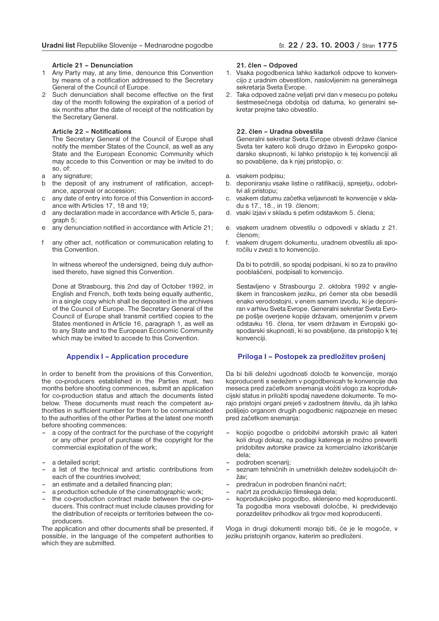# **Article 21 – Denunciation**

- 1 Any Party may, at any time, denounce this Convention by means of a notification addressed to the Secretary General of the Council of Europe.
- 2 Such denunciation shall become effective on the first day of the month following the expiration of a period of six months after the date of receipt of the notification by the Secretary General.

# **Article 22 – Notifications**

The Secretary General of the Council of Europe shall notify the member States of the Council, as well as any State and the European Economic Community which may accede to this Convention or may be invited to do so, of:

- a any signature;
- b the deposit of any instrument of ratification, acceptance, approval or accession;
- c any date of entry into force of this Convention in accordance with Articles 17, 18 and 19;
- d any declaration made in accordance with Article 5, paragraph 5;
- e any denunciation notified in accordance with Article 21;
- any other act, notification or communication relating to this Convention.

In witness whereof the undersigned, being duly authorised thereto, have signed this Convention.

Done at Strasbourg, this 2nd day of October 1992, in English and French, both texts being equally authentic, in a single copy which shall be deposited in the archives of the Council of Europe. The Secretary General of the Council of Europe shall transmit certified copies to the States mentioned in Article 16, paragraph 1, as well as to any State and to the European Economic Community which may be invited to accede to this Convention.

# **Appendix I – Application procedure**

In order to benefit from the provisions of this Convention, the co-producers established in the Parties must, two months before shooting commences, submit an application for co-production status and attach the documents listed below. These documents must reach the competent authorities in sufficient number for them to be communicated to the authorities of the other Parties at the latest one month before shooting commences:

- a copy of the contract for the purchase of the copyright or any other proof of purchase of the copyright for the commercial exploitation of the work;
- a detailed script;
- a list of the technical and artistic contributions from each of the countries involved;
- an estimate and a detailed financing plan;
- a production schedule of the cinematographic work;
- the co-production contract made between the co-producers. This contract must include clauses providing for the distribution of receipts or territories between the coproducers.

The application and other documents shall be presented, if possible, in the language of the competent authorities to which they are submitted.

#### **21. člen – Odpoved**

- 1. Vsaka pogodbenica lahko kadarkoli odpove to konvencijo z uradnim obvestilom, naslovljenim na generalnega sekretaria Sveta Evrope.
- 2. Taka odpoved začne veljati prvi dan v mesecu po poteku šestmesečnega obdobja od datuma, ko generalni sekretar prejme tako obvestilo.

# **22. člen – Uradna obvestila**

Generalni sekretar Sveta Evrope obvesti države članice Sveta ter katero koli drugo državo in Evropsko gospodarsko skupnosti, ki lahko pristopijo k tej konvenciji ali so povabljene, da k njej pristopijo, o:

- a. vsakem podpisu;
- b. deponiranju vsake listine o ratifikaciji, sprejetju, odobritvi ali pristopu;
- c. vsakem datumu začetka veljavnosti te konvencije v skladu s 17., 18., in 19. členom;
- d. vsaki izjavi v skladu s petim odstavkom 5. člena;
- e. vsakem uradnem obvestilu o odpovedi v skladu z 21. členom;
- f. vsakem drugem dokumentu, uradnem obvestilu ali sporočilu v zvezi s to konvencijo.

Da bi to potrdili, so spodaj podpisani, ki so za to pravilno pooblaščeni, podpisali to konvencijo.

Sestavljeno v Strasbourgu 2. oktobra 1992 v angleškem in francoskem jeziku, pri čemer sta obe besedili enako verodostojni, v enem samem izvodu, ki je deponiran v arhivu Sveta Evrope. Generalni sekretar Sveta Evrope pošlje overjene kopije državam, omenjenim v prvem odstavku 16. člena, ter vsem državam in Evropski gospodarski skupnosti, ki so povabljene, da pristopijo k tej konvenciji.

# **Priloga I – Postopek za predložitev prošenj**

Da bi bili deležni ugodnosti določb te konvencije, morajo koproducenti s sedežem v pogodbenicah te konvencije dva meseca pred začetkom snemanja vložiti vlogo za koprodukcijski status in priložiti spodaj navedene dokumente. Te morajo pristojni organi prejeti v zadostnem številu, da jih lahko pošljejo organom drugih pogodbenic najpozneje en mesec pred začetkom snemanja:

- kopijo pogodbe o pridobitvi avtorskih pravic ali kateri koli drugi dokaz, na podlagi katerega je možno preveriti pridobitev avtorske pravice za komercialno izkoriščanje dela;
- podroben scenarij;
- seznam tehničnih in umetniških deležev sodelujočih držav;
- predračun in podroben finančni načrt;
- načrt za produkcijo filmskega dela;
- koprodukcijsko pogodbo, sklenjeno med koproducenti. Ta pogodba mora vsebovati določbe, ki predvidevajo porazdelitev prihodkov ali trgov med koproducenti.

Vloga in drugi dokumenti morajo biti, če je le mogoče, v jeziku pristojnih organov, katerim so predloženi.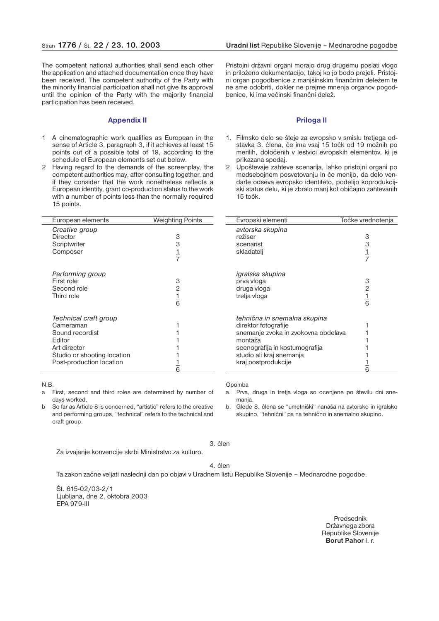The competent national authorities shall send each other the application and attached documentation once they have been received. The competent authority of the Party with the minority financial participation shall not give its approval until the opinion of the Party with the majority financial participation has been received.

# **Appendix II**

- 1 A cinematographic work qualifies as European in the sense of Article 3, paragraph 3, if it achieves at least 15 points out of a possible total of 19, according to the schedule of European elements set out below.
- 2 Having regard to the demands of the screenplay, the competent authorities may, after consulting together, and if they consider that the work nonetheless reflects a European identity, grant co-production status to the work with a number of points less than the normally required 15 points.

| European elements                                                                                                                          | <b>Weighting Points</b>              |
|--------------------------------------------------------------------------------------------------------------------------------------------|--------------------------------------|
| Creative group<br>Director<br>Scriptwriter<br>Composer                                                                                     | З<br>3<br>$\frac{1}{7}$              |
| Performing group<br>First role<br>Second role<br>Third role                                                                                | З<br>$\overline{2}$<br>$\frac{1}{6}$ |
| Technical craft group<br>Cameraman<br>Sound recordist<br>Editor<br>Art director<br>Studio or shooting location<br>Post-production location | 1<br>6                               |

N.B.

- a First, second and third roles are determined by number of days worked.
- b So far as Article 8 is concerned, "artistic" refers to the creative and performing groups, "technical" refers to the technical and craft group.

Pristojni državni organi morajo drug drugemu poslati vlogo in priloženo dokumentacijo, takoj ko jo bodo prejeli. Pristojni organ pogodbenice z manjšinskim finančnim deležem te ne sme odobriti, dokler ne prejme mnenja organov pogodbenice, ki ima večinski finančni delež.

# **Priloga II**

- 1. Filmsko delo se šteje za evropsko v smislu tretjega odstavka 3. člena, če ima vsaj 15 točk od 19 možnih po merilih, določenih v lestvici evropskih elementov, ki je prikazana spodaj.
- 2. Upoštevaje zahteve scenarija, lahko pristojni organi po medsebojnem posvetovanju in če menijo, da delo vendarle odseva evropsko identiteto, podelijo koprodukcijski status delu, ki je zbralo manj kot običajno zahtevanih 15 točk.

| Evropski elementi                                                                                                                                                                           | Točke vrednotenja                    |
|---------------------------------------------------------------------------------------------------------------------------------------------------------------------------------------------|--------------------------------------|
| avtorska skupina<br>režiser<br>scenarist<br>skladatelj                                                                                                                                      | З<br>3<br>$rac{1}{7}$                |
| igralska skupina<br>prva vloga<br>druga vloga<br>tretja vloga                                                                                                                               | З<br>$\overline{2}$<br>$\frac{1}{6}$ |
| tehnična in snemalna skupina<br>direktor fotografije<br>snemanje zvoka in zvokovna obdelava<br>montaža<br>scenografija in kostumografija<br>studio ali kraj snemanja<br>kraj postprodukcije |                                      |

Opomba

- a. Prva, druga in tretja vloga so ocenjene po številu dni snemanja.
- b. Glede 8. člena se "umetniški" nanaša na avtorsko in igralsko skupino, "tehnični" pa na tehnično in snemalno skupino.

Za izvajanje konvencije skrbi Ministrstvo za kulturo.

# 4. člen

3. člen

Ta zakon začne veljati naslednji dan po objavi v Uradnem listu Republike Slovenije – Mednarodne pogodbe.

Št. 615-02/03-2/1 Ljubljana, dne 2. oktobra 2003 EPA 979-III

> Predsednik Državnega zbora Republike Slovenije **Borut Pahor** l. r.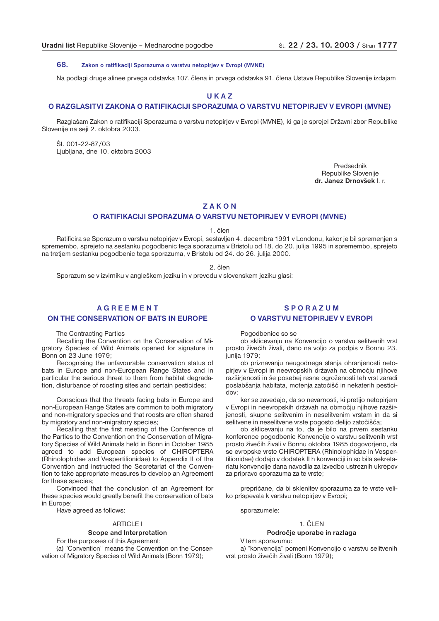# **68. Zakon o ratifikaciji Sporazuma o varstvu netopirjev v Evropi (MVNE)**

Na podlagi druge alinee prvega odstavka 107. člena in prvega odstavka 91. člena Ustave Republike Slovenije izdajam

**U K A Z**

# **O RAZGLASITVI ZAKONA O RATIFIKACIJI SPORAZUMA O VARSTVU NETOPIRJEV V EVROPI (MVNE)**

Razglašam Zakon o ratifikaciji Sporazuma o varstvu netopirjev v Evropi (MVNE), ki ga je sprejel Državni zbor Republike Slovenije na seji 2. oktobra 2003.

Št. 001-22-87/03 Ljubljana, dne 10. oktobra 2003

> Predsednik Republike Slovenije **dr. Janez Drnovšek** l. r.

# **Z A K O N**

# **O RATIFIKACIJI SPORAZUMA O VARSTVU NETOPIRJEV V EVROPI (MVNE)**

1. člen

Ratificira se Sporazum o varstvu netopirjev v Evropi, sestavljen 4. decembra 1991 v Londonu, kakor je bil spremenjen s spremembo, sprejeto na sestanku pogodbenic tega sporazuma v Bristolu od 18. do 20. julija 1995 in spremembo, sprejeto na tretjem sestanku pogodbenic tega sporazuma, v Bristolu od 24. do 26. julija 2000.

2. člen

Sporazum se v izvirniku v angleškem jeziku in v prevodu v slovenskem jeziku glasi:

# **A G R E E M E N T ON THE CONSERVATION OF BATS IN EUROPE**

The Contracting Parties

Recalling the Convention on the Conservation of Migratory Species of Wild Animals opened for signature in Bonn on 23 June 1979;

Recognising the unfavourable conservation status of bats in Europe and non-European Range States and in particular the serious threat to them from habitat degradation, disturbance of roosting sites and certain pesticides;

Conscious that the threats facing bats in Europe and non-European Range States are common to both migratory and non-migratory species and that roosts are often shared by migratory and non-migratory species;

Recalling that the first meeting of the Conference of the Parties to the Convention on the Conservation of Migratory Species of Wild Animals held in Bonn in October 1985 agreed to add European species of CHIROPTERA (Rhinolophidae and Vespertilionidae) to Appendix II of the Convention and instructed the Secretariat of the Convention to take appropriate measures to develop an Agreement for these species;

Convinced that the conclusion of an Agreement for these species would greatly benefit the conservation of bats in Europe;

Have agreed as follows:

#### ARTICLE I

# **Scope and Interpretation**

For the purposes of this Agreement:

(a) "Convention" means the Convention on the Conservation of Migratory Species of Wild Animals (Bonn 1979);

# **S P O R A Z U M O VARSTVU NETOPIRJEV V EVROPI**

Pogodbenice so se

ob sklicevanju na Konvencijo o varstvu selitvenih vrst prosto živečih živali, dano na voljo za podpis v Bonnu 23. junija 1979:

ob priznavanju neugodnega stanja ohranjenosti netopirjev v Evropi in neevropskih državah na območju njihove razširjenosti in še posebej resne ogroženosti teh vrst zaradi poslabšanja habitata, motenja zatočišč in nekaterih pesticidov;

ker se zavedajo, da so nevarnosti, ki pretijo netopirjem v Evropi in neevropskih državah na območju njihove razširjenosti, skupne selitvenim in neselitvenim vrstam in da si selitvene in neselitvene vrste pogosto delijo zatočišča;

ob sklicevanju na to, da je bilo na prvem sestanku konference pogodbenic Konvencije o varstvu selitvenih vrst prosto živečih živali v Bonnu oktobra 1985 dogovorjeno, da se evropske vrste CHIROPTERA (Rhinolophidae in Vespertilionidae) dodajo v dodatek II h konvenciji in so bila sekretariatu konvencije dana navodila za izvedbo ustreznih ukrepov za pripravo sporazuma za te vrste;

prepričane, da bi sklenitev sporazuma za te vrste veliko prispevala k varstvu netopirjev v Evropi;

sporazumele:

# 1. ČLEN

# **Področje uporabe in razlaga**

V tem sporazumu:

a) "konvencija" pomeni Konvencijo o varstvu selitvenih vrst prosto živečih živali (Bonn 1979);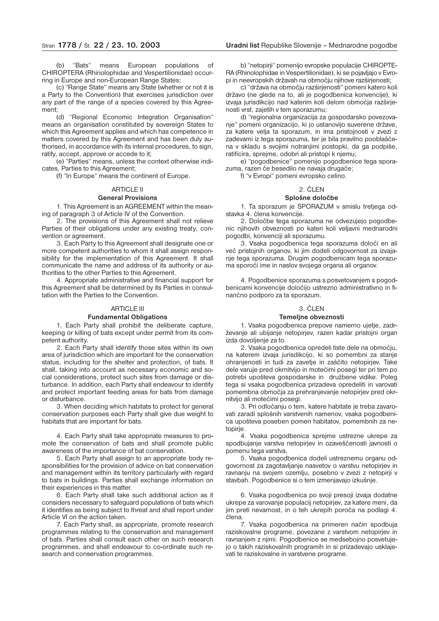(b) "Bats" means European populations of CHIROPTERA (Rhinolophidae and Vespertilionidae) occurring in Europe and non-European Range States;

(c) "Range State" means any State (whether or not it is a Party to the Convention) that exercises jurisdiction over any part of the range of a species covered by this Agreement;

(d) "Regional Economic Integration Organisation" means an organisation constituted by sovereign States to which this Agreement applies and which has competence in matters covered by this Agreement and has been duly authorised, in accordance with its internal procedures, to sign, ratify, accept, approve or accede to it;

(e) "Parties" means, unless the context otherwise indicates, Parties to this Agreement;

(f) "In Europe" means the continent of Europe.

# ARTICLE II

# **General Provisions**

1. This Agreement is an AGREEMENT within the meaning of paragraph 3 of Article IV of the Convention.

2. The provisions of this Agreement shall not relieve Parties of their obligations under any existing treaty, convention or agreement.

3. Each Party to this Agreement shall designate one or more competent authorities to whom it shall assign responsibility for the implementation of this Agreement. It shall communicate the name and address of its authority or authorities to the other Parties to this Agreement.

4. Appropriate administrative and financial support for this Agreement shall be determined by its Parties in consultation with the Parties to the Convention.

#### ARTICLE III

# **Fundamental Obligations**

1. Each Party shall prohibit the deliberate capture, keeping or killing of bats except under permit from its competent authority.

2. Each Party shall identify those sites within its own area of jurisdiction which are important for the conservation status, including for the shelter and protection, of bats. It shall, taking into account as necessary economic and social considerations, protect such sites from damage or disturbance. In addition, each Party shall endeavour to identify and protect important feeding areas for bats from damage or disturbance.

3. When deciding which habitats to protect for general conservation purposes each Party shall give due weight to habitats that are important for bats.

4. Each Party shall take appropriate measures to promote the conservation of bats and shall promote public awareness of the importance of bat conservation.

5. Each Party shall assign to an appropriate body responsibilities for the provision of advice on bat conservation and management within its territory particularly with regard to bats in buildings. Parties shall exchange information on their experiences in this matter.

6. Each Party shall take such additional action as it considers necessary to safeguard populations of bats which it identifies as being subject to threat and shall report under Article VI on the action taken.

7. Each Party shall, as appropriate, promote research programmes relating to the conservation and management of bats. Parties shall consult each other on such research programmes, and shall endeavour to co-ordinate such research and conservation programmes.

b) "netopirji" pomenijo evropske populacije CHIROPTE-RA (Rhinolophidae in Vespertilionidae), ki se pojavljajo v Evropi in neevropskih državah na območju njihove razširjenosti;

c) "država na območju razširjenosti" pomeni katero koli državo (ne glede na to, ali je pogodbenica konvencije), ki izvaja jurisdikcijo nad katerim koli delom območja razširjenosti vrst, zajetih v tem sporazumu;

d) "regionalna organizacija za gospodarsko povezovanje" pomeni organizacijo, ki jo ustanovijo suverene države, za katere velja ta sporazum, in ima pristojnosti v zvezi z zadevami iz tega sporazuma, ter je bila pravilno pooblaščena v skladu s svojimi notranjimi postopki, da ga podpiše, ratificira, sprejme, odobri ali pristopi k njemu;

e) "pogodbenice" pomenijo pogodbenice tega sporazuma, razen če besedilo ne navaja drugače;

f) "v Evropi" pomeni evropsko celino.

# 2. ČLEN

# **Splošne določbe**

1. Ta sporazum je SPORAZUM v smislu tretjega odstavka 4. člena konvencije.

2. Določbe tega sporazuma ne odvezujejo pogodbenic njihovih obveznosti po kateri koli veljavni mednarodni pogodbi, konvenciji ali sporazumu.

3. Vsaka pogodbenica tega sporazuma določi en ali več pristojnih organov, ki jim dodeli odgovornost za izvajanje tega sporazuma. Drugim pogodbenicam tega sporazuma sporoči ime in naslov svojega organa ali organov.

4. Pogodbenice sporazuma s posvetovanjem s pogodbenicami konvencije določijo ustrezno administrativno in finančno podporo za ta sporazum.

# 3. ČLEN

# **Temeljne obveznosti**

1. Vsaka pogodbenica prepove namerno ujetje, zadrževanje ali ubijanje netopirjev, razen kadar pristojni organ izda dovoljenje za to.

2. Vsaka pogodbenica opredeli tiste dele na območju, na katerem izvaja jurisdikcijo, ki so pomembni za stanje ohranjenosti in tudi za zavetje in zaščito netopirjev. Take dele varuje pred okrnitvijo in motečimi posegi ter pri tem po potrebi upošteva gospodarske in družbene vidike. Poleg tega si vsaka pogodbenica prizadeva opredeliti in varovati pomembna območja za prehranjevanje netopirjev pred okrnitvijo ali motečimi posegi.

3. Pri odločanju o tem, katere habitate je treba zavarovati zaradi splošnih varstvenih namenov, vsaka pogodbenica upošteva poseben pomen habitatov, pomembnih za netopirje.

4. Vsaka pogodbenica sprejme ustrezne ukrepe za spodbujanje varstva netopirjev in ozaveščenosti javnosti o pomenu tega varstva.

5. Vsaka pogodbenica dodeli ustreznemu organu odgovornost za zagotavljanje nasvetov o varstvu netopirjev in ravnanju na svojem ozemlju, posebno v zvezi z netopirji v stavbah. Pogodbenice si o tem izmenjavajo izkušnje.

6. Vsaka pogodbenica po svoji presoji izvaja dodatne ukrepe za varovanje populacij netopirjev, za katere meni, da jim preti nevarnost, in o teh ukrepih poroča na podlagi 4. člena.

7. Vsaka pogodbenica na primeren način spodbuja raziskovalne programe, povezane z varstvom netopirjev in ravnanjem z njimi. Pogodbenice se medsebojno posvetujejo o takih raziskovalnih programih in si prizadevajo usklajevati te raziskovalne in varstvene programe.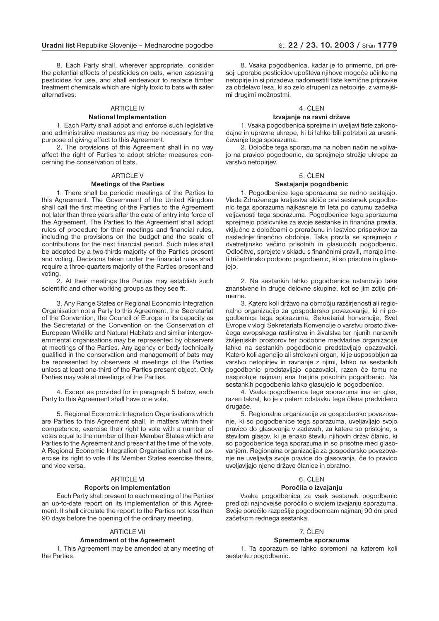8. Each Party shall, wherever appropriate, consider the potential effects of pesticides on bats, when assessing pesticides for use, and shall endeavour to replace timber treatment chemicals which are highly toxic to bats with safer alternatives.

# ARTICLE IV

# **National Implementation**

1. Each Party shall adopt and enforce such legislative and administrative measures as may be necessary for the purpose of giving effect to this Agreement.

2. The provisions of this Agreement shall in no way affect the right of Parties to adopt stricter measures concerning the conservation of bats.

#### **ARTICLE V**

# **Meetings of the Parties**

1. There shall be periodic meetings of the Parties to this Agreement. The Government of the United Kingdom shall call the first meeting of the Parties to the Agreement not later than three years after the date of entry into force of the Agreement. The Parties to the Agreement shall adopt rules of procedure for their meetings and financial rules, including the provisions on the budget and the scale of contributions for the next financial period. Such rules shall be adopted by a two-thirds majority of the Parties present and voting. Decisions taken under the financial rules shall require a three-quarters majority of the Parties present and voting.

2. At their meetings the Parties may establish such scientific and other working groups as they see fit.

3. Any Range States or Regional Economic Integration Organisation not a Party to this Agreement, the Secretariat of the Convention, the Council of Europe in its capacity as the Secretariat of the Convention on the Conservation of European Wildlife and Natural Habitats and similar intergovernmental organisations may be represented by observers at meetings of the Parties. Any agency or body technically qualified in the conservation and management of bats may be represented by observers at meetings of the Parties unless at least one-third of the Parties present object. Only Parties may vote at meetings of the Parties.

4. Except as provided for in paragraph 5 below, each Party to this Agreement shall have one vote.

5. Regional Economic Integration Organisations which are Parties to this Agreement shall, in matters within their competence, exercise their right to vote with a number of votes equal to the number of their Member States which are Parties to the Agreement and present at the time of the vote. A Regional Economic Integration Organisation shall not exercise its right to vote if its Member States exercise theirs, and vice versa.

# ARTICLE VI

# **Reports on Implementation**

Each Party shall present to each meeting of the Parties an up-to-date report on its implementation of this Agreement. It shall circulate the report to the Parties not less than 90 days before the opening of the ordinary meeting.

# ARTICLE VII

# **Amendment of the Agreement**

1. This Agreement may be amended at any meeting of the Parties.

8. Vsaka pogodbenica, kadar je to primerno, pri presoji uporabe pesticidov upošteva njihove mogoče učinke na netopirje in si prizadeva nadomestiti tiste kemične pripravke za obdelavo lesa, ki so zelo strupeni za netopirje, z varnejšimi drugimi možnostmi.

# 4. ČLEN

# **Izvajanje na ravni države**

1. Vsaka pogodbenica sprejme in uveljavi tiste zakonodajne in upravne ukrepe, ki bi lahko bili potrebni za uresničevanje tega sporazuma.

2. Določbe tega sporazuma na noben način ne vplivajo na pravico pogodbenic, da sprejmejo strožje ukrepe za varstvo netopirjev.

# 5. ČLEN

# **Sestajanje pogodbenic**

1. Pogodbenice tega sporazuma se redno sestajajo. Vlada Združenega kraljestva skliče prvi sestanek pogodbenic tega sporazuma najkasneje tri leta po datumu začetka veljavnosti tega sporazuma. Pogodbenice tega sporazuma sprejmejo poslovnike za svoje sestanke in finančna pravila, vključno z določbami o proračunu in lestvico prispevkov za naslednje finančno obdobje. Taka pravila se sprejmejo z dvetretjinsko večino prisotnih in glasujočih pogodbenic. Odločitve, sprejete v skladu s finančnimi pravili, morajo imeti tričetrtinsko podporo pogodbenic, ki so prisotne in glasujejo.

2. Na sestankih lahko pogodbenice ustanovijo take znanstvene in druge delovne skupine, kot se jim zdijo primerne.

3. Katero koli državo na območju razširjenosti ali regionalno organizacijo za gospodarsko povezovanje, ki ni pogodbenica tega sporazuma, Sekretariat konvencije, Svet Evrope v vlogi Sekretariata Konvencije o varstvu prosto živečega evropskega rastlinstva in živalstva ter njunih naravnih življenjskih prostorov ter podobne medvladne organizacije lahko na sestankih pogodbenic predstavljajo opazovalci. Katero koli agencijo ali strokovni organ, ki je usposobljen za varstvo netopirjev in ravnanje z njimi, lahko na sestankih pogodbenic predstavljajo opazovalci, razen če temu ne nasprotuje najmanj ena tretjina prisotnih pogodbenic. Na sestankih pogodbenic lahko glasujejo le pogodbenice.

4. Vsaka pogodbenica tega sporazuma ima en glas, razen takrat, ko je v petem odstavku tega člena predvideno drugače.

5. Regionalne organizacije za gospodarsko povezovanje, ki so pogodbenice tega sporazuma, uveljavljajo svojo pravico do glasovanja v zadevah, za katere so pristojne, s številom glasov, ki je enako številu njihovih držav članic, ki so pogodbenice tega sporazuma in so prisotne med glasovanjem. Regionalna organizacija za gospodarsko povezovanje ne uveljavlja svoje pravice do glasovanja, če to pravico uveljavljajo njene države članice in obratno.

# 6. ČLEN

# **Poročila o izvajanju**

Vsaka pogodbenica za vsak sestanek pogodbenic predloži najnovejše poročilo o svojem izvajanju sporazuma. Svoje poročilo razpošlje pogodbenicam najmanj 90 dni pred začetkom rednega sestanka.

# 7. ČLEN

# **Spremembe sporazuma**

1. Ta sporazum se lahko spremeni na katerem koli sestanku pogodbenic.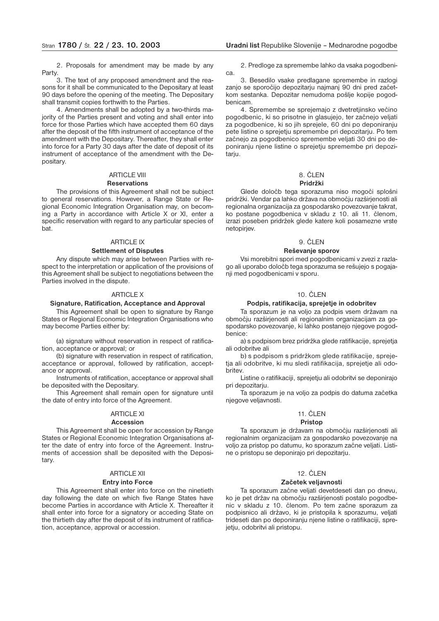2. Proposals for amendment may be made by any Party.

3. The text of any proposed amendment and the reasons for it shall be communicated to the Depositary at least 90 days before the opening of the meeting. The Depositary shall transmit copies forthwith to the Parties.

4. Amendments shall be adopted by a two-thirds majority of the Parties present and voting and shall enter into force for those Parties which have accepted them 60 days after the deposit of the fifth instrument of acceptance of the amendment with the Depositary. Thereafter, they shall enter into force for a Party 30 days after the date of deposit of its instrument of acceptance of the amendment with the Depositary.

# ARTICLE VIII

# **Reservations**

The provisions of this Agreement shall not be subject to general reservations. However, a Range State or Regional Economic Integration Organisation may, on becoming a Party in accordance with Article X or XI, enter a specific reservation with regard to any particular species of bat.

# ARTICLE IX

# **Settlement of Disputes**

Any dispute which may arise between Parties with respect to the interpretation or application of the provisions of this Agreement shall be subject to negotiations between the Parties involved in the dispute.

# ARTICLE X

# **Signature, Ratification, Acceptance and Approval**

This Agreement shall be open to signature by Range States or Regional Economic Integration Organisations who may become Parties either by:

(a) signature without reservation in respect of ratification, acceptance or approval; or

(b) signature with reservation in respect of ratification, acceptance or approval, followed by ratification, acceptance or approval.

Instruments of ratification, acceptance or approval shall be deposited with the Depositary.

This Agreement shall remain open for signature until the date of entry into force of the Agreement.

# ARTICLE XI **Accession**

This Agreement shall be open for accession by Range States or Regional Economic Integration Organisations after the date of entry into force of the Agreement. Instruments of accession shall be deposited with the Depositary.

# ARTICLE XII

# **Entry into Force**

This Agreement shall enter into force on the ninetieth day following the date on which five Range States have become Parties in accordance with Article X. Thereafter it shall enter into force for a signatory or acceding State on the thirtieth day after the deposit of its instrument of ratification, acceptance, approval or accession.

2. Predloge za spremembe lahko da vsaka pogodbeni-

3. Besedilo vsake predlagane spremembe in razlogi zanio se sporočijo depozitariu najmanj 90 dni pred začetkom sestanka. Depozitar nemudoma pošlje kopije pogodbenicam.

ca.

4. Spremembe se sprejemajo z dvetretjinsko večino pogodbenic, ki so prisotne in glasujejo, ter začnejo veljati za pogodbenice, ki so jih sprejele, 60 dni po deponiranju pete listine o sprejetju spremembe pri depozitarju. Po tem začnejo za pogodbenico spremembe veljati 30 dni po deponiranju njene listine o sprejetju spremembe pri depozitariu.

# 8. ČLEN **Pridržki**

Glede določb tega sporazuma niso mogoči splošni pridržki. Vendar pa lahko država na območju razširjenosti ali regionalna organizacija za gospodarsko povezovanje takrat, ko postane pogodbenica v skladu z 10. ali 11. členom, izrazi poseben pridržek glede katere koli posamezne vrste netopirjev.

# 9. ČLEN

# **Reševanje sporov**

Vsi morebitni spori med pogodbenicami v zvezi z razlago ali uporabo določb tega sporazuma se rešujejo s pogajanji med pogodbenicami v sporu.

# 10. ČLEN

# **Podpis, ratifikacija, sprejetje in odobritev**

Ta sporazum je na voljo za podpis vsem državam na območju razširjenosti ali regionalnim organizacijam za gospodarsko povezovanje, ki lahko postanejo njegove pogodbenice:

a) s podpisom brez pridržka glede ratifikacije, sprejetja ali odobritve ali

b) s podpisom s pridržkom glede ratifikacije, sprejetja ali odobritve, ki mu sledi ratifikacija, sprejetje ali odobritev.

Listine o ratifikaciji, sprejetju ali odobritvi se deponirajo pri depozitariu.

Ta sporazum je na voljo za podpis do datuma začetka njegove veljavnosti.

# 11. ČLEN **Pristop**

Ta sporazum je državam na območju razširjenosti ali regionalnim organizacijam za gospodarsko povezovanje na voljo za pristop po datumu, ko sporazum začne veljati. Listine o pristopu se deponirajo pri depozitarju.

# 12. ČLEN

# **Začetek veljavnosti**

Ta sporazum začne veljati devetdeseti dan po dnevu, ko je pet držav na območju razširjenosti postalo pogodbenic v skladu z 10. členom. Po tem začne sporazum za podpisnico ali državo, ki je pristopila k sporazumu, veljati trideseti dan po deponiranju njene listine o ratifikaciji, sprejetju, odobritvi ali pristopu.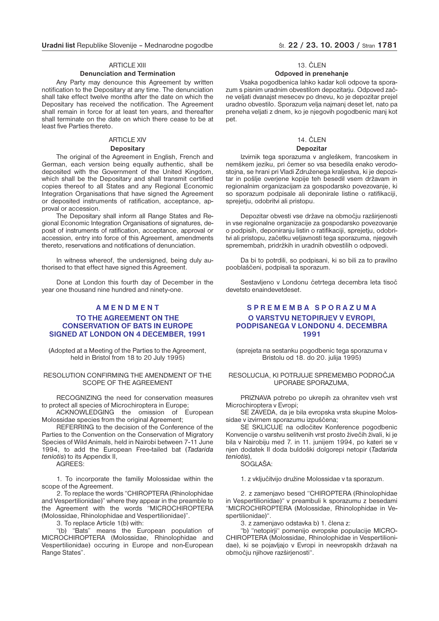# **ARTICLE XIII**

# **Denunciation and Termination**

Any Party may denounce this Agreement by written notification to the Depositary at any time. The denunciation shall take effect twelve months after the date on which the Depositary has received the notification. The Agreement shall remain in force for at least ten years, and thereafter shall terminate on the date on which there cease to be at least five Parties thereto.

# **ARTICLE XIV**

# **Depositary**

The original of the Agreement in English, French and German, each version being equally authentic, shall be deposited with the Government of the United Kingdom, which shall be the Depositary and shall transmit certified copies thereof to all States and any Regional Economic Integration Organisations that have signed the Agreement or deposited instruments of ratification, acceptance, approval or accession.

The Depositary shall inform all Range States and Regional Economic Integration Organisations of signatures, deposit of instruments of ratification, acceptance, approval or accession, entry into force of this Agreement, amendments thereto, reservations and notifications of denunciation.

In witness whereof, the undersigned, being duly authorised to that effect have signed this Agreement.

Done at London this fourth day of December in the year one thousand nine hundred and ninety-one.

# **A M E N D M E N T TO THE AGREEMENT ON THE CONSERVATION OF BATS IN EUROPE SIGNED AT LONDON ON 4 DECEMBER, 1991**

(Adopted at a Meeting of the Parties to the Agreement, held in Bristol from 18 to 20 July 1995)

# RESOLUTION CONFIRMING THE AMENDMENT OF THE SCOPE OF THE AGREEMENT

RECOGNIZING the need for conservation measures to protect all species of Microchiroptera in Europe;

ACKNOWLEDGING the omission of European Molossidae species from the original Agreement;

REFERRING to the decision of the Conference of the Parties to the Convention on the Conservation of Migratory Species of Wild Animals, held in Nairobi between 7-11 June 1994, to add the European Free-tailed bat (*Tadarida teniotis*) to its Appendix II,

AGREES:

1. To incorporate the familiy Molossidae within the scope of the Agreement.

2. To replace the words "CHIROPTERA (Rhinolophidae and Vespertilionidae)" where they appear in the preamble to the Agreement with the words "MICROCHIROPTERA (Molossidae, Rhinolophidae and Vespertilionidae)".

3. To replace Article 1(b) with:

"(b) "Bats" means the European population of MICROCHIROPTERA (Molossidae, Rhinolophidae and Vespertilionidae) occuring in Europe and non-European Range States".

# 13. ČLEN

# **Odpoved in prenehanje**

Vsaka pogodbenica lahko kadar koli odpove ta sporazum s pisnim uradnim obvestilom depozitarju. Odpoved začne veljati dvanajst mesecev po dnevu, ko je depozitar prejel uradno obvestilo. Sporazum velja najmanj deset let, nato pa preneha veljati z dnem, ko je njegovih pogodbenic manj kot pet.

# 14. ČLEN

# **Depozitar**

Izvirnik tega sporazuma v angleškem, francoskem in nemškem jeziku, pri čemer so vsa besedila enako verodostojna, se hrani pri Vladi Združenega kraljestva, ki je depozitar in pošlje overjene kopije teh besedil vsem državam in regionalnim organizacijam za gospodarsko povezovanje, ki so sporazum podpisale ali deponirale listine o ratifikaciji, sprejetju, odobritvi ali pristopu.

Depozitar obvesti vse države na območju razširjenosti in vse regionalne organizacije za gospodarsko povezovanje o podpisih, deponiranju listin o ratifikaciji, sprejetju, odobritvi ali pristopu, začetku veljavnosti tega sporazuma, njegovih spremembah, pridržkih in uradnih obvestilih o odpovedi.

Da bi to potrdili, so podpisani, ki so bili za to pravilno pooblaščeni, podpisali ta sporazum.

Sestavljeno v Londonu četrtega decembra leta tisoč devetsto enaindevetdeset.

# **S P R E M E M B A S P O R A Z U M A O VARSTVU NETOPIRJEV V EVROPI, PODPISANEGA V LONDONU 4. DECEMBRA 1991**

(sprejeta na sestanku pogodbenic tega sporazuma v Bristolu od 18. do 20. julija 1995)

# RESOLUCIJA, KI POTRJUJE SPREMEMBO PODROČJA UPORABE SPORAZUMA,

PRIZNAVA potrebo po ukrepih za ohranitev vseh vrst Microchiroptera v Evropi;

SE ZAVEDA, da je bila evropska vrsta skupine Molossidae v izvirnem sporazumu izpuščena;

SE SKLICUJE na odločitev Konference pogodbenic Konvencije o varstvu selitvenih vrst prosto živečih živali, ki je bila v Nairobiju med 7. in 11. junijem 1994, po kateri se v njen dodatek II doda buldoški dolgorepi netopir (*Tadarida teniotis*),

SOGLAŠA:

1. z vključitvijo družine Molossidae v ta sporazum.

2. z zamenjavo besed "CHIROPTERA (Rhinolophidae in Vespertilionidae)" v preambuli k sporazumu z besedami "MICROCHIROPTERA (Molossidae, Rhinolophidae in Vespertilionidae)".

3. z zamenjavo odstavka b) 1. člena z:

"b) "netopirji" pomenijo evropske populacije MICRO-CHIROPTERA (Molossidae, Rhinolophidae in Vespertilionidae), ki se pojavljajo v Evropi in neevropskih državah na območju njihove razširjenosti".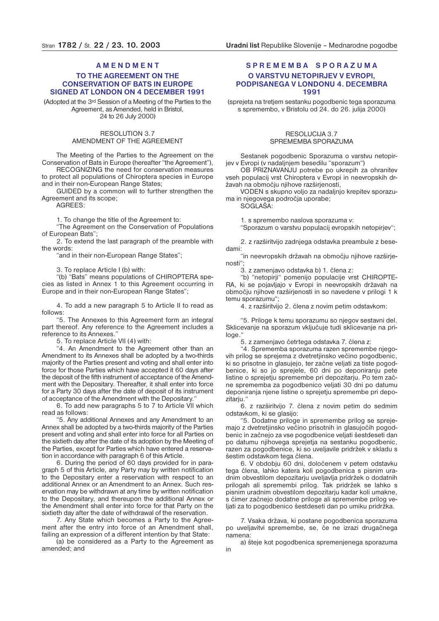# **A M E N D M E N T**

# **TO THE AGREEMENT ON THE CONSERVATION OF BATS IN EUROPE SIGNED AT LONDON ON 4 DECEMBER 1991**

(Adopted at the 3rd Session of a Meeting of the Parties to the Agreement, as Amended, held in Bristol, 24 to 26 July 2000)

# RESOLUTION 3.7 AMENDMENT OF THE AGREEMENT

The Meeting of the Parties to the Agreement on the Conservation of Bats in Europe (hereafter "the Agreement"), RECOGNIZING the need for conservation measures to protect all populations of Chiroptera species in Europe

and in their non-European Range States; GUIDED by a common will to further strengthen the Agreement and its scope;

AGREES:

1. To change the title of the Agreement to:

"The Agreement on the Conservation of Populations of European Bats";

2. To extend the last paragraph of the preamble with the words:

"and in their non-European Range States";

3. To replace Article I (b) with:

"(b) "Bats" means populations of CHIROPTERA species as listed in Annex 1 to this Agreement occurring in Europe and in their non-European Range States";

4. To add a new paragraph 5 to Article II to read as follows:

"5. The Annexes to this Agreement form an integral part thereof. Any reference to the Agreement includes a reference to its Annexes."

5. To replace Article VII (4) with:

"4. An Amendment to the Agreement other than an Amendment to its Annexes shall be adopted by a two-thirds majority of the Parties present and voting and shall enter into force for those Parties which have accepted it 60 days after the deposit of the fifth instrument of acceptance of the Amendment with the Depositary. Thereafter, it shall enter into force for a Party 30 days after the date of deposit of its instrument of acceptance of the Amendment with the Depositary."

6. To add new paragraphs 5 to 7 to Article VII which read as follows:

"5. Any additional Annexes and any Amendment to an Annex shall be adopted by a two-thirds majority of the Parties present and voting and shall enter into force for all Parties on the sixtieth day after the date of its adoption by the Meeting of the Parties, except for Parties which have entered a reservation in accordance with paragraph 6 of this Article.

6. During the period of 60 days provided for in paragraph 5 of this Article, any Party may by written notification to the Depositary enter a reservation with respect to an additional Annex or an Amendment to an Annex. Such reservation may be withdrawn at any time by written notification to the Depositary, and thereupon the additional Annex or the Amendment shall enter into force for that Party on the sixtieth day after the date of withdrawal of the reservation.

7. Any State which becomes a Party to the Agreement after the entry into force of an Amendment shall, failing an expression of a different intention by that State:

(a) be considered as a Party to the Agreement as amended; and

# **S P R E M E M B A S P O R A Z U M A O VARSTVU NETOPIRJEV V EVROPI, PODPISANEGA V LONDONU 4. DECEMBRA 1991**

(sprejeta na tretjem sestanku pogodbenic tega sporazuma s spremembo, v Bristolu od 24. do 26. julija 2000)

# RESOLUCIJA 3.7 SPREMEMBA SPORAZUMA

Sestanek pogodbenic Sporazuma o varstvu netopirjev v Evropi (v nadaljnjem besedilu "sporazum")

OB PRIZNAVANJU potrebe po ukrepih za ohranitev vseh populacij vrst Chiroptera v Evropi in neevropskih državah na območju njihove razširjenosti,

VODEN s skupno voljo za nadaljnjo krepitev sporazuma in njegovega področja uporabe;

SOGLAŠA:

1. s spremembo naslova sporazuma v:

"Sporazum o varstvu populacij evropskih netopirjev";

2. z razširitvijo zadnjega odstavka preambule z besedami:

"in neevropskih državah na območju njihove razširjenosti";

3. z zamenjavo odstavka b) 1. člena z:

"b) "netopirji" pomenijo populacije vrst CHIROPTE-RA, ki se pojavljajo v Evropi in neevropskih državah na območju njihove razširjenosti in so navedene v prilogi 1 k temu sporazumu";

4. z razširitvijo 2. člena z novim petim odstavkom:

"5. Priloge k temu sporazumu so njegov sestavni del. Sklicevanje na sporazum vključuje tudi sklicevanje na priloge.

5. z zamenjavo četrtega odstavka 7. člena z:

"4. Sprememba sporazuma razen spremembe njegovih prilog se sprejema z dvetretjinsko večino pogodbenic, ki so prisotne in glasujejo, ter začne veljati za tiste pogodbenice, ki so jo sprejele, 60 dni po deponiranju pete listine o sprejetju spremembe pri depozitarju. Po tem začne sprememba za pogodbenico veljati 30 dni po datumu deponiranja njene listine o sprejetju spremembe pri depozitarju."

6. z razširitvijo 7. člena z novim petim do sedmim odstavkom, ki se glasijo:

"5. Dodatne priloge in spremembe prilog se sprejemajo z dvetretjinsko večino prisotnih in glasujočih pogodbenic in začnejo za vse pogodbenice veljati šestdeseti dan po datumu njihovega sprejetja na sestanku pogodbenic, razen za pogodbenice, ki so uveljavile pridržek v skladu s šestim odstavkom tega člena.

6. V obdobju 60 dni, določenem v petem odstavku tega člena, lahko katera koli pogodbenica s pisnim uradnim obvestilom depozitarju uveljavlja pridržek o dodatnih prilogah ali spremembi prilog. Tak pridržek se lahko s pisnim uradnim obvestilom depozitarju kadar koli umakne, s čimer začnejo dodatne priloge ali spremembe prilog veljati za to pogodbenico šestdeseti dan po umiku pridržka.

7. Vsaka država, ki postane pogodbenica sporazuma po uveljavitvi spremembe, se, če ne izrazi drugačnega namena:

a) šteje kot pogodbenica spremenjenega sporazuma in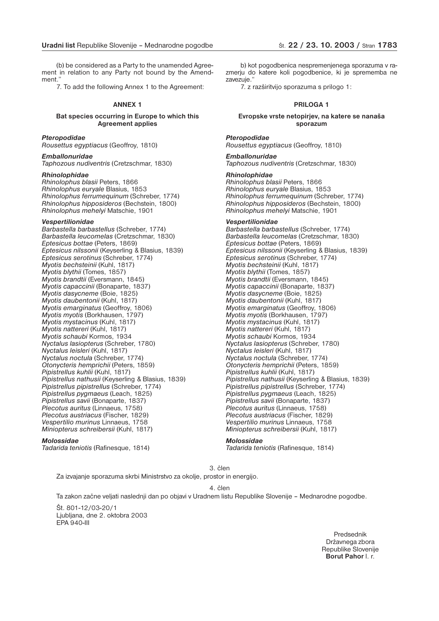(b) be considered as a Party to the unamended Agreement in relation to any Party not bound by the Amendment."

7. To add the following Annex 1 to the Agreement:

# **ANNEX 1**

# **Bat species occurring in Europe to which this Agreement applies**

# *Pteropodidae*

*Rousettus egyptiacus* (Geoffroy, 1810)

# *Emballonuridae*

*Taphozous nudiventris* (Cretzschmar, 1830)

# *Rhinolophidae*

*Rhinolophus blasii* Peters, 1866 *Rhinolophus euryale* Blasius, 1853 *Rhinolophus ferrumequinum* (Schreber, 1774) *Rhinolophus hipposideros* (Bechstein, 1800) *Rhinolophus mehelyi* Matschie, 1901

# *Vespertilionidae*

*Barbastella barbastellus* (Schreber, 1774) *Barbastella leucomelas* (Cretzschmar, 1830) *Eptesicus bottae* (Peters, 1869) *Eptesicus nilssonii* (Keyserling & Blasius, 1839) *Eptesicus serotinus* (Schreber, 1774) *Myotis bechsteinii* (Kuhl, 1817) *Myotis blythii* (Tomes, 1857) *Myotis brandtii* (Eversmann, 1845) *Myotis capaccinii* (Bonaparte, 1837) *Myotis dasycneme* (Boie, 1825) *Myotis daubentonii* (Kuhl, 1817) *Myotis emarginatus* (Geoffroy, 1806) *Myotis myotis* (Borkhausen, 1797) *Myotis mystacinus* (Kuhl, 1817) *Myotis nattereri* (Kuhl, 1817) *Myotis schaubi* Kormos, 1934 *Nyctalus lasiopterus* (Schreber, 1780) *Nyctalus leisleri* (Kuhl, 1817) *Nyctalus noctula* (Schreber, 1774) *Otonycteris hemprichii* (Peters, 1859) *Pipistrellus kuhlii* (Kuhl, 1817) *Pipistrellus nathusii* (Keyserling & Blasius, 1839) *Pipistrellus pipistrellus* (Schreber, 1774) *Pipistrellus pygmaeus* (Leach, 1825) *Pipistrellus savii* (Bonaparte, 1837) *Plecotus auritus* (Linnaeus, 1758) *Plecotus austriacus* (Fischer, 1829) *Vespertilio murinus* Linnaeus, 1758 *Miniopterus schreibersii* (Kuhl, 1817)

# *Molossidae*

*Tadarida teniotis* (Rafinesque, 1814)

b) kot pogodbenica nespremenjenega sporazuma v razmerju do katere koli pogodbenice, ki je sprememba ne zavezuje."

7. z razširitvijo sporazuma s prilogo 1:

# **PRILOGA 1**

# **Evropske vrste netopirjev, na katere se nanaša sporazum**

# *Pteropodidae*

*Rousettus egyptiacus* (Geoffroy, 1810)

#### *Emballonuridae*

*Taphozous nudiventris* (Cretzschmar, 1830)

# *Rhinolophidae*

*Rhinolophus blasii* Peters, 1866 *Rhinolophus euryale* Blasius, 1853 *Rhinolophus ferrumequinum* (Schreber, 1774) *Rhinolophus hipposideros* (Bechstein, 1800) *Rhinolophus mehelyi* Matschie, 1901

# *Vespertilionidae*

*Barbastella barbastellus* (Schreber, 1774) *Barbastella leucomelas* (Cretzschmar, 1830) *Eptesicus bottae* (Peters, 1869) *Eptesicus nilssonii* (Keyserling & Blasius, 1839) *Eptesicus serotinus* (Schreber, 1774) *Myotis bechsteinii* (Kuhl, 1817) *Myotis blythii* (Tomes, 1857) *Myotis brandtii* (Eversmann, 1845) *Myotis capaccinii* (Bonaparte, 1837) *Myotis dasycneme* (Boie, 1825) *Myotis daubentonii* (Kuhl, 1817) *Myotis emarginatus* (Geoffroy, 1806) *Myotis myotis* (Borkhausen, 1797) *Myotis mystacinus* (Kuhl, 1817) *Myotis nattereri* (Kuhl, 1817) *Myotis schaubi* Kormos, 1934 *Nyctalus lasiopterus* (Schreber, 1780) *Nyctalus leisleri* (Kuhl, 1817) *Nyctalus noctula* (Schreber, 1774) *Otonycteris hemprichii* (Peters, 1859) *Pipistrellus kuhlii* (Kuhl, 1817) *Pipistrellus nathusii* (Keyserling & Blasius, 1839) *Pipistrellus pipistrellus* (Schreber, 1774) *Pipistrellus pygmaeus* (Leach, 1825) *Pipistrellus savii* (Bonaparte, 1837) *Plecotus auritus* (Linnaeus, 1758) *Plecotus austriacus* (Fischer, 1829) *Vespertilio murinus* Linnaeus, 1758 *Miniopterus schreibersii* (Kuhl, 1817)

# *Molossidae*

*Tadarida teniotis* (Rafinesque, 1814)

# 3. člen

Za izvajanje sporazuma skrbi Ministrstvo za okolje, prostor in energijo.

# 4. člen

Ta zakon začne veljati naslednji dan po objavi v Uradnem listu Republike Slovenije – Mednarodne pogodbe.

Št. 801-12/03-20/1 Liubliana, dne 2. oktobra 2003 EPA 940-III

> Predsednik Državnega zbora Republike Slovenije **Borut Pahor** l. r.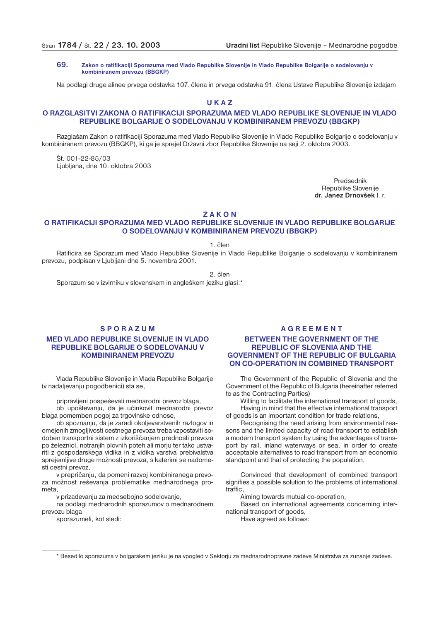**69. Zakon o ratifikaciji Sporazuma med Vlado Republike Slovenije in Vlado Republike Bolgarije o sodelovanju v kombiniranem prevozu (BBGKP)**

Na podlagi druge alinee prvega odstavka 107. člena in prvega odstavka 91. člena Ustave Republike Slovenije izdajam

# **U K A Z**

# **O RAZGLASITVI ZAKONA O RATIFIKACIJI SPORAZUMA MED VLADO REPUBLIKE SLOVENIJE IN VLADO REPUBLIKE BOLGARIJE O SODELOVANJU V KOMBINIRANEM PREVOZU (BBGKP)**

Razglašam Zakon o ratifikaciji Sporazuma med Vlado Republike Slovenije in Vlado Republike Bolgarije o sodelovanju v kombiniranem prevozu (BBGKP), ki ga je sprejel Državni zbor Republike Slovenije na seji 2. oktobra 2003.

Št. 001-22-85/03 Ljubljana, dne 10. oktobra 2003

> Predsednik Republike Slovenije **dr. Janez Drnovšek** l. r.

**Z A K O N**

# **O RATIFIKACIJI SPORAZUMA MED VLADO REPUBLIKE SLOVENIJE IN VLADO REPUBLIKE BOLGARIJE O SODELOVANJU V KOMBINIRANEM PREVOZU (BBGKP)**

1. člen

Ratificira se Sporazum med Vlado Republike Slovenije in Vlado Republike Bolgarije o sodelovanju v kombiniranem prevozu, podpisan v Ljubljani dne 5. novembra 2001.

2. člen

Sporazum se v izvirniku v slovenskem in angleškem jeziku glasi:\*

# **S P O R A Z U M**

# **MED VLADO REPUBLIKE SLOVENIJE IN VLADO REPUBLIKE BOLGARIJE O SODELOVANJU V KOMBINIRANEM PREVOZU**

Vlada Republike Slovenije in Vlada Republike Bolgarije (v nadaljevanju pogodbenici) sta se,

pripravljeni pospeševati mednarodni prevoz blaga, ob upoštevanju, da je učinkovit mednarodni prevoz blaga pomemben pogoj za trgovinske odnose,

ob spoznanju, da je zaradi okoljevarstvenih razlogov in omejenih zmogljivosti cestnega prevoza treba vzpostaviti sodoben transportni sistem z izkoriščanjem prednosti prevoza po železnici, notranjih plovnih poteh ali morju ter tako ustvariti z gospodarskega vidika in z vidika varstva prebivalstva sprejemljive druge možnosti prevoza, s katerimi se nadomesti cestni prevoz,

v prepričanju, da pomeni razvoj kombiniranega prevoza možnost reševanja problematike mednarodnega prometa,

v prizadevanju za medsebojno sodelovanje,

na podlagi mednarodnih sporazumov o mednarodnem prevozu blaga

sporazumeli, kot sledi:

# **A G R E E M E N T**

# **BETWEEN THE GOVERNMENT OF THE REPUBLIC OF SLOVENIA AND THE GOVERNMENT OF THE REPUBLIC OF BULGARIA ON CO-OPERATION IN COMBINED TRANSPORT**

The Government of the Republic of Slovenia and the Government of the Republic of Bulgaria (hereinafter referred to as the Contracting Parties)

Willing to facilitate the international transport of goods, Having in mind that the effective international transport of goods is an important condition for trade relations,

Recognising the need arising from environmental reasons and the limited capacity of road transport to establish a modern transport system by using the advantages of transport by rail, inland waterways or sea, in order to create acceptable alternatives to road transport from an economic standpoint and that of protecting the population,

Convinced that development of combined transport signifies a possible solution to the problems of international traffic,

Aiming towards mutual co-operation,

Based on international agreements concerning international transport of goods,

Have agreed as follows:

\* Besedilo sporazuma v bolgarskem jeziku je na vpogled v Sektorju za mednarodnopravne zadeve Ministrstva za zunanje zadeve.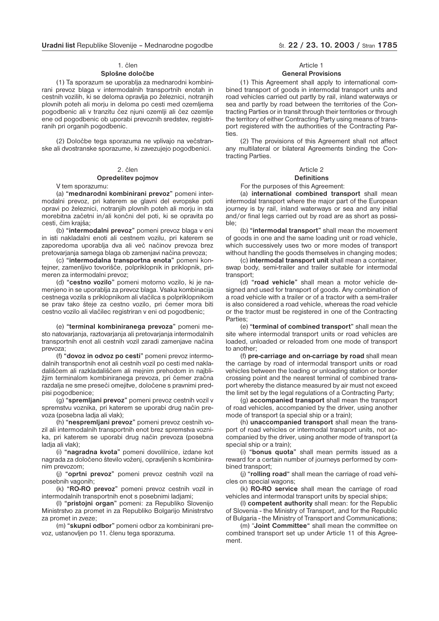#### 1. člen

# **Splošne določbe**

(1) Ta sporazum se uporablja za mednarodni kombinirani prevoz blaga v intermodalnih transportnih enotah in cestnih vozilih, ki se deloma opravlja po železnici, notranjih plovnih poteh ali morju in deloma po cesti med ozemljema pogodbenic ali v tranzitu čez njuni ozemlji ali čez ozemlje ene od pogodbenic ob uporabi prevoznih sredstev, registriranih pri organih pogodbenic.

(2) Določbe tega sporazuma ne vplivajo na večstranske ali dvostranske sporazume, ki zavezujejo pogodbenici.

#### 2. člen

# **Opredelitev pojmov**

V tem sporazumu:

(a) **"mednarodni kombinirani prevoz"** pomeni intermodalni prevoz, pri katerem se glavni del evropske poti opravi po železnici, notranjih plovnih poteh ali morju in sta morebitna začetni in/ali končni del poti, ki se opravita po cesti, čim krajša;

(b) **"intermodalni prevoz"** pomeni prevoz blaga v eni in isti nakladalni enoti ali cestnem vozilu, pri katerem se zaporedoma uporablja dva ali več načinov prevoza brez pretovarjanja samega blaga ob zamenjavi načina prevoza;

(c) **"intermodalna transportna enota"** pomeni kontejner, zamenljivo tovorišče, polpriklopnik in priklopnik, primeren za intermodalni prevoz;

(d) **"cestno vozilo"** pomeni motorno vozilo, ki je namenjeno in se uporablja za prevoz blaga. Vsaka kombinacija cestnega vozila s priklopnikom ali vlačilca s polpriklopnikom se prav tako šteje za cestno vozilo, pri čemer mora biti cestno vozilo ali vlačilec registriran v eni od pogodbenic;

(e) **"terminal kombiniranega prevoza"** pomeni mesto natovarjanja, raztovarjanja ali pretovarjanja intermodalnih transportnih enot ali cestnih vozil zaradi zamenjave načina prevoza;

(f) **"dovoz in odvoz po cesti"** pomeni prevoz intermodalnih transportnih enot ali cestnih vozil po cesti med nakladališčem ali razkladališčem ali mejnim prehodom in najbližjim terminalom kombiniranega prevoza, pri čemer zračna razdalja ne sme preseči omejitve, določene s pravnimi predpisi pogodbenice;

(g) **"spremljani prevoz"** pomeni prevoz cestnih vozil v spremstvu voznika, pri katerem se uporabi drug način prevoza (posebna ladja ali vlak);

(h) **"nespremljani prevoz"** pomeni prevoz cestnih vozil ali intermodalnih transportnih enot brez spremstva voznika, pri katerem se uporabi drug način prevoza (posebna ladia ali vlak):

(i) **"nagradna kvota"** pomeni dovolilnice, izdane kot nagrada za določeno število voženj, opravljenih s kombiniranim prevozom;

(j) **"oprtni prevoz"** pomeni prevoz cestnih vozil na posebnih vagonih;

(k) **"RO-RO prevoz"** pomeni prevoz cestnih vozil in intermodalnih transportnih enot s posebnimi ladjami;

(l) **"pristojni organ"** pomeni: za Republiko Slovenijo Ministrstvo za promet in za Republiko Bolgarijo Ministrstvo za promet in zveze;

(m) **"skupni odbor"** pomeni odbor za kombinirani prevoz, ustanovljen po 11. členu tega sporazuma.

#### Article 1

#### **General Provisions**

(1) This Agreement shall apply to international combined transport of goods in intermodal transport units and road vehicles carried out partly by rail, inland waterways or sea and partly by road between the territories of the Contracting Parties or in transit through their territories or through the territory of either Contracting Party using means of transport registered with the authorities of the Contracting Parties.

(2) The provisions of this Agreement shall not affect any multilateral or bilateral Agreements binding the Contracting Parties.

# Article 2

# **Definitions**

For the purposes of this Agreement:

(a) **international combined transport** shall mean intermodal transport where the major part of the European journey is by rail, inland waterways or sea and any initial and/or final legs carried out by road are as short as possible;

(b) **"intermodal transport"** shall mean the movement of goods in one and the same loading unit or road vehicle, which successively uses two or more modes of transport without handling the goods themselves in changing modes;

(c) **intermodal transport unit** shall mean a container, swap body, semi-trailer and trailer suitable for intermodal transport;

(d) **"road vehicle"** shall mean a motor vehicle designed and used for transport of goods. Any combination of a road vehicle with a trailer or of a tractor with a semi-trailer is also considered a road vehicle, whereas the road vehicle or the tractor must be registered in one of the Contracting Parties;

(e) **"terminal of combined transport"** shall mean the site where intermodal transport units or road vehicles are loaded, unloaded or reloaded from one mode of transport to another;

(f) **pre-carriage and on-carriage by road** shall mean the carriage by road of intermodal transport units or road vehicles between the loading or unloading station or border crossing point and the nearest terminal of combined transport whereby the distance measured by air must not exceed the limit set by the legal regulations of a Contracting Party;

(g) **accompanied transport** shall mean the transport of road vehicles, accompanied by the driver, using another mode of transport (a special ship or a train);

(h) **unaccompanied transport** shall mean the transport of road vehicles or intermodal transport units, not accompanied by the driver, using another mode of transport (a special ship or a train);

(i) **"bonus quota"** shall mean permits issued as a reward for a certain number of journeys performed by combined transport;

(j) **"rolling road"** shall mean the carriage of road vehicles on special wagons;

(k) **RO-RO service** shall mean the carriage of road vehicles and intermodal transport units by special ships;

(l) **competent authority** shall mean: for the Republic of Slovenia - the Ministry of Transport, and for the Republic of Bulgaria - the Ministry of Transport and Communications;

(m) "**Joint Committee"** shall mean the committee on combined transport set up under Article 11 of this Agreement.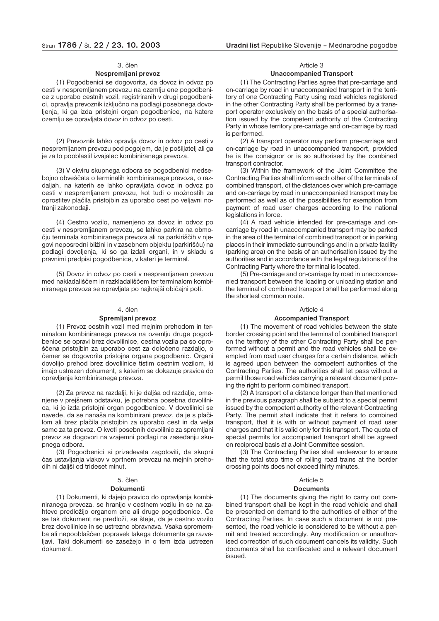# 3. člen

# **Nespremljani prevoz**

(1) Pogodbenici se dogovorita, da dovoz in odvoz po cesti v nespremljanem prevozu na ozemlju ene pogodbenice z uporabo cestnih vozil, registriranih v drugi pogodbenici, opravlja prevoznik izključno na podlagi posebnega dovoljenja, ki ga izda pristojni organ pogodbenice, na katere ozemlju se opravljata dovoz in odvoz po cesti.

(2) Prevoznik lahko opravlja dovoz in odvoz po cesti v nespremljanem prevozu pod pogojem, da je pošiljatelj ali ga je za to pooblastil izvajalec kombiniranega prevoza.

(3) V okviru skupnega odbora se pogodbenici medsebojno obveščata o terminalih kombiniranega prevoza, o razdaljah, na katerih se lahko opravljata dovoz in odvoz po cesti v nespremljanem prevozu, kot tudi o možnostih za oprostitev plačila pristojbin za uporabo cest po veljavni notranii zakonodaii.

(4) Cestno vozilo, namenjeno za dovoz in odvoz po cesti v nespremljanem prevozu, se lahko parkira na območju terminala kombiniranega prevoza ali na parkiriščih v njegovi neposredni bližini in v zasebnem objektu (parkirišču) na podlagi dovoljenja, ki so ga izdali organi, in v skladu s pravnimi predpisi pogodbenice, v kateri je terminal.

(5) Dovoz in odvoz po cesti v nespremljanem prevozu med nakladališčem in razkladališčem ter terminalom kombiniranega prevoza se opravljata po najkrajši običajni poti.

# 4. člen **Spremljani prevoz**

# (1) Prevoz cestnih vozil med mejnim prehodom in terminalom kombiniranega prevoza na ozemlju druge pogodbenice se opravi brez dovolilnice, cestna vozila pa so oproščena pristojbin za uporabo cest za določeno razdaljo, o čemer se dogovorita pristojna organa pogodbenic. Organi dovolijo prehod brez dovolilnice tistim cestnim vozilom, ki imajo ustrezen dokument, s katerim se dokazuje pravica do opravljanja kombiniranega prevoza.

(2) Za prevoz na razdalji, ki je daljša od razdalje, omenjene v prejšnem odstavku, je potrebna posebna dovolilnica, ki jo izda pristojni organ pogodbenice. V dovolilnici se navede, da se nanaša na kombinirani prevoz, da je s plačilom ali brez plačila pristojbin za uporabo cest in da velja samo za ta prevoz. O kvoti posebnih dovolilnic za spremljani prevoz se dogovori na vzajemni podlagi na zasedanju skupnega odbora.

(3) Pogodbenici si prizadevata zagotoviti, da skupni čas ustavljanja vlakov v oprtnem prevozu na mejnih prehodih ni daljši od trideset minut.

# 5. člen

# **Dokumenti**

(1) Dokumenti, ki dajejo pravico do opravljanja kombiniranega prevoza, se hranijo v cestnem vozilu in se na zahtevo predložijo organom ene ali druge pogodbenice. Če se tak dokument ne predloži, se šteje, da je cestno vozilo brez dovolilnice in se ustrezno obravnava. Vsaka sprememba ali nepooblaščen popravek takega dokumenta ga razveljavi. Taki dokumenti se zasežejo in o tem izda ustrezen dokument.

#### Article 3

# **Unaccompanied Transport**

(1) The Contracting Parties agree that pre-carriage and on-carriage by road in unaccompanied transport in the territory of one Contracting Party using road vehicles registered in the other Contracting Party shall be performed by a transport operator exclusively on the basis of a special authorisation issued by the competent authority of the Contracting Party in whose territory pre-carriage and on-carriage by road is performed.

(2) A transport operator may perform pre-carriage and on-carriage by road in unaccompanied transport, provided he is the consignor or is so authorised by the combined transport contractor.

(3) Within the framework of the Joint Committee the Contracting Parties shall inform each other of the terminals of combined transport, of the distances over which pre-carriage and on-carriage by road in unaccompanied transport may be performed as well as of the possibilities for exemption from payment of road user charges according to the national legislations in force.

(4) A road vehicle intended for pre-carriage and oncarriage by road in unaccompanied transport may be parked in the area of the terminal of combined transport or in parking places in their immediate surroundings and in a private facility (parking area) on the basis of an authorisation issued by the authorities and in accordance with the legal regulations of the Contracting Party where the terminal is located.

(5) Pre-carriage and on-carriage by road in unaccompanied transport between the loading or unloading station and the terminal of combined transport shall be performed along the shortest common route.

# Article 4

# **Accompanied Transport**

(1) The movement of road vehicles between the state border crossing point and the terminal of combined transport on the territory of the other Contracting Party shall be performed without a permit and the road vehicles shall be exempted from road user charges for a certain distance, which is agreed upon between the competent authorities of the Contracting Parties. The authorities shall let pass without a permit those road vehicles carrying a relevant document proving the right to perform combined transport.

(2) A transport of a distance longer than that mentioned in the previous paragraph shall be subject to a special permit issued by the competent authority of the relevant Contracting Party. The permit shall indicate that it refers to combined transport, that it is with or without payment of road user charges and that it is valid only for this transport. The quota of special permits for accompanied transport shall be agreed on reciprocal basis at a Joint Committee session.

(3) The Contracting Parties shall endeavour to ensure that the total stop time of rolling road trains at the border crossing points does not exceed thirty minutes.

# Article 5

# **Documents**

(1) The documents giving the right to carry out combined transport shall be kept in the road vehicle and shall be presented on demand to the authorities of either of the Contracting Parties. In case such a document is not presented, the road vehicle is considered to be without a permit and treated accordingly. Any modification or unauthorised correction of such document cancels its validity. Such documents shall be confiscated and a relevant document issued.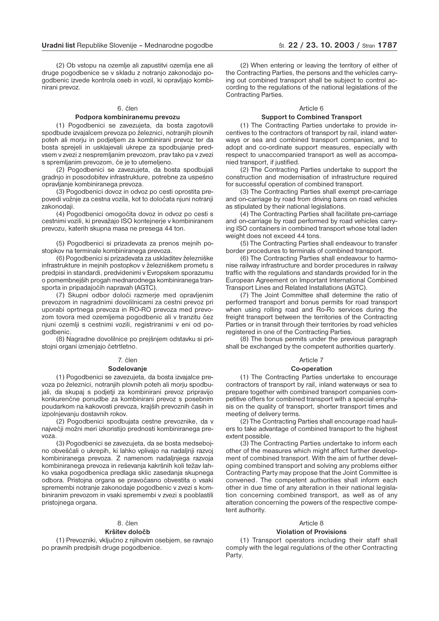(2) Ob vstopu na ozemlje ali zapustitvi ozemlja ene ali druge pogodbenice se v skladu z notranjo zakonodajo pogodbenic izvede kontrola oseb in vozil, ki opravljajo kombinirani prevoz.

# 6. člen

# **Podpora kombiniranemu prevozu**

(1) Pogodbenici se zavezujeta, da bosta zagotovili spodbude izvajalcem prevoza po železnici, notranjih plovnih poteh ali morju in podjetjem za kombinirani prevoz ter da bosta sprejeli in usklajevali ukrepe za spodbujanje predvsem v zvezi z nespremljanim prevozom, prav tako pa v zvezi s spremljanim prevozom, če je to utemeljeno.

(2) Pogodbenici se zavezujeta, da bosta spodbujali gradnjo in posodobitev infrastrukture, potrebne za uspešno opravljanje kombiniranega prevoza.

(3) Pogodbenici dovoz in odvoz po cesti oprostita prepovedi vožnje za cestna vozila, kot to določata njuni notranji zakonodaji.

(4) Pogodbenici omogočita dovoz in odvoz po cesti s cestnimi vozili, ki prevažajo ISO kontejnerje v kombiniranem prevozu, katerih skupna masa ne presega 44 ton.

(5) Pogodbenici si prizadevata za prenos mejnih postopkov na terminale kombiniranega prevoza.

(6) Pogodbenici si prizadevata za uskladitev železniške infrastrukture in mejnih postopkov v železniškem prometu s predpisi in standardi, predvidenimi v Evropskem sporazumu o pomembnejših progah mednarodnega kombiniranega transporta in pripadajočih napravah (AGTC).

(7) Skupni odbor določi razmerje med opravljenim prevozom in nagradnimi dovolilnicami za cestni prevoz pri uporabi oprtnega prevoza in RO-RO prevoza med prevozom tovora med ozemljema pogodbenic ali v tranzitu čez njuni ozemlji s cestnimi vozili, registriranimi v eni od pogodbenic.

(8) Nagradne dovolilnice po prejšnjem odstavku si pristojni organi izmenjajo četrtletno.

# 7. člen

# **Sodelovanje**

(1) Pogodbenici se zavezujeta, da bosta izvajalce prevoza po železnici, notranjih plovnih poteh ali morju spodbujali, da skupaj s podjetji za kombinirani prevoz pripravijo konkurenčne ponudbe za kombinirani prevoz s posebnim poudarkom na kakovosti prevoza, krajših prevoznih časih in izpolnjevanju dostavnih rokov.

(2) Pogodbenici spodbujata cestne prevoznike, da v največji možni meri izkoristijo prednosti kombiniranega prevoza.

(3) Pogodbenici se zavezujeta, da se bosta medsebojno obveščali o ukrepih, ki lahko vplivajo na nadaljnji razvoj kombiniranega prevoza. Z namenom nadaljnjega razvoja kombiniranega prevoza in reševanja kakršnih koli težav lahko vsaka pogodbenica predlaga sklic zasedanja skupnega odbora. Pristojna organa se pravočasno obvestita o vsaki spremembi notranje zakonodaje pogodbenic v zvezi s kombiniranim prevozom in vsaki spremembi v zvezi s pooblastili pristojnega organa.

# 8. člen

#### **Kršitev določb**

(1) Prevozniki, vključno z njihovim osebjem, se ravnajo po pravnih predpisih druge pogodbenice.

(2) When entering or leaving the territory of either of the Contracting Parties, the persons and the vehicles carrying out combined transport shall be subject to control according to the regulations of the national legislations of the Contracting Parties.

# Article 6

# **Support to Combined Transport**

(1) The Contracting Parties undertake to provide incentives to the contractors of transport by rail, inland waterways or sea and combined transport companies, and to adopt and co-ordinate support measures, especially with respect to unaccompanied transport as well as accompanied transport, if justified.

(2) The Contracting Parties undertake to support the construction and modernisation of infrastructure required for successful operation of combined transport.

(3) The Contracting Parties shall exempt pre-carriage and on-carriage by road from driving bans on road vehicles as stipulated by their national legislations.

(4) The Contracting Parties shall facilitate pre-carriage and on-carriage by road performed by road vehicles carrying ISO containers in combined transport whose total laden weight does not exceed 44 tons.

(5) The Contracting Parties shall endeavour to transfer border procedures to terminals of combined transport.

(6) The Contracting Parties shall endeavour to harmonise railway infrastructure and border procedures in railway traffic with the regulations and standards provided for in the European Agreement on Important International Combined Transport Lines and Related Installations (AGTC).

(7) The Joint Committee shall determine the ratio of performed transport and bonus permits for road transport when using rolling road and Ro-Ro services during the freight transport between the territories of the Contracting Parties or in transit through their territories by road vehicles registered in one of the Contracting Parties.

(8) The bonus permits under the previous paragraph shall be exchanged by the competent authorities quarterly.

# Article 7

# **Co-operation**

(1) The Contracting Parties undertake to encourage contractors of transport by rail, inland waterways or sea to prepare together with combined transport companies competitive offers for combined transport with a special emphasis on the quality of transport, shorter transport times and meeting of delivery terms.

(2) The Contracting Parties shall encourage road hauliers to take advantage of combined transport to the highest extent possible.

(3) The Contracting Parties undertake to inform each other of the measures which might affect further development of combined transport. With the aim of further developing combined transport and solving any problems either Contracting Party may propose that the Joint Committee is convened. The competent authorities shall inform each other in due time of any alteration in their national legislation concerning combined transport, as well as of any alteration concerning the powers of the respective competent authority.

# Article 8

# **Violation of Provisions**

(1) Transport operators including their staff shall comply with the legal regulations of the other Contracting Party.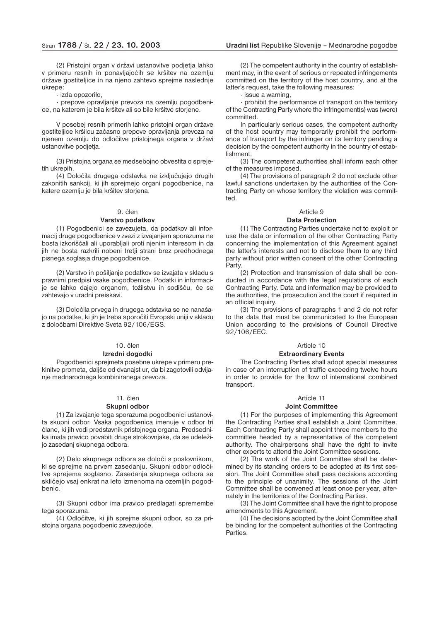(2) Pristojni organ v državi ustanovitve podjetja lahko v primeru resnih in ponavljajočih se kršitev na ozemlju države gostiteljice in na njeno zahtevo sprejme naslednje ukrepe:

· izda opozorilo,

· prepove opravljanje prevoza na ozemlju pogodbenice, na katerem je bila kršitev ali so bile kršitve storjene.

V posebej resnih primerih lahko pristojni organ države gostiteljice kršilcu začasno prepove opravljanja prevoza na njenem ozemlju do odločitve pristojnega organa v državi ustanovitve podjetja.

(3) Pristojna organa se medsebojno obvestita o sprejetih ukrepih.

(4) Določila drugega odstavka ne izključujejo drugih zakonitih sankcij, ki jih sprejmejo organi pogodbenice, na katere ozemlju je bila kršitev storjena.

# 9. člen

#### **Varstvo podatkov**

(1) Pogodbenici se zavezujeta, da podatkov ali informacij druge pogodbenice v zvezi z izvajanjem sporazuma ne bosta izkoriščali ali uporabljali proti njenim interesom in da jih ne bosta razkrili nobeni tretji strani brez predhodnega pisnega soglasja druge pogodbenice.

(2) Varstvo in pošiljanje podatkov se izvajata v skladu s pravnimi predpisi vsake pogodbenice. Podatki in informacije se lahko dajejo organom, tožilstvu in sodišču, če se zahtevajo v uradni preiskavi.

(3) Določila prvega in drugega odstavka se ne nanašajo na podatke, ki jih je treba sporočiti Evropski uniji v skladu z določbami Direktive Sveta 92/106/EGS.

# 10. člen

# **Izredni dogodki**

Pogodbenici sprejmeta posebne ukrepe v primeru prekinitve prometa, daljše od dvanajst ur, da bi zagotovili odvijanje mednarodnega kombiniranega prevoza.

# 11. člen

# **Skupni odbor**

(1) Za izvajanje tega sporazuma pogodbenici ustanovita skupni odbor. Vsaka pogodbenica imenuje v odbor tri člane, ki jih vodi predstavnik pristojnega organa. Predsednika imata pravico povabiti druge strokovnjake, da se udeležijo zasedanj skupnega odbora.

(2) Delo skupnega odbora se določi s poslovnikom, ki se sprejme na prvem zasedanju. Skupni odbor odločitve sprejema soglasno. Zasedanja skupnega odbora se skličejo vsaj enkrat na leto izmenoma na ozemljih pogodbenic.

(3) Skupni odbor ima pravico predlagati spremembe tega sporazuma.

(4) Odločitve, ki jih sprejme skupni odbor, so za pristojna organa pogodbenic zavezujoče.

(2) The competent authority in the country of establishment may, in the event of serious or repeated infringements committed on the territory of the host country, and at the latter's request, take the following measures:

· issue a warning,

· prohibit the performance of transport on the territory of the Contracting Party where the infringement(s) was (were) committed.

In particularly serious cases, the competent authority of the host country may temporarily prohibit the performance of transport by the infringer on its territory pending a decision by the competent authority in the country of establishment.

(3) The competent authorities shall inform each other of the measures imposed.

(4) The provisions of paragraph 2 do not exclude other lawful sanctions undertaken by the authorities of the Contracting Party on whose territory the violation was committed.

# Article 9

# **Data Protection**

(1) The Contracting Parties undertake not to exploit or use the data or information of the other Contracting Party concerning the implementation of this Agreement against the latter's interests and not to disclose them to any third party without prior written consent of the other Contracting Party.

(2) Protection and transmission of data shall be conducted in accordance with the legal regulations of each Contracting Party. Data and information may be provided to the authorities, the prosecution and the court if required in an official inquiry.

(3) The provisions of paragraphs 1 and 2 do not refer to the data that must be communicated to the European Union according to the provisions of Council Directive 92/106/EEC.

# Article 10

# **Extraordinary Events**

The Contracting Parties shall adopt special measures in case of an interruption of traffic exceeding twelve hours in order to provide for the flow of international combined transport.

# Article 11

# **Joint Committee**

(1) For the purposes of implementing this Agreement the Contracting Parties shall establish a Joint Committee. Each Contracting Party shall appoint three members to the committee headed by a representative of the competent authority. The chairpersons shall have the right to invite other experts to attend the Joint Committee sessions.

(2) The work of the Joint Committee shall be determined by its standing orders to be adopted at its first session. The Joint Committee shall pass decisions according to the principle of unanimity. The sessions of the Joint Committee shall be convened at least once per year, alternately in the territories of the Contracting Parties.

(3) The Joint Committee shall have the right to propose amendments to this Agreement.

(4) The decisions adopted by the Joint Committee shall be binding for the competent authorities of the Contracting **Parties**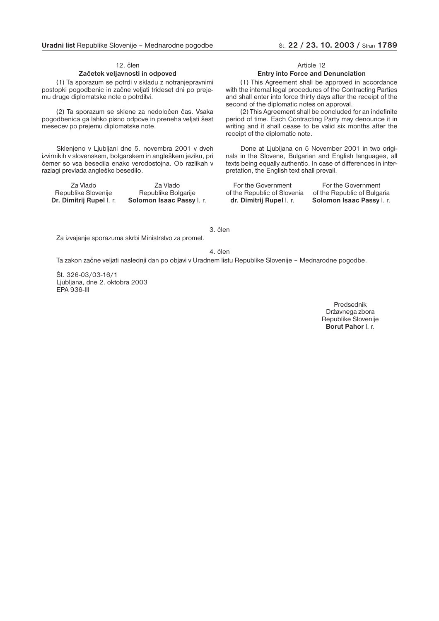# 12. člen

#### **Začetek veljavnosti in odpoved**

(1) Ta sporazum se potrdi v skladu z notranjepravnimi postopki pogodbenic in začne veljati trideset dni po prejemu druge diplomatske note o potrditvi.

(2) Ta sporazum se sklene za nedoločen čas. Vsaka pogodbenica ga lahko pisno odpove in preneha veljati šest mesecev po prejemu diplomatske note.

Sklenjeno v Ljubljani dne 5. novembra 2001 v dveh izvirnikih v slovenskem, bolgarskem in angleškem jeziku, pri čemer so vsa besedila enako verodostojna. Ob razlikah v razlagi prevlada angleško besedilo.

Za Vlado <sup>Za Vlado</sup><br>Iblike Slovenije *Za Vlado* Republike Bolgarije Republike Slovenije<br>**Dr. Dimitrij Rupel** I. r. **Solomon Isaac Passy I. r.** 

#### Article 12

#### **Entry into Force and Denunciation**

(1) This Agreement shall be approved in accordance with the internal legal procedures of the Contracting Parties and shall enter into force thirty days after the receipt of the second of the diplomatic notes on approval.

(2) This Agreement shall be concluded for an indefinite period of time. Each Contracting Party may denounce it in writing and it shall cease to be valid six months after the receipt of the diplomatic note.

Done at Ljubljana on 5 November 2001 in two originals in the Slovene, Bulgarian and English languages, all texts being equally authentic. In case of differences in interpretation, the English text shall prevail.

of the Republic of Slovenia<br> **dr. Dimitrij Rupel** I. r.

For the Government<br>the Republic of Slovenia of the Republic of Bulgaria **Solomon Isaac Passy I. r.** 

3. člen

Za izvajanje sporazuma skrbi Ministrstvo za promet.

4. člen

Ta zakon začne veljati naslednji dan po objavi v Uradnem listu Republike Slovenije – Mednarodne pogodbe.

Št. 326-03/03-16/1 Ljubljana, dne 2. oktobra 2003 EPA 936-III

> Predsednik Državnega zbora Republike Slovenije **Borut Pahor** l. r.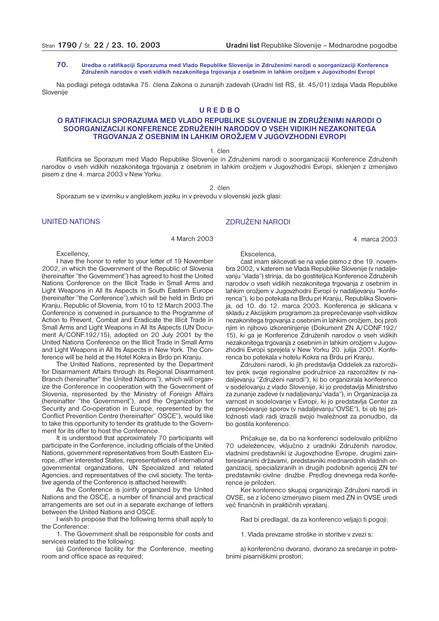**70. Uredba o ratifikaciji Sporazuma med Vlado Republike Slovenije in Združenimi narodi o soorganizaciji Konference Združenih narodov o vseh vidikih nezakonitega trgovanja z osebnim in lahkim orožjem v Jugovzhodni Evropi**

Na podlagi petega odstavka 75. člena Zakona o zunanjih zadevah (Uradni list RS, št. 45/01) izdaja Vlada Republike Slovenije

# **U R E D B O**

# **O RATIFIKACIJI SPORAZUMA MED VLADO REPUBLIKE SLOVENIJE IN ZDRUŽENIMI NARODI O SOORGANIZACIJI KONFERENCE ZDRUŽENIH NARODOV O VSEH VIDIKIH NEZAKONITEGA TRGOVANJA Z OSEBNIM IN LAHKIM OROŽJEM V JUGOVZHODNI EVROPI**

1. člen

Ratificira se Sporazum med Vlado Republike Slovenije in Združenimi narodi o soorganizaciji Konference Združenih narodov o vseh vidikih nezakonitega trgovanja z osebnim in lahkim orožjem v Jugovzhodni Evropi, sklenjen z izmenjavo pisem z dne 4. marca 2003 v New Yorku.

2. člen

Sporazum se v izvirniku v angleškem jeziku in v prevodu v slovenski jezik glasi:

# UNITED NATIONS

# 4 March 2003

Excellency,

I have the honor to refer to your letter of 19 November 2002, in which the Government of the Republic of Slovenia (hereinafter "the Government") has agreed to host the United Nations Conference on the Illicit Trade in Small Arms and Light Weapons in All Its Aspects in South Eastern Europe (hereinafter "the Conference"),which will be held in Brdo pri Kranju, Republic of Slovenia, from 10 to 12 March 2003.The Conference is convened in pursuance to the Programme of Action to Prevent, Combat and Eradicate the Illicit Trade in Small Arms and Light Weapons in All Its Aspects (UN Document A/CONF.192/15), adopted on 20 July 2001 by the United Nations Conference on the Illicit Trade in Small Arms and Light Weapons in All Its Aspects in New York. The Conference will be held at the Hotel Kokra in Brdo pri Kranju.

The United Nations, represented by the Department for Disarmament Affairs through its Regional Disarmament Branch (hereinafter" the United Nations"), which will organize the Conference in cooperation with the Government of Slovenia, represented by the Ministry of Foreign Affairs (hereinafter "the Government"), and the Organization for Security and Co-operation in Europe, represented by the Conflict Prevention Centre (hereinafter" OSCE"), would like to take this opportunity to tender its gratitude to the Government for its offer to host the Conference.

It is understood that approximately 70 participants will participate in the Conference, including officials of the United Nations, government representatives from South Eastern Europe, other interested States, representatives of international governmental organizations, UN Specialized and related Agencies, and representatives of the civil society. The tentative agenda of the Conference is attached herewith.

As the Conference is jointly organized by the United Nations and the OSCE, a number of financial and practical arrangements are set out in a separate exchange of letters between the United Nations and OSCE.

I wish to propose that the following terms shall apply to the Conference:

1. The Government shall be responsible for costs and services related to the following:

(a) Conference facility for the Conference, meeting room and office space as required;

# Ekscelenca,

ZDRUŽENI NARODI

čast imam sklicevati se na vaše pismo z dne 19. novembra 2002, v katerem se Vlada Republike Slovenije (v nadaljevanju "vlada") strinja, da bo gostiteljica Konference Združenih narodov o vseh vidikih nezakonitega trgovanja z osebnim in lahkim orožjem v Jugovzhodni Evropi (v nadaljevanju "konferenca"), ki bo potekala na Brdu pri Kranju, Republika Slovenija, od 10. do 12. marca 2003. Konferenca je sklicana v skladu z Akcijskim programom za preprečevanje vseh vidikov nezakonitega trgovanja z osebnim in lahkim orožjem, boj proti njim in njihovo izkoreninjenje (Dokument ZN A/CONF.192/ 15), ki ga je Konference Združenih narodov o vseh vidikih nezakonitega trgovanja z osebnim in lahkim orožjem v Jugovzhodni Evropi sprejela v New Yorku 20. julija 2001. Konferenca bo potekala v hotelu Kokra na Brdu pri Kranju.

Združeni narodi, ki jih predstavlja Oddelek za razorožitev prek svoje regionalne podružnice za razorožitev (v nadaljevanju "Združeni narodi"), ki bo organizirala konferenco v sodelovanju z vlado Slovenije, ki jo predstavlja Ministrstvo za zunanje zadeve (v nadaljevanju"vlada"), in Organizacija za varnost in sodelovanje v Evropi, ki jo predstavlja Center za preprečevanje sporov (v nadaljevanju"OVSE"), bi ob tej priložnosti vladi radi izrazili svojo hvaležnost za ponudbo, da bo gostila konferenco.

Pričakuje se, da bo na konferenci sodelovalo približno 70 udeležencev, vključno z uradniki Združenih narodov, vladnimi predstavniki iz Jugovzhodne Evrope, drugimi zainteresiranimi državami, predstavniki mednarodnih vladnih organizacij, specializiranih in drugih podobnih agencij ZN ter predstavniki civilne družbe. Predlog dnevnega reda konference je priložen.

Ker konferenco skupaj organizirajo Združeni narodi in OVSE, se z ločeno izmenjavo pisem med ZN in OVSE uredi več finančnih in praktičnih vprašanj.

Rad bi predlagal, da za konferenco veljajo ti pogoji:

1. Vlada prevzame stroške in storitve v zvezi s:

a) konferenčno dvorano, dvorano za srečanje in potrebnimi pisarniškimi prostori;

4. marca 2003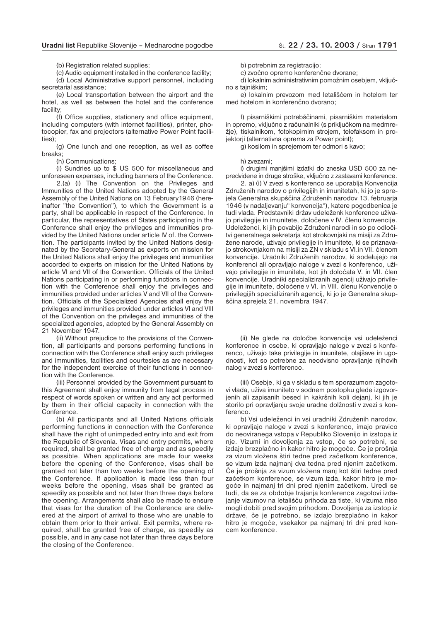(b) Registration related supplies;

(c) Audio equipment installed in the conference facility;

(d) Local Administrative support personnel, including secretarial assistance;

(e) Local transportation between the airport and the hotel, as well as between the hotel and the conference facility;

(f) Office supplies, stationery and office equipment, including computers (with internet facilities), printer, photocopier, fax and projectors (alternative Power Point facilities);

(g) One lunch and one reception, as well as coffee breaks;

(h) Communications;

(i) Sundries up to  $$$  US 500 for miscellaneous and unforeseen expenses, including banners of the Conference.

2.(a) (i) The Convention on the Privileges and Immunities of the United Nations adopted by the General Assembly of the United Nations on 13 February1946 (hereinafter "the Convention"), to which the Government is a party, shall be applicable in respect of the Conference. In particular, the representatives of States participating in the Conference shall enjoy the privileges and immunities provided by the United Nations under article IV of. the Convention. The participants invited by the United Nations designated by the Secretary-General as experts on mission for the United Nations shall enjoy the privileges and immunities accorded to experts on mission for the United Nations by article VI and VII of the Convention. Officials of the United Nations participating in or performing functions in connection with the Conference shall enjoy the privileges and immunities provided under articles V and VII of the Convention. Officials of the Specialized Agencies shall enjoy the privileges and immunities provided under articles VI and VIII of the Convention on the privileges and immunities of the specialized agencies, adopted by the General Assembly on 21 November 1947.

(ii) Without prejudice to the provisions of the Convention, all participants and persons performing functions in connection with the Conference shall enjoy such privileges and immunities, facilities and courtesies as are necessary for the independent exercise of their functions in connection with the Conference.

(iii) Personnel provided by the Government pursuant to this Agreement shall enjoy immunity from legal process in respect of words spoken or written and any act performed by them in their official capacity in connection with the Conference.

(b) All participants and all United Nations officials performing functions in connection with the Conference shall have the right of unimpeded entry into and exit from the Republic of Slovenia. Visas and entry permits, where required, shall be granted free of charge and as speedily as possible. When applications are made four weeks before the opening of the Conference, visas shall be granted not later than two weeks before the opening of the Conference. If application is made less than four weeks before the opening, visas shall be granted as speedily as possible and not later than three days before the opening. Arrangements shall also be made to ensure that visas for the duration of the Conference are delivered at the airport of arrival to those who are unable to obtain them prior to their arrival. Exit permits, where required, shall be granted free of charge, as speedily as possible, and in any case not later than three days before the closing of the Conference.

b) potrebnim za registracijo;

c) zvočno opremo konferenčne dvorane;

d) lokalnim administrativnim pomožnim osebjem, vključno s tajniškim;

e) lokalnim prevozom med letališčem in hotelom ter med hotelom in konferenčno dvorano;

f) pisarniškimi potrebščinami, pisarniškim materialom in opremo, vključno z računalniki (s priključkom na medmrežje), tiskalnikom, fotokopirnim strojem, telefaksom in projektorji (alternativna oprema za Power point);

g) kosilom in sprejemom ter odmori s kavo;

# h) zvezami;

i) drugimi manjšimi izdatki do zneska USD 500 za nepredvidene in druge stroške, vključno z zastavami konference.

2. a) (i) V zvezi s konferenco se uporablja Konvencija Združenih narodov o privilegijih in imunitetah, ki jo je sprejela Generalna skupščina Združenih narodov 13. februarja 1946 (v nadaljevanju" konvencija"), katere pogodbenica je tudi vlada. Predstavniki držav udeleženk konference uživajo privilegije in imunitete, določene v IV. členu konvencije. Udeleženci, ki jih povabijo Združeni narodi in so po odločitvi generalnega sekretarja kot strokovnjaki na misiji za Združene narode, uživajo privilegije in imunitete, ki se priznavajo strokovnjakom na misiji za ZN v skladu s VI.in VII. členom konvencije. Uradniki Združenih narodov, ki sodelujejo na konferenci ali opravljajo naloge v zvezi s konferenco, uživajo privilegije in imunitete, kot jih določata V. in VII. člen konvencije. Uradniki specializiranih agencij uživajo privilegije in imunitete, določene v VI. in VIII. členu Konvencije o privilegijih specializiranih agencij, ki jo je Generalna skupščina sprejela 21. novembra 1947.

(ii) Ne glede na določbe konvencije vsi udeleženci konference in osebe, ki opravljajo naloge v zvezi s konferenco, uživajo take privilegije in imunitete, olajšave in ugodnosti, kot so potrebne za neodvisno opravljanje njihovih nalog v zvezi s konferenco.

(iii) Osebje, ki ga v skladu s tem sporazumom zagotovi vlada, uživa imuniteto v sodnem postopku glede izgovorjenih ali zapisanih besed in kakršnih koli dejanj, ki jih je storilo pri opravljanju svoje uradne dolžnosti v zvezi s konferenco.

b) Vsi udeleženci in vsi uradniki Združenih narodov, ki opravljajo naloge v zvezi s konferenco, imajo pravico do neoviranega vstopa v Republiko Slovenijo in izstopa iz nje. Vizumi in dovoljenja za vstop, če so potrebni, se izdajo brezplačno in kakor hitro je mogoče. Če je prošnja za vizum vložena štiri tedne pred začetkom konference, se vizum izda najmanj dva tedna pred njenim začetkom. Če je prošnja za vizum vložena manj kot štiri tedne pred začetkom konference, se vizum izda, kakor hitro je mogoče in najmanj tri dni pred njenim začetkom. Uredi se tudi, da se za obdobje trajanja konference zagotovi izdajanje vizumov na letališču prihoda za tiste, ki vizuma niso mogli dobiti pred svojim prihodom. Dovoljenja za izstop iz države, če je potrebno, se izdajo brezplačno in kakor hitro je mogoče, vsekakor pa najmanj tri dni pred koncem konference.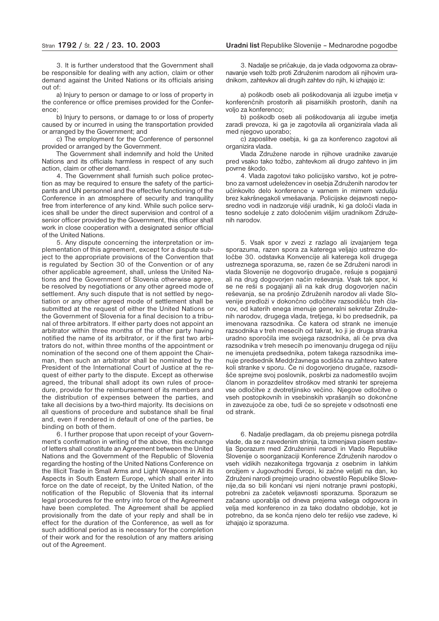3. It is further understood that the Government shall be responsible for dealing with any action, claim or other demand against the United Nations or its officials arising out of:

a) Injury to person or damage to or loss of property in the conference or office premises provided for the Conference;

b) Injury to persons, or damage to or loss of property caused by or incurred in using the transportation provided or arranged by the Government; and

c) The employment for the Conference of personnel provided or arranged by the Government.

The Government shall indemnify and hold the United Nations and its officials harmless in respect of any such action, claim or other demand.

4. The Government shall furnish such police protection as may be required to ensure the safety of the participants and UN personnel and the effective functioning of the Conference in an atmosphere of security and tranquility free from interference of any kind. While such police services shall be under the direct supervision and control of a senior officer provided by the Government, this officer shall work in close cooperation with a designated senior official of the United Nations.

5. Any dispute concerning the interpretation or implementation of this agreement, except for a dispute subject to the appropriate provisions of the Convention that is regulated by Section 30 of the Convention or of any other applicable agreement, shall, unless the United Nations and the Government of Slovenia otherwise agree, be resolved by negotiations or any other agreed mode of settlement. Any such dispute that is not settled by negotiation or any other agreed mode of settlement shall be submitted at the request of either the United Nations or the Government of Slovenia for a final decision to a tribunal of three arbitrators. If either party does not appoint an arbitrator within three months of the other party having notified the name of its arbitrator, or if the first two arbitrators do not, within three months of the appointment or nomination of the second one of them appoint the Chairman, then such an arbitrator shall be nominated by the President of the International Court of Justice at the request of either party to the dispute. Except as otherwise agreed, the tribunal shall adopt its own rules of procedure, provide for the reimbursement of its members and the distribution of expenses between the parties, and take all decisions by a two-third majority. Its decisions on all questions of procedure and substance shall be final and, even if rendered in default of one of the parties, be binding on both of them.

6. I further propose that upon receipt of your Government's confirmation in writing of the above, this exchange of letters shall constitute an Agreement between the United Nations and the Government of the Republic of Slovenia regarding the hosting of the United Nations Conference on the Illicit Trade in Small Arms and Light Weapons in All its Aspects in South Eastern Europe, which shall enter into force on the date of receipt, by the United Nation, of the notification of the Republic of Slovenia that its internal legal procedures for the entry into force of the Agreement have been completed. The Agreement shall be applied provisionally from the date of your reply and shall be in effect for the duration of the Conference, as well as for such additional period as is necessary for the completion of their work and for the resolution of any matters arising out of the Agreement.

3. Nadalje se pričakuje, da je vlada odgovorna za obravnavanje vseh tožb proti Združenim narodom ali njihovim uradnikom, zahtevkov ali drugih zahtev do njih, ki izhajajo iz:

a) poškodb oseb ali poškodovanja ali izgube imetja v konferenčnih prostorih ali pisarniških prostorih, danih na voljo za konferenco;

b) poškodb oseb ali poškodovanja ali izgube imetja zaradi prevoza, ki ga je zagotovila ali organizirala vlada ali med njegovo uporabo;

c) zaposlitve osebja, ki ga za konferenco zagotovi ali organizira vlada.

Vlada Združene narode in njihove uradnike zavaruje pred vsako tako tožbo, zahtevkom ali drugo zahtevo in jim povrne škodo.

4. Vlada zagotovi tako policijsko varstvo, kot je potrebno za varnost udeležencev in osebja Združenih narodov ter učinkovito delo konference v varnem in mirnem vzdušju brez kakršnegakoli vmešavanja. Policijske dejavnosti neposredno vodi in nadzoruje višji uradnik, ki ga določi vlada in tesno sodeluje z zato določenim višjim uradnikom Združenih narodov.

5. Vsak spor v zvezi z razlago ali izvajanjem tega sporazuma, razen spora za katerega veljajo ustrezne določbe 30. odstavka Konvencije ali katerega koli drugega ustreznega sporazuma, se, razen če se Združeni narodi in vlada Slovenije ne dogovorijo drugače, rešuje s pogajanji ali na drug dogovorjen način reševanja. Vsak tak spor, ki se ne reši s pogajanji ali na kak drug dogovorjen način reševanja, se na prošnjo Združenih narodov ali vlade Slovenije predloži v dokončno odločitev razsodišču treh članov, od katerih enega imenuje generalni sekretar Združenih narodov, drugega vlada, tretjega, ki bo predsednik, pa imenovana razsodnika. Če katera od strank ne imenuje razsodnika v treh mesecih od takrat, ko ji je druga stranka uradno sporočila ime svojega razsodnika, ali če prva dva razsodnika v treh mesecih po imenovanju drugega od njiju ne imenujeta predsednika, potem takega razsodnika imenuje predsednik Meddržavnega sodišča na zahtevo katere koli stranke v sporu. Če ni dogovorjeno drugače, razsodišče sprejme svoj poslovnik, poskrbi za nadomestilo svojim članom in porazdelitev stroškov med stranki ter sprejema vse odločitve z dvotretjinsko večino. Njegove odločitve o vseh postopkovnih in vsebinskih vprašanjih so dokončne in zavezujoče za obe, tudi če so sprejete v odsotnosti ene od strank.

6. Nadalje predlagam, da ob prejemu pisnega potrdila vlade, da se z navedenim strinja, ta izmenjava pisem sestavlja Sporazum med Združenimi narodi in Vlado Republike Slovenije o soorganizaciji Konference Združenih narodov o vseh vidikih nezakonitega trgovanja z osebnim in lahkim orožjem v Jugovzhodni Evropi, ki začne veljati na dan, ko Združeni narodi prejmejo uradno obvestilo Republike Slovenije,da so bili končani vsi njeni notranje pravni postopki, potrebni za začetek veljavnosti sporazuma. Sporazum se začasno uporablja od dneva prejema vašega odgovora in velja med konferenco in za tako dodatno obdobje, kot je potrebno, da se konča njeno delo ter rešijo vse zadeve, ki izhajajo iz sporazuma.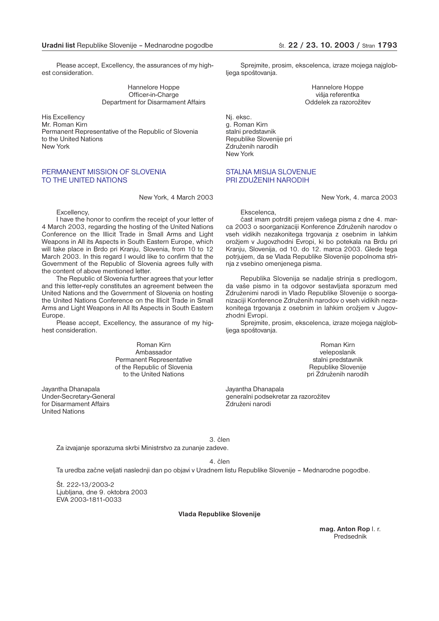Please accept, Excellency, the assurances of my highest consideration.

> Hannelore Hoppe Officer-in-Charge Department for Disarmament Affairs

His Excellency Mr. Roman Kirn Permanent Representative of the Republic of Slovenia to the United Nations New York

# PERMANENT MISSION OF SLOVENIA TO THE UNITED NATIONS

New York, 4 March 2003

Excellency,

I have the honor to confirm the receipt of your letter of 4 March 2003, regarding the hosting of the United Nations Conference on the Illicit Trade in Small Arms and Light Weapons in All its Aspects in South Eastern Europe, which will take place in Brdo pri Kranju, Slovenia, from 10 to 12 March 2003. In this regard I would like to confirm that the Government of the Republic of Slovenia agrees fully with the content of above mentioned letter.

The Republic of Slovenia further agrees that your letter and this letter-reply constitutes an agreement between the United Nations and the Government of Slovenia on hosting the United Nations Conference on the Illicit Trade in Small Arms and Light Weapons in All Its Aspects in South Eastern Europe.

Please accept, Excellency, the assurance of my highest consideration.

> Roman Kirn Ambassador Permanent Representative of the Republic of Slovenia to the United Nations

Jayantha Dhanapala Under-Secretary-General for Disarmament Affairs United Nations

Sprejmite, prosim, ekscelenca, izraze mojega najglob-

ljega spoštovanja.

Hannelore Hoppe višja referentka Oddelek za razorožitev

Nj. eksc. g. Roman Kirn stalni predstavnik Republike Slovenije pri Združenih narodih New York

# STALNA MISIJA SLOVENIJE PRI ZDUŽENIH NARODIH

New York, 4. marca 2003

# Ekscelenca,

čast imam potrditi prejem vašega pisma z dne 4. marca 2003 o soorganizaciji Konference Združenih narodov o vseh vidikih nezakonitega trgovanja z osebnim in lahkim orožjem v Jugovzhodni Evropi, ki bo potekala na Brdu pri Kranju, Slovenija, od 10. do 12. marca 2003. Glede tega potrjujem, da se Vlada Republike Slovenije popolnoma strinja z vsebino omenjenega pisma.

Republika Slovenija se nadalje strinja s predlogom, da vaše pismo in ta odgovor sestavljata sporazum med Združenimi narodi in Vlado Republike Slovenije o soorganizaciji Konference Združenih narodov o vseh vidikih nezakonitega trgovanja z osebnim in lahkim orožjem v Jugovzhodni Evropi.

Sprejmite, prosim, ekscelenca, izraze mojega najglobliega spoštovania.

> Roman Kirn veleposlanik stalni predstavnik Republike Slovenije pri Združenih narodih

Jayantha Dhanapala generalni podsekretar za razorožitev Združeni narodi

3. člen

Za izvajanje sporazuma skrbi Ministrstvo za zunanje zadeve.

4. člen

Ta uredba začne veljati naslednji dan po objavi v Uradnem listu Republike Slovenije – Mednarodne pogodbe.

Št. 222-13/2003-2 Liubliana, dne 9. oktobra 2003 EVA 2003-1811-0033

# **Vlada Republike Slovenije**

**mag. Anton Rop** l. r. Predsednik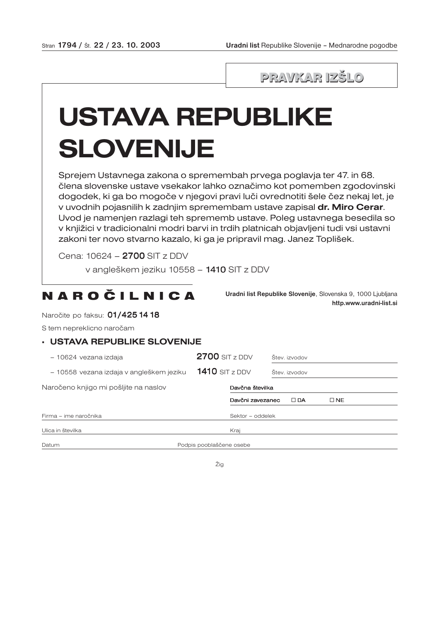# PRAVKAR IZŠLO PRAVKAR IZŠLO

# **USTAVA REPUBLIKE SLOVENIJE**

Sprejem Ustavnega zakona o spremembah prvega poglavja ter 47. in 68. člena slovenske ustave vsekakor lahko označimo kot pomemben zgodovinski dogodek, ki ga bo mogoče v njegovi pravi luči ovrednotiti šele čez nekaj let, je v uvodnih pojasnilih k zadnjim spremembam ustave zapisal **dr. Miro Cerar**. Uvod je namenjen razlagi teh sprememb ustave. Poleg ustavnega besedila so v knjižici v tradicionalni modri barvi in trdih platnicah objavljeni tudi vsi ustavni zakoni ter novo stvarno kazalo, ki ga je pripravil mag. Janez Toplišek.

Cena: 10624 - 2700 SIT z DDV

v angleškem jeziku 10558 - 1410 SIT z DDV

NAROČILNICA **Uradni list Republike Slovenije**, Slovenska 9, 1000 Ljubljana **http.www.uradni-list.si**

| Naročite po faksu: 01/425 14 18          |                          |                        |  |  |
|------------------------------------------|--------------------------|------------------------|--|--|
| S tem nepreklicno naročam                |                          |                        |  |  |
| <b>· USTAVA REPUBLIKE SLOVENIJE</b>      |                          |                        |  |  |
| - 10624 vezana izdaja                    | <b>2700 SIT z DDV</b>    | Štev. izvodov          |  |  |
| - 10558 vezana izdaja v angleškem jeziku | 1410 $SITZDDV$           | Štev. izvodov          |  |  |
| Naročeno knjigo mi pošljite na naslov    | Davčna številka          |                        |  |  |
|                                          | Davčni zavezanec         | $\Box$ DA<br>$\Box$ NE |  |  |
| Firma - ime naročnika                    | Sektor - oddelek         |                        |  |  |
| Ulica in številka                        | Kraj                     |                        |  |  |
| Datum                                    | Podpis pooblaščene osebe |                        |  |  |

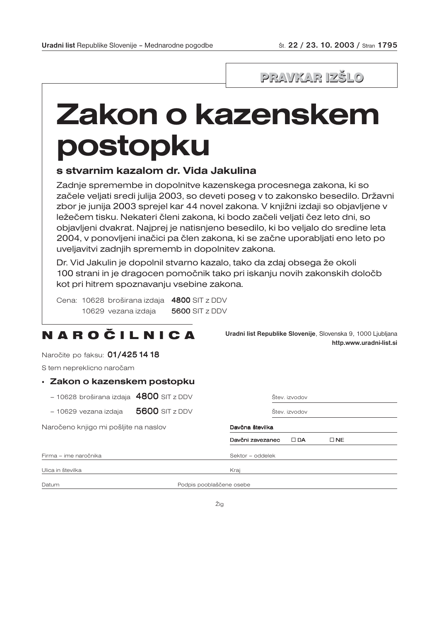# PRAVKAR IZŠLO PRAVKAR IZŠLO

# **Zakon o kazenskem postopku**

# **s stvarnim kazalom dr. Vida Jakulina**

Zadnje spremembe in dopolnitve kazenskega procesnega zakona, ki so začele veljati sredi julija 2003, so deveti poseg v to zakonsko besedilo. Državni zbor je junija 2003 sprejel kar 44 novel zakona. V knjižni izdaji so objavljene v ležečem tisku. Nekateri členi zakona, ki bodo začeli veljati čez leto dni, so objavljeni dvakrat. Najprej je natisnjeno besedilo, ki bo veljalo do sredine leta 2004, v ponovljeni inačici pa člen zakona, ki se začne uporabljati eno leto po uveljavitvi zadnjih sprememb in dopolnitev zakona.

Dr. Vid Jakulin je dopolnil stvarno kazalo, tako da zdaj obsega že okoli 100 strani in je dragocen pomočnik tako pri iskanju novih zakonskih določb kot pri hitrem spoznavanju vsebine zakona.

Cena: 10628 broširana izdaja 4800 SIT z DDV 10629 vezana izdaja 5600 SIT z DDV

# NAROČILNICA **Uradni list Republike Slovenije**, Slovenska 9, 1000 Ljubljana

Naročite po faksu: 01/425 14 18

S tem nepreklicno naročam

# · **Zakon o kazenskem postopku**

**http.www.uradni-list.si**

| - 10628 broširana izdaja 4800 SIT z DDV |                                       |                          | Štev. izvodov   |              |  |
|-----------------------------------------|---------------------------------------|--------------------------|-----------------|--------------|--|
| - 10629 vezana izdaja                   | <b>5600 SIT z DDV</b>                 |                          | Štev. izvodov   |              |  |
|                                         | Naročeno knjigo mi pošljite na naslov |                          | Davčna številka |              |  |
|                                         |                                       | Davčni zavezanec         | $\Box$ DA       | $\square$ NE |  |
| Firma - ime naročnika                   |                                       | Sektor - oddelek         |                 |              |  |
| Ulica in številka                       |                                       | Kraj                     |                 |              |  |
| Datum                                   |                                       | Podpis pooblaščene osebe |                 |              |  |
|                                         |                                       |                          |                 |              |  |